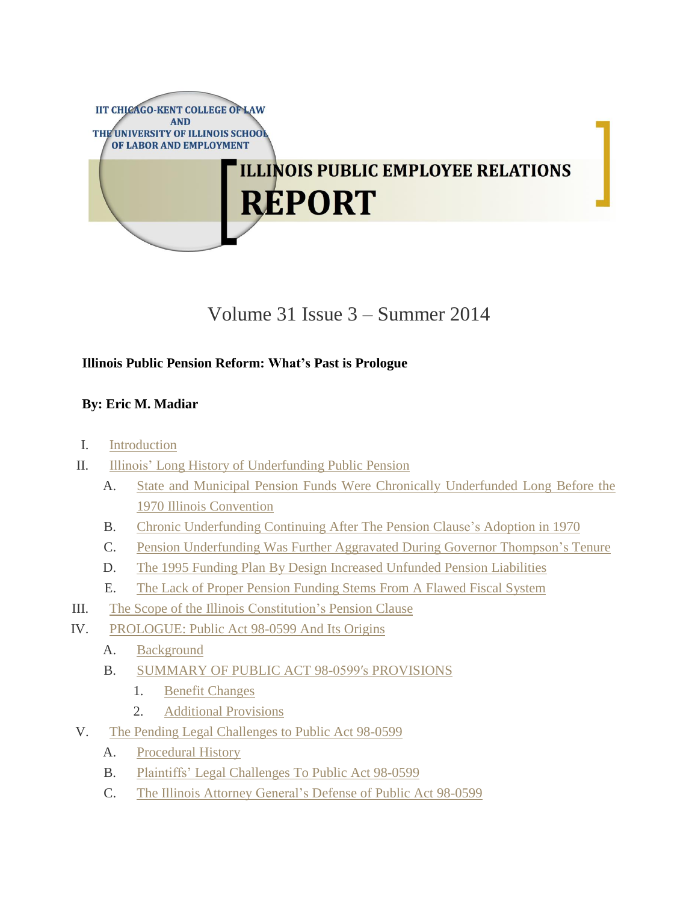

# Volume 31 Issue 3 – Summer 2014

# **Illinois Public Pension Reform: What's Past is Prologue**

# **By: Eric M. Madiar**

- I. [Introduction](https://www.kentlaw.edu/ilwreport/?p=4147&page=2#Introduction")
- II. Illinois' Long History of [Underfunding](https://www.kentlaw.edu/ilwreport/?p=4147&page=2#Illinois) Public Pension
	- A. State and Municipal Pension Funds Were Chronically [Underfunded](https://www.kentlaw.edu/ilwreport/?p=4147&page=2#State and Municipal Pension Funds) Long Before the 1970 Illinois [Convention](https://www.kentlaw.edu/ilwreport/?p=4147&page=2#State and Municipal Pension Funds)
	- B. Chronic [Underfunding](https://www.kentlaw.edu/ilwreport/?p=4147&page=2#Chronic Underfunding Continued) Continuing After The Pension Clause's Adoption in 1970
	- C. Pension [Underfunding](https://www.kentlaw.edu/ilwreport/?p=4147&page=2#Pension Underfunding) Was Further Aggravated During Governor Thompson's Tenure
	- D. The 1995 Funding Plan By Design Increased Unfunded Pension [Liabilities](https://www.kentlaw.edu/ilwreport/?p=4147&page=2#The 1995 Funding Plan)
	- E. The Lack of Proper Pension [Funding](https://www.kentlaw.edu/ilwreport/?p=4147&page=2#The Lack of Proper Pension) Stems From A Flawed Fiscal System
- III. The Scope of the Illinois [Constitution's](https://www.kentlaw.edu/ilwreport/?p=4147&page=2#The Scope of the Illinois) Pension Clause
- IV. [PROLOGUE:](https://www.kentlaw.edu/ilwreport/?p=4147&page=2#PROLOGUE) Public Act 98-0599 And Its Origins
	- A. [Background](https://www.kentlaw.edu/ilwreport/?p=4147&page=2#Background)
	- B. SUMMARY OF PUBLIC ACT 98-0599′s [PROVISIONS](https://www.kentlaw.edu/ilwreport/?p=4147&page=2#SUMMARY OF PUBLIC ACT)
		- 1. Benefit [Changes](https://www.kentlaw.edu/ilwreport/?p=4147&page=2#Benefit Changes)
		- 2. [Additional](https://www.kentlaw.edu/ilwreport/?p=4147&page=2#Additional Provisions) Provisions
- V. The Pending Legal [Challenges](https://www.kentlaw.edu/ilwreport/?p=4147&page=2#The Pending Legal) to Public Act 98-0599
	- A. [Procedural](https://www.kentlaw.edu/ilwreport/?p=4147&page=2#Procedural History) History
	- B. Plaintiffs' Legal [Challenges](https://www.kentlaw.edu/ilwreport/?p=4147&page=2#Plaintiffs) To Public Act 98-0599
	- C. The Illinois Attorney [General's](https://www.kentlaw.edu/ilwreport/?p=4147&page=2#The Illinois Attorney) Defense of Public Act 98-0599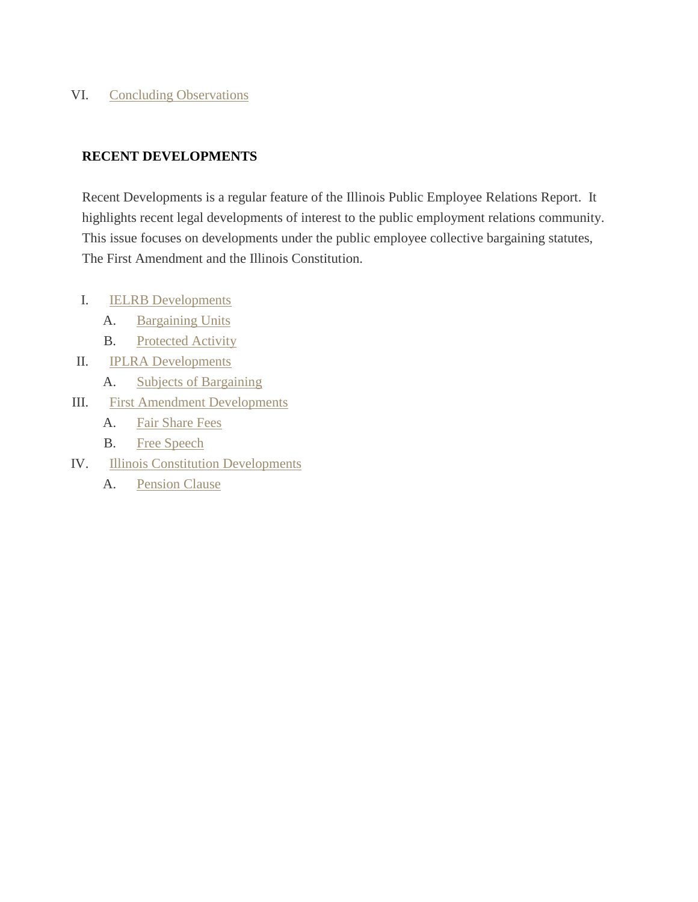# VI. Concluding [Observations](https://www.kentlaw.edu/ilwreport/?p=4147&page=2#Concluding)

# **RECENT DEVELOPMENTS**

Recent Developments is a regular feature of the Illinois Public Employee Relations Report. It highlights recent legal developments of interest to the public employment relations community. This issue focuses on developments under the public employee collective bargaining statutes, The First Amendment and the Illinois Constitution.

- I. IELRB [Developments](https://www.kentlaw.edu/ilwreport/?p=4147&page=3#IELRB Developments)
	- A. [Bargaining](https://www.kentlaw.edu/ilwreport/?p=4147&page=3#Bargaining) Units
	- B. [Protected](https://www.kentlaw.edu/ilwreport/?p=4147&page=3#Protected Activity) Activity
- II. IPLRA [Developments](https://www.kentlaw.edu/ilwreport/?p=4147&page=3#IPLRA Developments)
	- A. Subjects of [Bargaining](https://www.kentlaw.edu/ilwreport/?p=4147&page=3#Subjects of)
- III. First Amendment [Developments](https://www.kentlaw.edu/ilwreport/?p=4147&page=3#First Amendment)
	- A. Fair [Share](https://www.kentlaw.edu/ilwreport/?p=4147&page=3#Fair Share) Fees
	- B. Free [Speech](https://www.kentlaw.edu/ilwreport/?p=4147&page=3#Free Speech)
- IV. Illinois Constitution [Developments](https://www.kentlaw.edu/ilwreport/?p=4147&page=3#Illinois Constitution Developments)
	- A. [Pension](https://www.kentlaw.edu/ilwreport/?p=4147&page=3#Pension Clause) Clause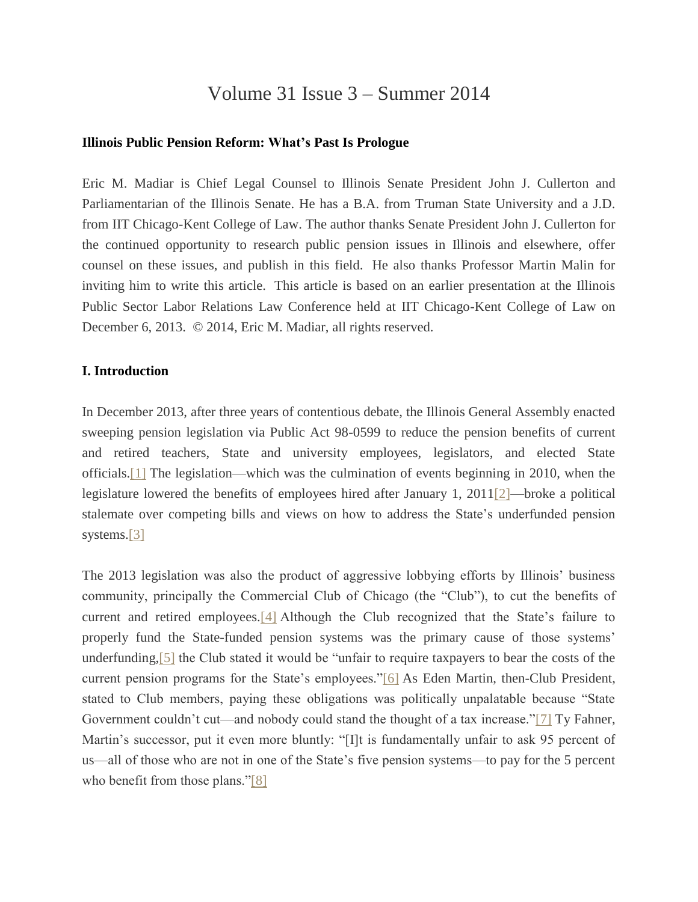# Volume 31 Issue 3 – Summer 2014

#### **Illinois Public Pension Reform: What's Past Is Prologue**

Eric M. Madiar is Chief Legal Counsel to Illinois Senate President John J. Cullerton and Parliamentarian of the Illinois Senate. He has a B.A. from Truman State University and a J.D. from IIT Chicago-Kent College of Law. The author thanks Senate President John J. Cullerton for the continued opportunity to research public pension issues in Illinois and elsewhere, offer counsel on these issues, and publish in this field. He also thanks Professor Martin Malin for inviting him to write this article. This article is based on an earlier presentation at the Illinois Public Sector Labor Relations Law Conference held at IIT Chicago-Kent College of Law on December 6, 2013. © 2014, Eric M. Madiar, all rights reserved.

#### **I. Introduction**

In December 2013, after three years of contentious debate, the Illinois General Assembly enacted sweeping pension legislation via Public Act 98-0599 to reduce the pension benefits of current and retired teachers, State and university employees, legislators, and elected State officials[.\[1\]](file:///C:/Users/swyattj/Downloads/Illinois%20Public%20Pension%20Reform%20%20%20What) The legislation—which was the culmination of events beginning in 2010, when the legislature lowered the benefits of employees hired after January 1, 201[1\[2\]—](file:///C:/Users/swyattj/Downloads/Illinois%20Public%20Pension%20Reform%20%20%20What)broke a political stalemate over competing bills and views on how to address the State's underfunded pension systems.<sup>[3]</sup>

The 2013 legislation was also the product of aggressive lobbying efforts by Illinois' business community, principally the Commercial Club of Chicago (the "Club"), to cut the benefits of current and retired employees[.\[4\]](file:///C:/Users/swyattj/Downloads/Illinois%20Public%20Pension%20Reform%20%20%20What) Although the Club recognized that the State's failure to properly fund the State-funded pension systems was the primary cause of those systems' underfunding[,\[5\]](file:///C:/Users/swyattj/Downloads/Illinois%20Public%20Pension%20Reform%20%20%20What) the Club stated it would be "unfair to require taxpayers to bear the costs of the current pension programs for the State's employees.["\[6\]](file:///C:/Users/swyattj/Downloads/Illinois%20Public%20Pension%20Reform%20%20%20What) As Eden Martin, then-Club President, stated to Club members, paying these obligations was politically unpalatable because "State Government couldn't cut—and nobody could stand the thought of a tax increase.["\[7\]](file:///C:/Users/swyattj/Downloads/Illinois%20Public%20Pension%20Reform%20%20%20What) Ty Fahner, Martin's successor, put it even more bluntly: "[I]t is fundamentally unfair to ask 95 percent of us—all of those who are not in one of the State's five pension systems—to pay for the 5 percent who benefit from those plans.["\[8\]](file:///C:/Users/swyattj/Downloads/Illinois%20Public%20Pension%20Reform%20%20%20What)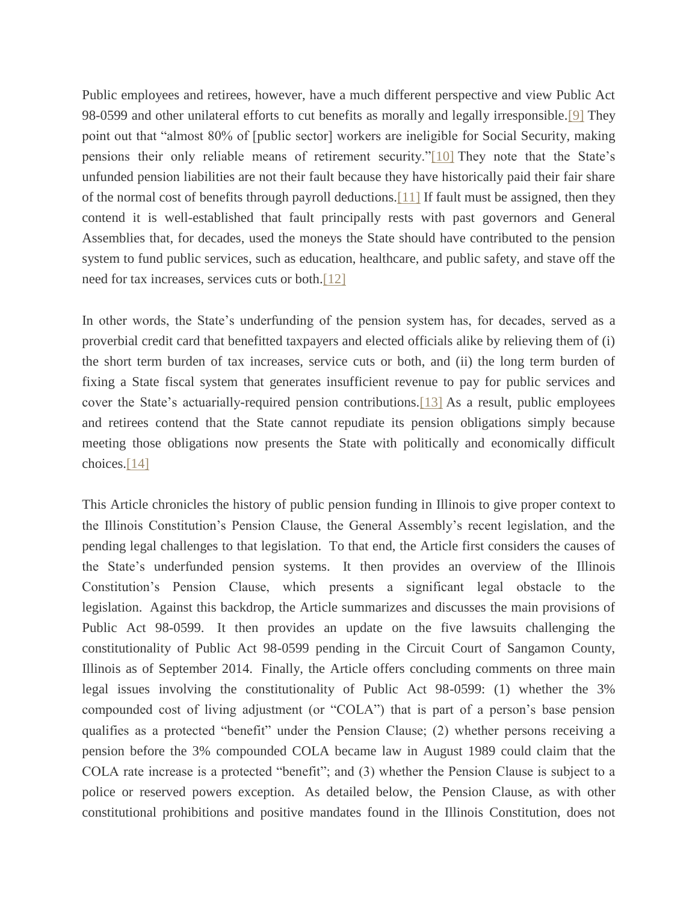Public employees and retirees, however, have a much different perspective and view Public Act 98-0599 and other unilateral efforts to cut benefits as morally and legally irresponsible[.\[9\]](file:///C:/Users/swyattj/Downloads/Illinois%20Public%20Pension%20Reform%20%20%20What) They point out that "almost 80% of [public sector] workers are ineligible for Social Security, making pensions their only reliable means of retirement security.["\[10\]](file:///C:/Users/swyattj/Downloads/Illinois%20Public%20Pension%20Reform%20%20%20What) They note that the State's unfunded pension liabilities are not their fault because they have historically paid their fair share of the normal cost of benefits through payroll deductions[.\[11\]](file:///C:/Users/swyattj/Downloads/Illinois%20Public%20Pension%20Reform%20%20%20What) If fault must be assigned, then they contend it is well-established that fault principally rests with past governors and General Assemblies that, for decades, used the moneys the State should have contributed to the pension system to fund public services, such as education, healthcare, and public safety, and stave off the need for tax increases, services cuts or both[.\[12\]](file:///C:/Users/swyattj/Downloads/Illinois%20Public%20Pension%20Reform%20%20%20What)

In other words, the State's underfunding of the pension system has, for decades, served as a proverbial credit card that benefitted taxpayers and elected officials alike by relieving them of (i) the short term burden of tax increases, service cuts or both, and (ii) the long term burden of fixing a State fiscal system that generates insufficient revenue to pay for public services and cover the State's actuarially-required pension contributions[.\[13\]](file:///C:/Users/swyattj/Downloads/Illinois%20Public%20Pension%20Reform%20%20%20What) As a result, public employees and retirees contend that the State cannot repudiate its pension obligations simply because meeting those obligations now presents the State with politically and economically difficult choices[.\[14\]](file:///C:/Users/swyattj/Downloads/Illinois%20Public%20Pension%20Reform%20%20%20What)

This Article chronicles the history of public pension funding in Illinois to give proper context to the Illinois Constitution's Pension Clause, the General Assembly's recent legislation, and the pending legal challenges to that legislation. To that end, the Article first considers the causes of the State's underfunded pension systems. It then provides an overview of the Illinois Constitution's Pension Clause, which presents a significant legal obstacle to the legislation. Against this backdrop, the Article summarizes and discusses the main provisions of Public Act 98-0599. It then provides an update on the five lawsuits challenging the constitutionality of Public Act 98-0599 pending in the Circuit Court of Sangamon County, Illinois as of September 2014. Finally, the Article offers concluding comments on three main legal issues involving the constitutionality of Public Act 98-0599: (1) whether the 3% compounded cost of living adjustment (or "COLA") that is part of a person's base pension qualifies as a protected "benefit" under the Pension Clause; (2) whether persons receiving a pension before the 3% compounded COLA became law in August 1989 could claim that the COLA rate increase is a protected "benefit"; and (3) whether the Pension Clause is subject to a police or reserved powers exception. As detailed below, the Pension Clause, as with other constitutional prohibitions and positive mandates found in the Illinois Constitution, does not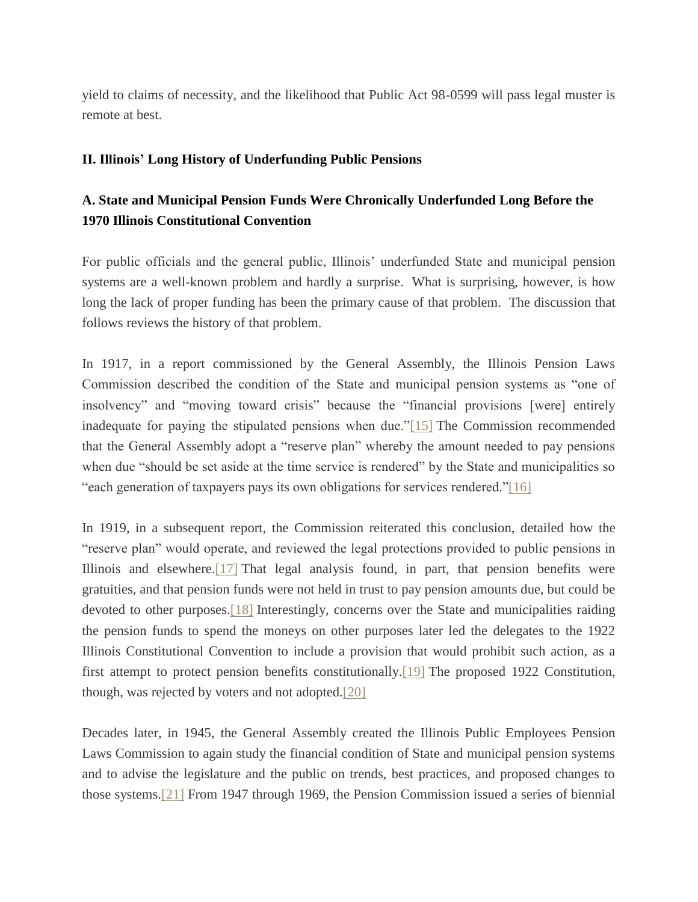yield to claims of necessity, and the likelihood that Public Act 98-0599 will pass legal muster is remote at best.

# **II. Illinois' Long History of Underfunding Public Pensions**

# **A. State and Municipal Pension Funds Were Chronically Underfunded Long Before the 1970 Illinois Constitutional Convention**

For public officials and the general public, Illinois' underfunded State and municipal pension systems are a well-known problem and hardly a surprise. What is surprising, however, is how long the lack of proper funding has been the primary cause of that problem. The discussion that follows reviews the history of that problem.

In 1917, in a report commissioned by the General Assembly, the Illinois Pension Laws Commission described the condition of the State and municipal pension systems as "one of insolvency" and "moving toward crisis" because the "financial provisions [were] entirely inadequate for paying the stipulated pensions when due.["\[15\]](file:///C:/Users/swyattj/Downloads/Illinois%20Public%20Pension%20Reform%20%20%20What) The Commission recommended that the General Assembly adopt a "reserve plan" whereby the amount needed to pay pensions when due "should be set aside at the time service is rendered" by the State and municipalities so "each generation of taxpayers pays its own obligations for services rendered.["\[16\]](file:///C:/Users/swyattj/Downloads/Illinois%20Public%20Pension%20Reform%20%20%20What)

In 1919, in a subsequent report, the Commission reiterated this conclusion, detailed how the "reserve plan" would operate, and reviewed the legal protections provided to public pensions in Illinois and elsewhere[.\[17\]](file:///C:/Users/swyattj/Downloads/Illinois%20Public%20Pension%20Reform%20%20%20What) That legal analysis found, in part, that pension benefits were gratuities, and that pension funds were not held in trust to pay pension amounts due, but could be devoted to other purposes[.\[18\]](file:///C:/Users/swyattj/Downloads/Illinois%20Public%20Pension%20Reform%20%20%20What) Interestingly, concerns over the State and municipalities raiding the pension funds to spend the moneys on other purposes later led the delegates to the 1922 Illinois Constitutional Convention to include a provision that would prohibit such action, as a first attempt to protect pension benefits constitutionally[.\[19\]](file:///C:/Users/swyattj/Downloads/Illinois%20Public%20Pension%20Reform%20%20%20What) The proposed 1922 Constitution, though, was rejected by voters and not adopted[.\[20\]](file:///C:/Users/swyattj/Downloads/Illinois%20Public%20Pension%20Reform%20%20%20What)

Decades later, in 1945, the General Assembly created the Illinois Public Employees Pension Laws Commission to again study the financial condition of State and municipal pension systems and to advise the legislature and the public on trends, best practices, and proposed changes to those systems[.\[21\]](file:///C:/Users/swyattj/Downloads/Illinois%20Public%20Pension%20Reform%20%20%20What) From 1947 through 1969, the Pension Commission issued a series of biennial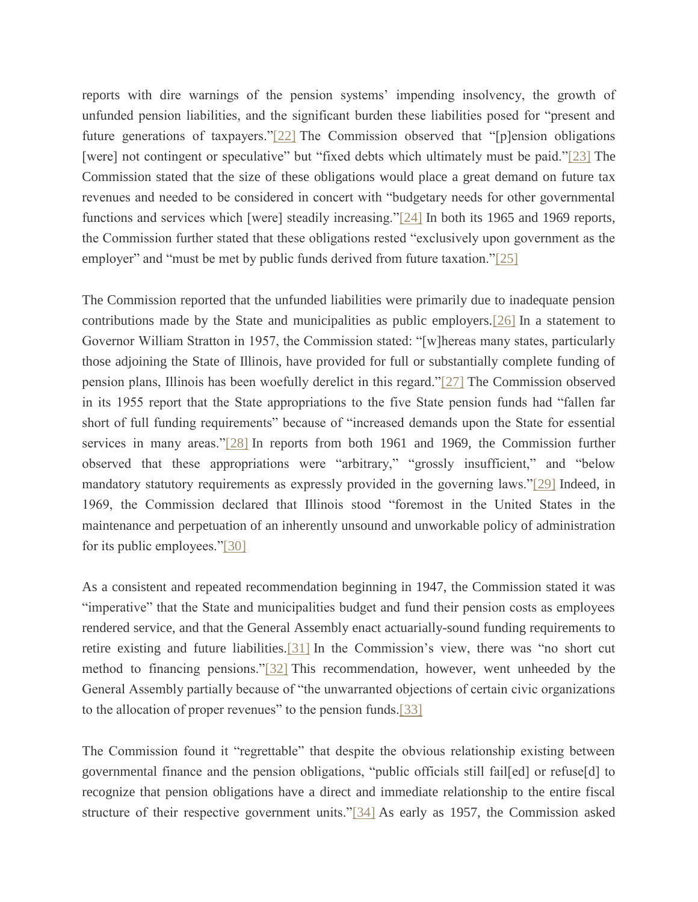reports with dire warnings of the pension systems' impending insolvency, the growth of unfunded pension liabilities, and the significant burden these liabilities posed for "present and future generations of taxpayers.["\[22\]](file:///C:/Users/swyattj/Downloads/Illinois%20Public%20Pension%20Reform%20%20%20What) The Commission observed that "[p]ension obligations [were] not contingent or speculative" but "fixed debts which ultimately must be paid.["\[23\]](file:///C:/Users/swyattj/Downloads/Illinois%20Public%20Pension%20Reform%20%20%20What) The Commission stated that the size of these obligations would place a great demand on future tax revenues and needed to be considered in concert with "budgetary needs for other governmental functions and services which [were] steadily increasing.["\[24\]](file:///C:/Users/swyattj/Downloads/Illinois%20Public%20Pension%20Reform%20%20%20What) In both its 1965 and 1969 reports, the Commission further stated that these obligations rested "exclusively upon government as the employer" and "must be met by public funds derived from future taxation.["\[25\]](file:///C:/Users/swyattj/Downloads/Illinois%20Public%20Pension%20Reform%20%20%20What)

The Commission reported that the unfunded liabilities were primarily due to inadequate pension contributions made by the State and municipalities as public employers[.\[26\]](file:///C:/Users/swyattj/Downloads/Illinois%20Public%20Pension%20Reform%20%20%20What) In a statement to Governor William Stratton in 1957, the Commission stated: "[w]hereas many states, particularly those adjoining the State of Illinois, have provided for full or substantially complete funding of pension plans, Illinois has been woefully derelict in this regard.["\[27\]](file:///C:/Users/swyattj/Downloads/Illinois%20Public%20Pension%20Reform%20%20%20What) The Commission observed in its 1955 report that the State appropriations to the five State pension funds had "fallen far short of full funding requirements" because of "increased demands upon the State for essential services in many areas.["\[28\]](file:///C:/Users/swyattj/Downloads/Illinois%20Public%20Pension%20Reform%20%20%20What) In reports from both 1961 and 1969, the Commission further observed that these appropriations were "arbitrary," "grossly insufficient," and "below mandatory statutory requirements as expressly provided in the governing laws.["\[29\]](file:///C:/Users/swyattj/Downloads/Illinois%20Public%20Pension%20Reform%20%20%20What) Indeed, in 1969, the Commission declared that Illinois stood "foremost in the United States in the maintenance and perpetuation of an inherently unsound and unworkable policy of administration for its public employees.["\[30\]](file:///C:/Users/swyattj/Downloads/Illinois%20Public%20Pension%20Reform%20%20%20What)

As a consistent and repeated recommendation beginning in 1947, the Commission stated it was "imperative" that the State and municipalities budget and fund their pension costs as employees rendered service, and that the General Assembly enact actuarially-sound funding requirements to retire existing and future liabilities[.\[31\]](file:///C:/Users/swyattj/Downloads/Illinois%20Public%20Pension%20Reform%20%20%20What) In the Commission's view, there was "no short cut method to financing pensions.["\[32\]](file:///C:/Users/swyattj/Downloads/Illinois%20Public%20Pension%20Reform%20%20%20What) This recommendation, however, went unheeded by the General Assembly partially because of "the unwarranted objections of certain civic organizations to the allocation of proper revenues" to the pension funds[.\[33\]](file:///C:/Users/swyattj/Downloads/Illinois%20Public%20Pension%20Reform%20%20%20What)

The Commission found it "regrettable" that despite the obvious relationship existing between governmental finance and the pension obligations, "public officials still fail[ed] or refuse[d] to recognize that pension obligations have a direct and immediate relationship to the entire fiscal structure of their respective government units.["\[34\]](file:///C:/Users/swyattj/Downloads/Illinois%20Public%20Pension%20Reform%20%20%20What) As early as 1957, the Commission asked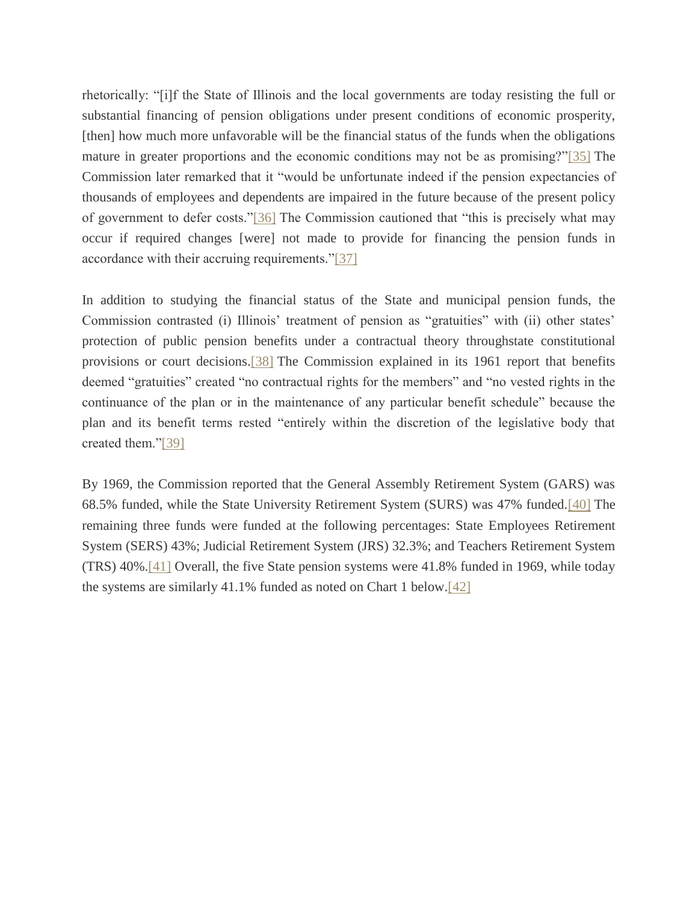rhetorically: "[i]f the State of Illinois and the local governments are today resisting the full or substantial financing of pension obligations under present conditions of economic prosperity, [then] how much more unfavorable will be the financial status of the funds when the obligations mature in greater proportions and the economic conditions may not be as promising?["\[35\]](file:///C:/Users/swyattj/Downloads/Illinois%20Public%20Pension%20Reform%20%20%20What) The Commission later remarked that it "would be unfortunate indeed if the pension expectancies of thousands of employees and dependents are impaired in the future because of the present policy of government to defer costs.["\[36\]](file:///C:/Users/swyattj/Downloads/Illinois%20Public%20Pension%20Reform%20%20%20What) The Commission cautioned that "this is precisely what may occur if required changes [were] not made to provide for financing the pension funds in accordance with their accruing requirements.["\[37\]](file:///C:/Users/swyattj/Downloads/Illinois%20Public%20Pension%20Reform%20%20%20What)

In addition to studying the financial status of the State and municipal pension funds, the Commission contrasted (i) Illinois' treatment of pension as "gratuities" with (ii) other states' protection of public pension benefits under a contractual theory throughstate constitutional provisions or court decisions[.\[38\]](file:///C:/Users/swyattj/Downloads/Illinois%20Public%20Pension%20Reform%20%20%20What) The Commission explained in its 1961 report that benefits deemed "gratuities" created "no contractual rights for the members" and "no vested rights in the continuance of the plan or in the maintenance of any particular benefit schedule" because the plan and its benefit terms rested "entirely within the discretion of the legislative body that created them.["\[39\]](file:///C:/Users/swyattj/Downloads/Illinois%20Public%20Pension%20Reform%20%20%20What)

By 1969, the Commission reported that the General Assembly Retirement System (GARS) was 68.5% funded, while the State University Retirement System (SURS) was 47% funded[.\[40\]](file:///C:/Users/swyattj/Downloads/Illinois%20Public%20Pension%20Reform%20%20%20What) The remaining three funds were funded at the following percentages: State Employees Retirement System (SERS) 43%; Judicial Retirement System (JRS) 32.3%; and Teachers Retirement System (TRS) 40%[.\[41\]](file:///C:/Users/swyattj/Downloads/Illinois%20Public%20Pension%20Reform%20%20%20What) Overall, the five State pension systems were 41.8% funded in 1969, while today the systems are similarly 41.1% funded as noted on Chart 1 below[.\[42\]](file:///C:/Users/swyattj/Downloads/Illinois%20Public%20Pension%20Reform%20%20%20What)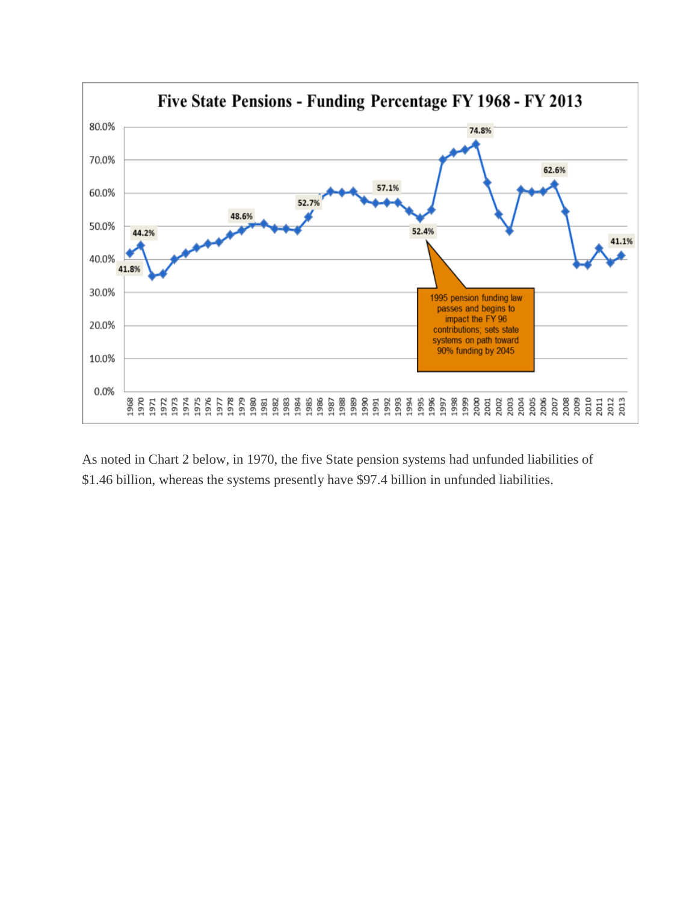

As noted in Chart 2 below, in 1970, the five State pension systems had unfunded liabilities of \$1.46 billion, whereas the systems presently have \$97.4 billion in unfunded liabilities.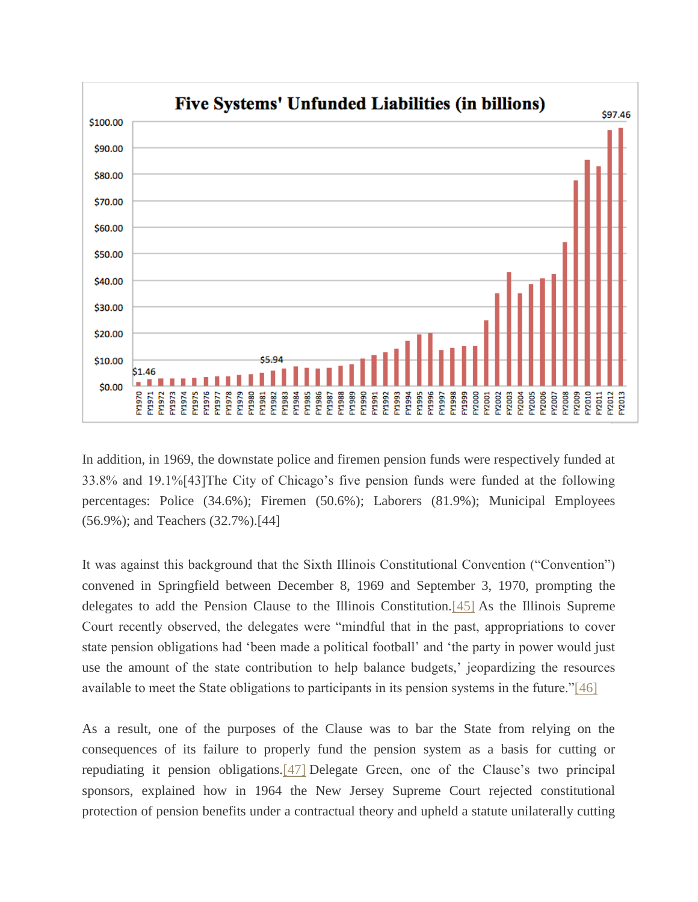

In addition, in 1969, the downstate police and firemen pension funds were respectively funded at 33.8% and 19.1%[43]The City of Chicago's five pension funds were funded at the following percentages: Police (34.6%); Firemen (50.6%); Laborers (81.9%); Municipal Employees (56.9%); and Teachers (32.7%).[44]

It was against this background that the Sixth Illinois Constitutional Convention ("Convention") convened in Springfield between December 8, 1969 and September 3, 1970, prompting the delegates to add the Pension Clause to the Illinois Constitution[.\[45\]](file:///C:/Users/swyattj/Downloads/Illinois%20Public%20Pension%20Reform%20%20%20What) As the Illinois Supreme Court recently observed, the delegates were "mindful that in the past, appropriations to cover state pension obligations had 'been made a political football' and 'the party in power would just use the amount of the state contribution to help balance budgets,' jeopardizing the resources available to meet the State obligations to participants in its pension systems in the future.["\[46\]](file:///C:/Users/swyattj/Downloads/Illinois%20Public%20Pension%20Reform%20%20%20What)

As a result, one of the purposes of the Clause was to bar the State from relying on the consequences of its failure to properly fund the pension system as a basis for cutting or repudiating it pension obligations[.\[47\]](file:///C:/Users/swyattj/Downloads/Illinois%20Public%20Pension%20Reform%20%20%20What) Delegate Green, one of the Clause's two principal sponsors, explained how in 1964 the New Jersey Supreme Court rejected constitutional protection of pension benefits under a contractual theory and upheld a statute unilaterally cutting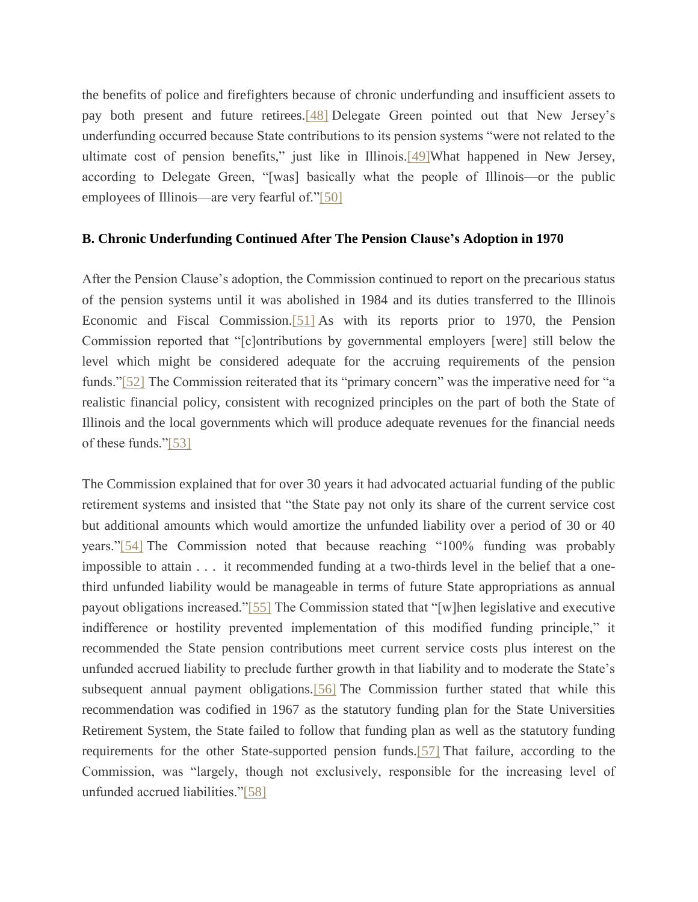the benefits of police and firefighters because of chronic underfunding and insufficient assets to pay both present and future retirees[.\[48\]](file:///C:/Users/swyattj/Downloads/Illinois%20Public%20Pension%20Reform%20%20%20What) Delegate Green pointed out that New Jersey's underfunding occurred because State contributions to its pension systems "were not related to the ultimate cost of pension benefits," just like in Illinois.<sup>[49]</sup>What happened in New Jersey, according to Delegate Green, "[was] basically what the people of Illinois—or the public employees of Illinois—are very fearful of.["\[50\]](file:///C:/Users/swyattj/Downloads/Illinois%20Public%20Pension%20Reform%20%20%20What)

#### **B. Chronic Underfunding Continued After The Pension Clause's Adoption in 1970**

After the Pension Clause's adoption, the Commission continued to report on the precarious status of the pension systems until it was abolished in 1984 and its duties transferred to the Illinois Economic and Fiscal Commission[.\[51\]](file:///C:/Users/swyattj/Downloads/Illinois%20Public%20Pension%20Reform%20%20%20What) As with its reports prior to 1970, the Pension Commission reported that "[c]ontributions by governmental employers [were] still below the level which might be considered adequate for the accruing requirements of the pension funds.["\[52\]](file:///C:/Users/swyattj/Downloads/Illinois%20Public%20Pension%20Reform%20%20%20What) The Commission reiterated that its "primary concern" was the imperative need for "a realistic financial policy, consistent with recognized principles on the part of both the State of Illinois and the local governments which will produce adequate revenues for the financial needs of these funds.["\[53\]](file:///C:/Users/swyattj/Downloads/Illinois%20Public%20Pension%20Reform%20%20%20What)

The Commission explained that for over 30 years it had advocated actuarial funding of the public retirement systems and insisted that "the State pay not only its share of the current service cost but additional amounts which would amortize the unfunded liability over a period of 30 or 40 years.["\[54\]](file:///C:/Users/swyattj/Downloads/Illinois%20Public%20Pension%20Reform%20%20%20What) The Commission noted that because reaching "100% funding was probably impossible to attain . . . it recommended funding at a two-thirds level in the belief that a onethird unfunded liability would be manageable in terms of future State appropriations as annual payout obligations increased.["\[55\]](file:///C:/Users/swyattj/Downloads/Illinois%20Public%20Pension%20Reform%20%20%20What) The Commission stated that "[w]hen legislative and executive indifference or hostility prevented implementation of this modified funding principle," it recommended the State pension contributions meet current service costs plus interest on the unfunded accrued liability to preclude further growth in that liability and to moderate the State's subsequent annual payment obligations[.\[56\]](file:///C:/Users/swyattj/Downloads/Illinois%20Public%20Pension%20Reform%20%20%20What) The Commission further stated that while this recommendation was codified in 1967 as the statutory funding plan for the State Universities Retirement System, the State failed to follow that funding plan as well as the statutory funding requirements for the other State-supported pension funds[.\[57\]](file:///C:/Users/swyattj/Downloads/Illinois%20Public%20Pension%20Reform%20%20%20What) That failure, according to the Commission, was "largely, though not exclusively, responsible for the increasing level of unfunded accrued liabilities.["\[58\]](file:///C:/Users/swyattj/Downloads/Illinois%20Public%20Pension%20Reform%20%20%20What)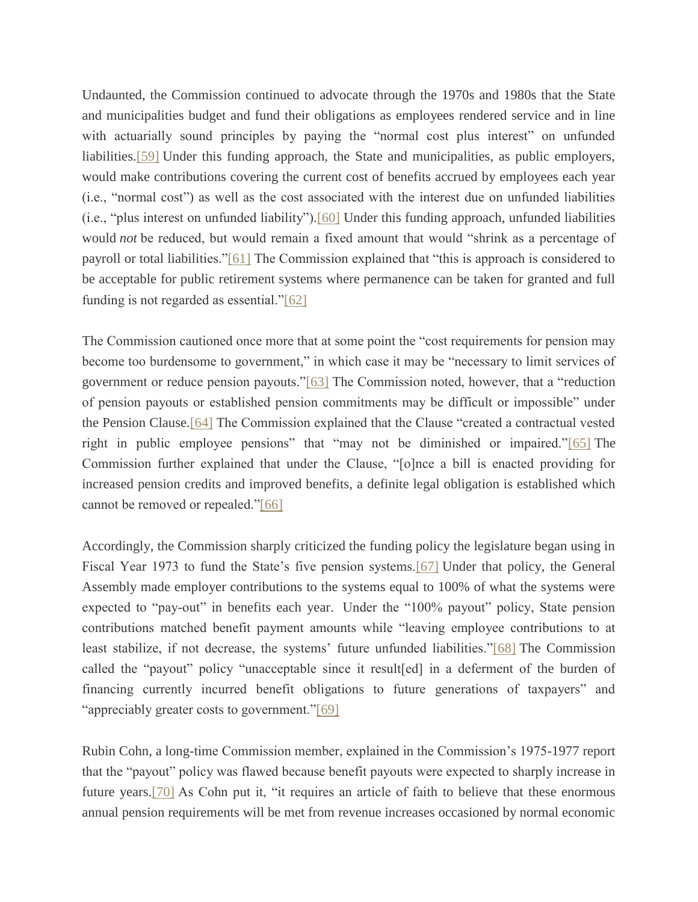Undaunted, the Commission continued to advocate through the 1970s and 1980s that the State and municipalities budget and fund their obligations as employees rendered service and in line with actuarially sound principles by paying the "normal cost plus interest" on unfunded liabilities[.\[59\]](file:///C:/Users/swyattj/Downloads/Illinois%20Public%20Pension%20Reform%20%20%20What) Under this funding approach, the State and municipalities, as public employers, would make contributions covering the current cost of benefits accrued by employees each year (i.e., "normal cost") as well as the cost associated with the interest due on unfunded liabilities (i.e., "plus interest on unfunded liability")[.\[60\]](file:///C:/Users/swyattj/Downloads/Illinois%20Public%20Pension%20Reform%20%20%20What) Under this funding approach, unfunded liabilities would *not* be reduced, but would remain a fixed amount that would "shrink as a percentage of payroll or total liabilities.["\[61\]](file:///C:/Users/swyattj/Downloads/Illinois%20Public%20Pension%20Reform%20%20%20What) The Commission explained that "this is approach is considered to be acceptable for public retirement systems where permanence can be taken for granted and full funding is not regarded as essential.["\[62\]](file:///C:/Users/swyattj/Downloads/Illinois%20Public%20Pension%20Reform%20%20%20What)

The Commission cautioned once more that at some point the "cost requirements for pension may become too burdensome to government," in which case it may be "necessary to limit services of government or reduce pension payouts.["\[63\]](file:///C:/Users/swyattj/Downloads/Illinois%20Public%20Pension%20Reform%20%20%20What) The Commission noted, however, that a "reduction of pension payouts or established pension commitments may be difficult or impossible" under the Pension Clause[.\[64\]](file:///C:/Users/swyattj/Downloads/Illinois%20Public%20Pension%20Reform%20%20%20What) The Commission explained that the Clause "created a contractual vested right in public employee pensions" that "may not be diminished or impaired.["\[65\]](file:///C:/Users/swyattj/Downloads/Illinois%20Public%20Pension%20Reform%20%20%20What) The Commission further explained that under the Clause, "[o]nce a bill is enacted providing for increased pension credits and improved benefits, a definite legal obligation is established which cannot be removed or repealed.["\[66\]](file:///C:/Users/swyattj/Downloads/Illinois%20Public%20Pension%20Reform%20%20%20What)

Accordingly, the Commission sharply criticized the funding policy the legislature began using in Fiscal Year 1973 to fund the State's five pension systems[.\[67\]](file:///C:/Users/swyattj/Downloads/Illinois%20Public%20Pension%20Reform%20%20%20What) Under that policy, the General Assembly made employer contributions to the systems equal to 100% of what the systems were expected to "pay-out" in benefits each year. Under the "100% payout" policy, State pension contributions matched benefit payment amounts while "leaving employee contributions to at least stabilize, if not decrease, the systems' future unfunded liabilities.["\[68\]](file:///C:/Users/swyattj/Downloads/Illinois%20Public%20Pension%20Reform%20%20%20What) The Commission called the "payout" policy "unacceptable since it result[ed] in a deferment of the burden of financing currently incurred benefit obligations to future generations of taxpayers" and "appreciably greater costs to government.["\[69\]](file:///C:/Users/swyattj/Downloads/Illinois%20Public%20Pension%20Reform%20%20%20What)

Rubin Cohn, a long-time Commission member, explained in the Commission's 1975-1977 report that the "payout" policy was flawed because benefit payouts were expected to sharply increase in future years[.\[70\]](file:///C:/Users/swyattj/Downloads/Illinois%20Public%20Pension%20Reform%20%20%20What) As Cohn put it, "it requires an article of faith to believe that these enormous annual pension requirements will be met from revenue increases occasioned by normal economic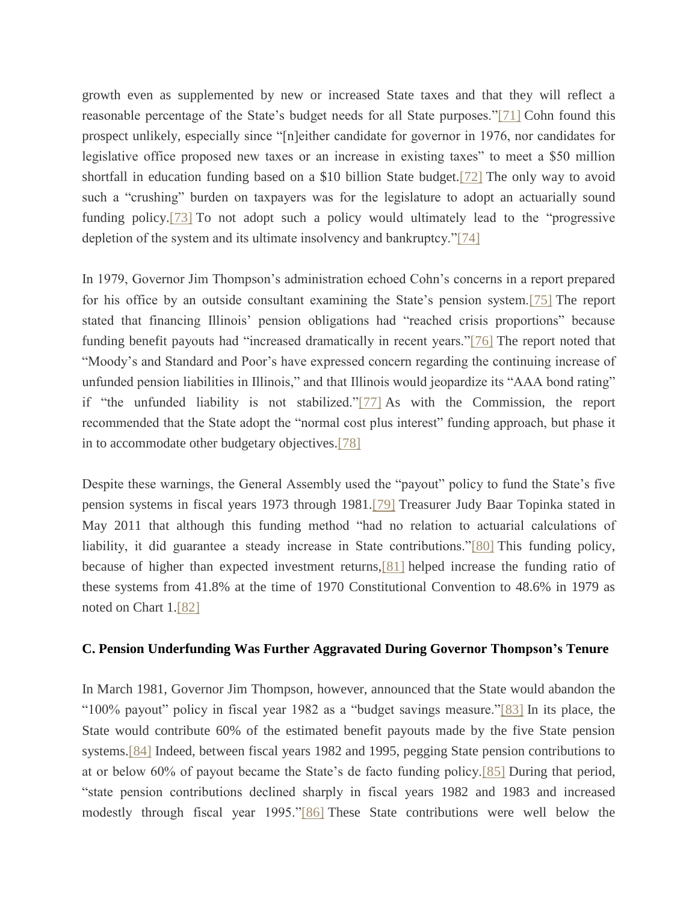growth even as supplemented by new or increased State taxes and that they will reflect a reasonable percentage of the State's budget needs for all State purposes.["\[71\]](file:///C:/Users/swyattj/Downloads/Illinois%20Public%20Pension%20Reform%20%20%20What) Cohn found this prospect unlikely, especially since "[n]either candidate for governor in 1976, nor candidates for legislative office proposed new taxes or an increase in existing taxes" to meet a \$50 million shortfall in education funding based on a \$10 billion State budget[.\[72\]](file:///C:/Users/swyattj/Downloads/Illinois%20Public%20Pension%20Reform%20%20%20What) The only way to avoid such a "crushing" burden on taxpayers was for the legislature to adopt an actuarially sound funding policy[.\[73\]](file:///C:/Users/swyattj/Downloads/Illinois%20Public%20Pension%20Reform%20%20%20What) To not adopt such a policy would ultimately lead to the "progressive depletion of the system and its ultimate insolvency and bankruptcy.["\[74\]](file:///C:/Users/swyattj/Downloads/Illinois%20Public%20Pension%20Reform%20%20%20What)

In 1979, Governor Jim Thompson's administration echoed Cohn's concerns in a report prepared for his office by an outside consultant examining the State's pension system[.\[75\]](file:///C:/Users/swyattj/Downloads/Illinois%20Public%20Pension%20Reform%20%20%20What) The report stated that financing Illinois' pension obligations had "reached crisis proportions" because funding benefit payouts had "increased dramatically in recent years.["\[76\]](file:///C:/Users/swyattj/Downloads/Illinois%20Public%20Pension%20Reform%20%20%20What) The report noted that "Moody's and Standard and Poor's have expressed concern regarding the continuing increase of unfunded pension liabilities in Illinois," and that Illinois would jeopardize its "AAA bond rating" if "the unfunded liability is not stabilized.["\[77\]](file:///C:/Users/swyattj/Downloads/Illinois%20Public%20Pension%20Reform%20%20%20What) As with the Commission, the report recommended that the State adopt the "normal cost plus interest" funding approach, but phase it in to accommodate other budgetary objectives[.\[78\]](file:///C:/Users/swyattj/Downloads/Illinois%20Public%20Pension%20Reform%20%20%20What)

Despite these warnings, the General Assembly used the "payout" policy to fund the State's five pension systems in fiscal years 1973 through 1981[.\[79\]](file:///C:/Users/swyattj/Downloads/Illinois%20Public%20Pension%20Reform%20%20%20What) Treasurer Judy Baar Topinka stated in May 2011 that although this funding method "had no relation to actuarial calculations of liability, it did guarantee a steady increase in State contributions.["\[80\]](file:///C:/Users/swyattj/Downloads/Illinois%20Public%20Pension%20Reform%20%20%20What) This funding policy, because of higher than expected investment returns[,\[81\]](file:///C:/Users/swyattj/Downloads/Illinois%20Public%20Pension%20Reform%20%20%20What) helped increase the funding ratio of these systems from 41.8% at the time of 1970 Constitutional Convention to 48.6% in 1979 as noted on Chart 1[.\[82\]](file:///C:/Users/swyattj/Downloads/Illinois%20Public%20Pension%20Reform%20%20%20What)

### **C. Pension Underfunding Was Further Aggravated During Governor Thompson's Tenure**

In March 1981, Governor Jim Thompson, however, announced that the State would abandon the "100% payout" policy in fiscal year 1982 as a "budget savings measure.["\[83\]](file:///C:/Users/swyattj/Downloads/Illinois%20Public%20Pension%20Reform%20%20%20What) In its place, the State would contribute 60% of the estimated benefit payouts made by the five State pension systems[.\[84\]](file:///C:/Users/swyattj/Downloads/Illinois%20Public%20Pension%20Reform%20%20%20What) Indeed, between fiscal years 1982 and 1995, pegging State pension contributions to at or below 60% of payout became the State's de facto funding policy[.\[85\]](file:///C:/Users/swyattj/Downloads/Illinois%20Public%20Pension%20Reform%20%20%20What) During that period, "state pension contributions declined sharply in fiscal years 1982 and 1983 and increased modestly through fiscal year 1995.["\[86\]](file:///C:/Users/swyattj/Downloads/Illinois%20Public%20Pension%20Reform%20%20%20What) These State contributions were well below the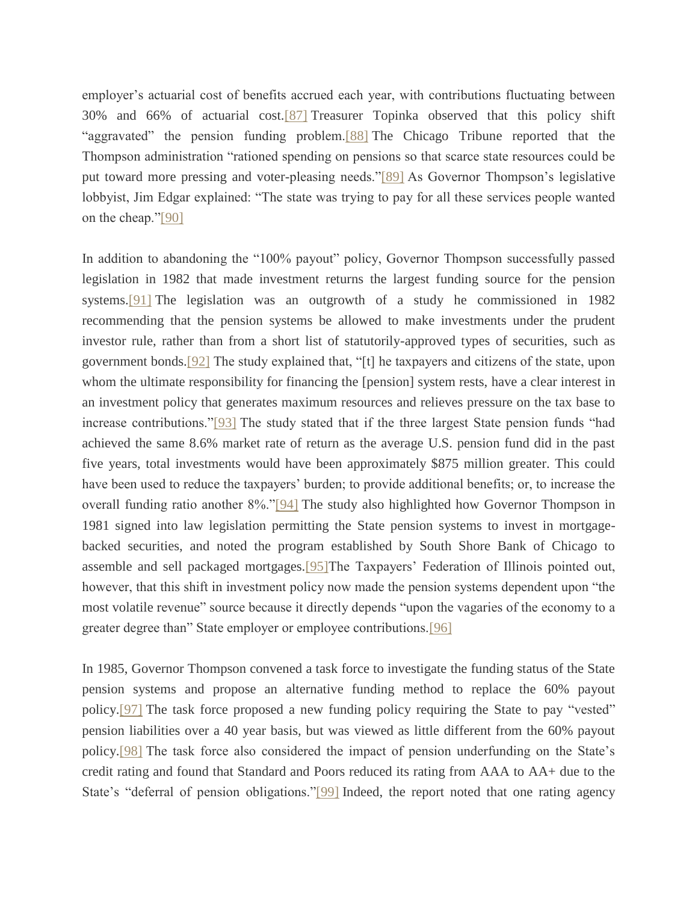employer's actuarial cost of benefits accrued each year, with contributions fluctuating between 30% and 66% of actuarial cost[.\[87\]](file:///C:/Users/swyattj/Downloads/Illinois%20Public%20Pension%20Reform%20%20%20What) Treasurer Topinka observed that this policy shift "aggravated" the pension funding problem[.\[88\]](file:///C:/Users/swyattj/Downloads/Illinois%20Public%20Pension%20Reform%20%20%20What) The Chicago Tribune reported that the Thompson administration "rationed spending on pensions so that scarce state resources could be put toward more pressing and voter-pleasing needs.["\[89\]](file:///C:/Users/swyattj/Downloads/Illinois%20Public%20Pension%20Reform%20%20%20What) As Governor Thompson's legislative lobbyist, Jim Edgar explained: "The state was trying to pay for all these services people wanted on the cheap.["\[90\]](file:///C:/Users/swyattj/Downloads/Illinois%20Public%20Pension%20Reform%20%20%20What)

In addition to abandoning the "100% payout" policy, Governor Thompson successfully passed legislation in 1982 that made investment returns the largest funding source for the pension systems.<sup>[91]</sup> The legislation was an outgrowth of a study he commissioned in 1982 recommending that the pension systems be allowed to make investments under the prudent investor rule, rather than from a short list of statutorily-approved types of securities, such as government bonds[.\[92\]](file:///C:/Users/swyattj/Downloads/Illinois%20Public%20Pension%20Reform%20%20%20What) The study explained that, "[t] he taxpayers and citizens of the state, upon whom the ultimate responsibility for financing the [pension] system rests, have a clear interest in an investment policy that generates maximum resources and relieves pressure on the tax base to increase contributions.["\[93\]](file:///C:/Users/swyattj/Downloads/Illinois%20Public%20Pension%20Reform%20%20%20What) The study stated that if the three largest State pension funds "had achieved the same 8.6% market rate of return as the average U.S. pension fund did in the past five years, total investments would have been approximately \$875 million greater. This could have been used to reduce the taxpayers' burden; to provide additional benefits; or, to increase the overall funding ratio another 8%.["\[94\]](file:///C:/Users/swyattj/Downloads/Illinois%20Public%20Pension%20Reform%20%20%20What) The study also highlighted how Governor Thompson in 1981 signed into law legislation permitting the State pension systems to invest in mortgagebacked securities, and noted the program established by South Shore Bank of Chicago to assemble and sell packaged mortgages[.\[95\]T](file:///C:/Users/swyattj/Downloads/Illinois%20Public%20Pension%20Reform%20%20%20What)he Taxpayers' Federation of Illinois pointed out, however, that this shift in investment policy now made the pension systems dependent upon "the most volatile revenue" source because it directly depends "upon the vagaries of the economy to a greater degree than" State employer or employee contributions[.\[96\]](file:///C:/Users/swyattj/Downloads/Illinois%20Public%20Pension%20Reform%20%20%20What)

In 1985, Governor Thompson convened a task force to investigate the funding status of the State pension systems and propose an alternative funding method to replace the 60% payout policy[.\[97\]](file:///C:/Users/swyattj/Downloads/Illinois%20Public%20Pension%20Reform%20%20%20What) The task force proposed a new funding policy requiring the State to pay "vested" pension liabilities over a 40 year basis, but was viewed as little different from the 60% payout policy[.\[98\]](file:///C:/Users/swyattj/Downloads/Illinois%20Public%20Pension%20Reform%20%20%20What) The task force also considered the impact of pension underfunding on the State's credit rating and found that Standard and Poors reduced its rating from AAA to AA+ due to the State's "deferral of pension obligations.["\[99\]](file:///C:/Users/swyattj/Downloads/Illinois%20Public%20Pension%20Reform%20%20%20What) Indeed, the report noted that one rating agency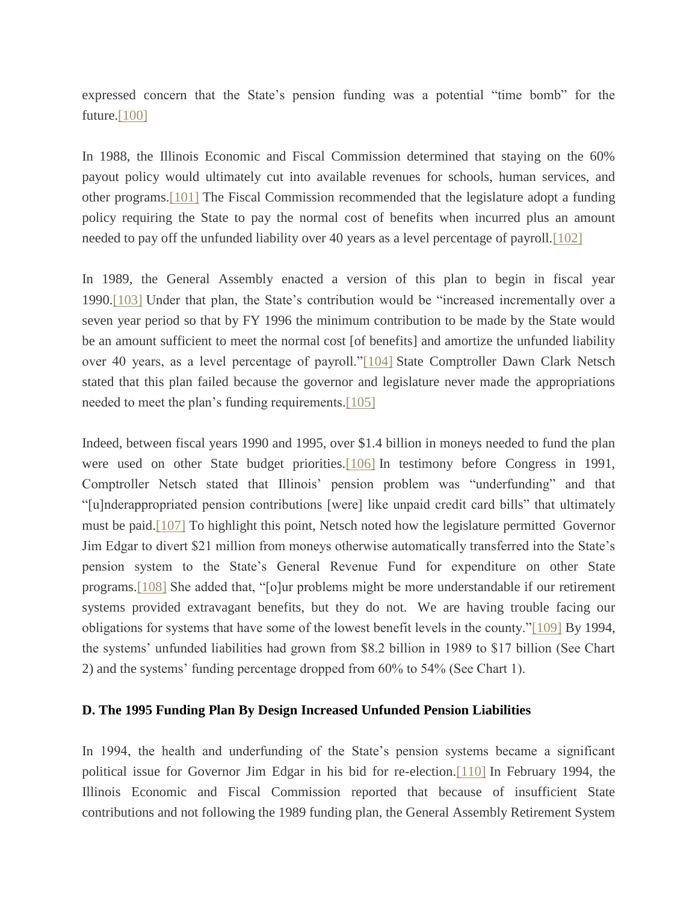expressed concern that the State's pension funding was a potential "time bomb" for the future. $[100]$ 

In 1988, the Illinois Economic and Fiscal Commission determined that staying on the 60% payout policy would ultimately cut into available revenues for schools, human services, and other programs[.\[101\]](file:///C:/Users/swyattj/Downloads/Illinois%20Public%20Pension%20Reform%20%20%20What) The Fiscal Commission recommended that the legislature adopt a funding policy requiring the State to pay the normal cost of benefits when incurred plus an amount needed to pay off the unfunded liability over 40 years as a level percentage of payroll[.\[102\]](file:///C:/Users/swyattj/Downloads/Illinois%20Public%20Pension%20Reform%20%20%20What)

In 1989, the General Assembly enacted a version of this plan to begin in fiscal year 1990[.\[103\]](file:///C:/Users/swyattj/Downloads/Illinois%20Public%20Pension%20Reform%20%20%20What) Under that plan, the State's contribution would be "increased incrementally over a seven year period so that by FY 1996 the minimum contribution to be made by the State would be an amount sufficient to meet the normal cost [of benefits] and amortize the unfunded liability over 40 years, as a level percentage of payroll.["\[104\]](file:///C:/Users/swyattj/Downloads/Illinois%20Public%20Pension%20Reform%20%20%20What) State Comptroller Dawn Clark Netsch stated that this plan failed because the governor and legislature never made the appropriations needed to meet the plan's funding requirements[.\[105\]](file:///C:/Users/swyattj/Downloads/Illinois%20Public%20Pension%20Reform%20%20%20What)

Indeed, between fiscal years 1990 and 1995, over \$1.4 billion in moneys needed to fund the plan were used on other State budget priorities[.\[106\]](file:///C:/Users/swyattj/Downloads/Illinois%20Public%20Pension%20Reform%20%20%20What) In testimony before Congress in 1991, Comptroller Netsch stated that Illinois' pension problem was "underfunding" and that "[u]nderappropriated pension contributions [were] like unpaid credit card bills" that ultimately must be paid[.\[107\]](file:///C:/Users/swyattj/Downloads/Illinois%20Public%20Pension%20Reform%20%20%20What) To highlight this point, Netsch noted how the legislature permitted Governor Jim Edgar to divert \$21 million from moneys otherwise automatically transferred into the State's pension system to the State's General Revenue Fund for expenditure on other State programs[.\[108\]](file:///C:/Users/swyattj/Downloads/Illinois%20Public%20Pension%20Reform%20%20%20What) She added that, "[o]ur problems might be more understandable if our retirement systems provided extravagant benefits, but they do not. We are having trouble facing our obligations for systems that have some of the lowest benefit levels in the county.["\[109\]](file:///C:/Users/swyattj/Downloads/Illinois%20Public%20Pension%20Reform%20%20%20What) By 1994, the systems' unfunded liabilities had grown from \$8.2 billion in 1989 to \$17 billion (See Chart 2) and the systems' funding percentage dropped from 60% to 54% (See Chart 1).

# **D. The 1995 Funding Plan By Design Increased Unfunded Pension Liabilities**

In 1994, the health and underfunding of the State's pension systems became a significant political issue for Governor Jim Edgar in his bid for re-election[.\[110\]](file:///C:/Users/swyattj/Downloads/Illinois%20Public%20Pension%20Reform%20%20%20What) In February 1994, the Illinois Economic and Fiscal Commission reported that because of insufficient State contributions and not following the 1989 funding plan, the General Assembly Retirement System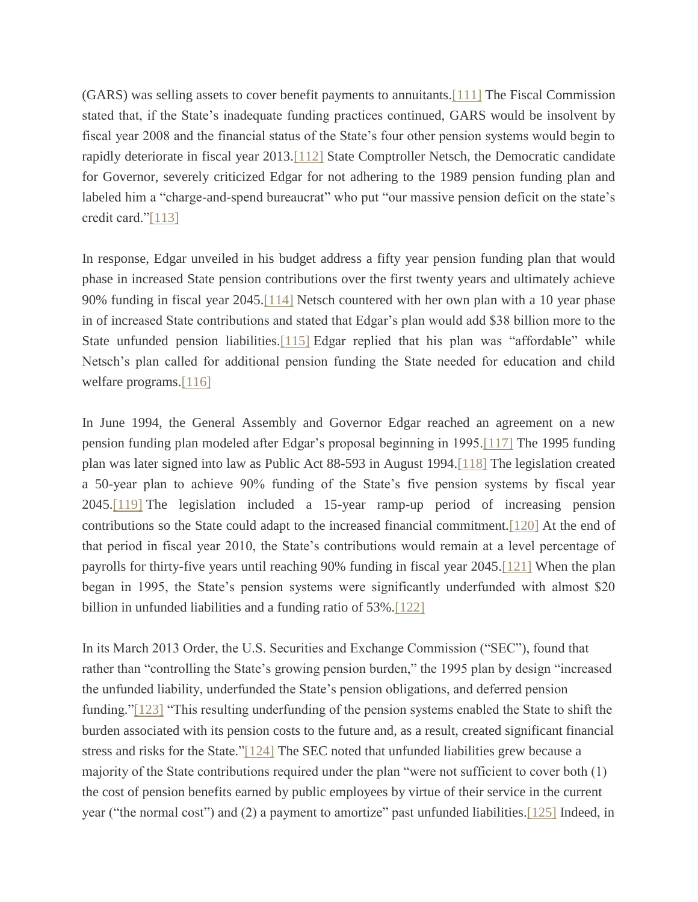(GARS) was selling assets to cover benefit payments to annuitants[.\[111\]](file:///C:/Users/swyattj/Downloads/Illinois%20Public%20Pension%20Reform%20%20%20What) The Fiscal Commission stated that, if the State's inadequate funding practices continued, GARS would be insolvent by fiscal year 2008 and the financial status of the State's four other pension systems would begin to rapidly deteriorate in fiscal year 2013[.\[112\]](file:///C:/Users/swyattj/Downloads/Illinois%20Public%20Pension%20Reform%20%20%20What) State Comptroller Netsch, the Democratic candidate for Governor, severely criticized Edgar for not adhering to the 1989 pension funding plan and labeled him a "charge-and-spend bureaucrat" who put "our massive pension deficit on the state's credit card.["\[113\]](file:///C:/Users/swyattj/Downloads/Illinois%20Public%20Pension%20Reform%20%20%20What)

In response, Edgar unveiled in his budget address a fifty year pension funding plan that would phase in increased State pension contributions over the first twenty years and ultimately achieve 90% funding in fiscal year 2045[.\[114\]](file:///C:/Users/swyattj/Downloads/Illinois%20Public%20Pension%20Reform%20%20%20What) Netsch countered with her own plan with a 10 year phase in of increased State contributions and stated that Edgar's plan would add \$38 billion more to the State unfunded pension liabilities.<sup>[115]</sup> Edgar replied that his plan was "affordable" while Netsch's plan called for additional pension funding the State needed for education and child welfare programs[.\[116\]](file:///C:/Users/swyattj/Downloads/Illinois%20Public%20Pension%20Reform%20%20%20What)

In June 1994, the General Assembly and Governor Edgar reached an agreement on a new pension funding plan modeled after Edgar's proposal beginning in 1995[.\[117\]](file:///C:/Users/swyattj/Downloads/Illinois%20Public%20Pension%20Reform%20%20%20What) The 1995 funding plan was later signed into law as Public Act 88-593 in August 1994[.\[118\]](file:///C:/Users/swyattj/Downloads/Illinois%20Public%20Pension%20Reform%20%20%20What) The legislation created a 50-year plan to achieve 90% funding of the State's five pension systems by fiscal year 2045[.\[119\]](file:///C:/Users/swyattj/Downloads/Illinois%20Public%20Pension%20Reform%20%20%20What) The legislation included a 15-year ramp-up period of increasing pension contributions so the State could adapt to the increased financial commitment[.\[120\]](file:///C:/Users/swyattj/Downloads/Illinois%20Public%20Pension%20Reform%20%20%20What) At the end of that period in fiscal year 2010, the State's contributions would remain at a level percentage of payrolls for thirty-five years until reaching 90% funding in fiscal year 2045[.\[121\]](file:///C:/Users/swyattj/Downloads/Illinois%20Public%20Pension%20Reform%20%20%20What) When the plan began in 1995, the State's pension systems were significantly underfunded with almost \$20 billion in unfunded liabilities and a funding ratio of 53%[.\[122\]](file:///C:/Users/swyattj/Downloads/Illinois%20Public%20Pension%20Reform%20%20%20What)

In its March 2013 Order, the U.S. Securities and Exchange Commission ("SEC"), found that rather than "controlling the State's growing pension burden," the 1995 plan by design "increased the unfunded liability, underfunded the State's pension obligations, and deferred pension funding.["\[123\]](file:///C:/Users/swyattj/Downloads/Illinois%20Public%20Pension%20Reform%20%20%20What) "This resulting underfunding of the pension systems enabled the State to shift the burden associated with its pension costs to the future and, as a result, created significant financial stress and risks for the State.["\[124\]](file:///C:/Users/swyattj/Downloads/Illinois%20Public%20Pension%20Reform%20%20%20What) The SEC noted that unfunded liabilities grew because a majority of the State contributions required under the plan "were not sufficient to cover both (1) the cost of pension benefits earned by public employees by virtue of their service in the current year ("the normal cost") and (2) a payment to amortize" past unfunded liabilities[.\[125\]](file:///C:/Users/swyattj/Downloads/Illinois%20Public%20Pension%20Reform%20%20%20What) Indeed, in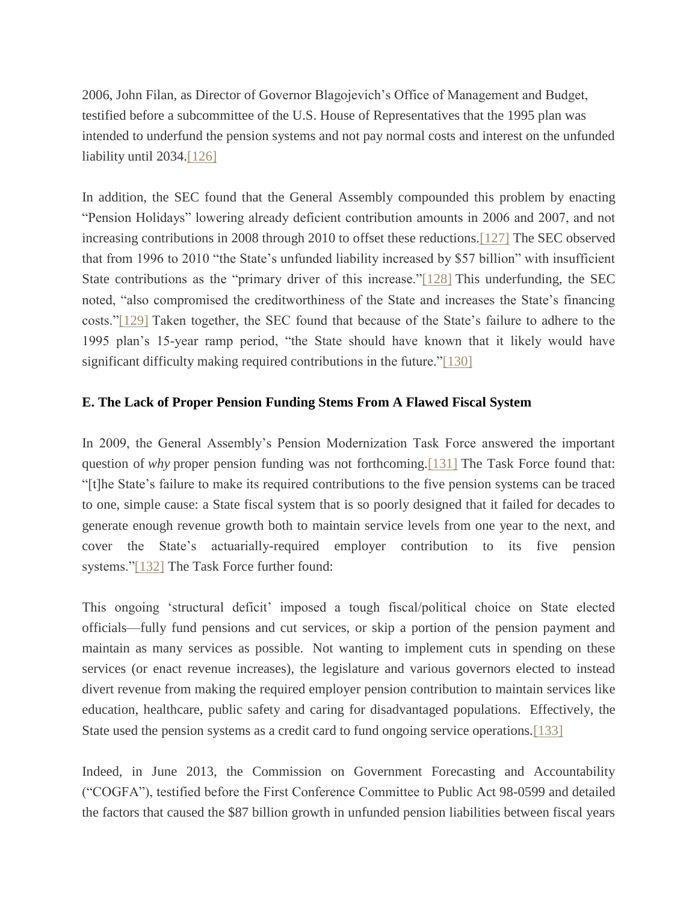2006, John Filan, as Director of Governor Blagojevich's Office of Management and Budget, testified before a subcommittee of the U.S. House of Representatives that the 1995 plan was intended to underfund the pension systems and not pay normal costs and interest on the unfunded liability until 2034[.\[126\]](file:///C:/Users/swyattj/Downloads/Illinois%20Public%20Pension%20Reform%20%20%20What)

In addition, the SEC found that the General Assembly compounded this problem by enacting "Pension Holidays" lowering already deficient contribution amounts in 2006 and 2007, and not increasing contributions in 2008 through 2010 to offset these reductions[.\[127\]](file:///C:/Users/swyattj/Downloads/Illinois%20Public%20Pension%20Reform%20%20%20What) The SEC observed that from 1996 to 2010 "the State's unfunded liability increased by \$57 billion" with insufficient State contributions as the "primary driver of this increase.["\[128\]](file:///C:/Users/swyattj/Downloads/Illinois%20Public%20Pension%20Reform%20%20%20What) This underfunding, the SEC noted, "also compromised the creditworthiness of the State and increases the State's financing costs.["\[129\]](file:///C:/Users/swyattj/Downloads/Illinois%20Public%20Pension%20Reform%20%20%20What) Taken together, the SEC found that because of the State's failure to adhere to the 1995 plan's 15-year ramp period, "the State should have known that it likely would have significant difficulty making required contributions in the future.["\[130\]](file:///C:/Users/swyattj/Downloads/Illinois%20Public%20Pension%20Reform%20%20%20What)

# **E. The Lack of Proper Pension Funding Stems From A Flawed Fiscal System**

In 2009, the General Assembly's Pension Modernization Task Force answered the important question of *why* proper pension funding was not forthcoming[.\[131\]](file:///C:/Users/swyattj/Downloads/Illinois%20Public%20Pension%20Reform%20%20%20What) The Task Force found that: "[t]he State's failure to make its required contributions to the five pension systems can be traced to one, simple cause: a State fiscal system that is so poorly designed that it failed for decades to generate enough revenue growth both to maintain service levels from one year to the next, and cover the State's actuarially-required employer contribution to its five pension systems.["\[132\]](file:///C:/Users/swyattj/Downloads/Illinois%20Public%20Pension%20Reform%20%20%20What) The Task Force further found:

This ongoing 'structural deficit' imposed a tough fiscal/political choice on State elected officials—fully fund pensions and cut services, or skip a portion of the pension payment and maintain as many services as possible. Not wanting to implement cuts in spending on these services (or enact revenue increases), the legislature and various governors elected to instead divert revenue from making the required employer pension contribution to maintain services like education, healthcare, public safety and caring for disadvantaged populations. Effectively, the State used the pension systems as a credit card to fund ongoing service operations[.\[133\]](file:///C:/Users/swyattj/Downloads/Illinois%20Public%20Pension%20Reform%20%20%20What)

Indeed, in June 2013, the Commission on Government Forecasting and Accountability ("COGFA"), testified before the First Conference Committee to Public Act 98-0599 and detailed the factors that caused the \$87 billion growth in unfunded pension liabilities between fiscal years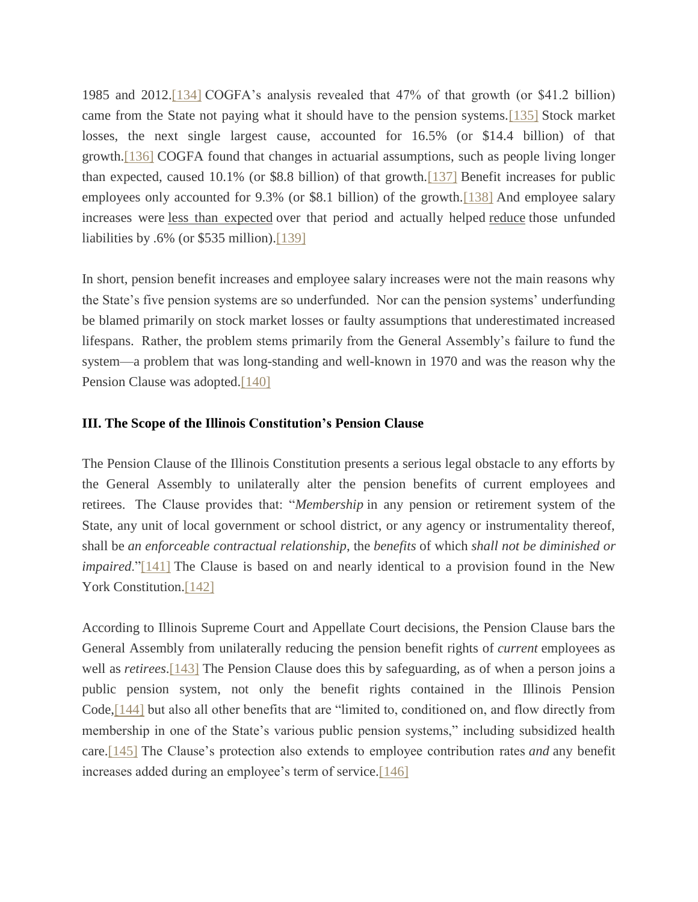1985 and 2012[.\[134\]](file:///C:/Users/swyattj/Downloads/Illinois%20Public%20Pension%20Reform%20%20%20What) COGFA's analysis revealed that 47% of that growth (or \$41.2 billion) came from the State not paying what it should have to the pension systems[.\[135\]](file:///C:/Users/swyattj/Downloads/Illinois%20Public%20Pension%20Reform%20%20%20What) Stock market losses, the next single largest cause, accounted for 16.5% (or \$14.4 billion) of that growth[.\[136\]](file:///C:/Users/swyattj/Downloads/Illinois%20Public%20Pension%20Reform%20%20%20What) COGFA found that changes in actuarial assumptions, such as people living longer than expected, caused 10.1% (or \$8.8 billion) of that growth[.\[137\]](file:///C:/Users/swyattj/Downloads/Illinois%20Public%20Pension%20Reform%20%20%20What) Benefit increases for public employees only accounted for 9.3% (or \$8.1 billion) of the growth[.\[138\]](file:///C:/Users/swyattj/Downloads/Illinois%20Public%20Pension%20Reform%20%20%20What) And employee salary increases were less than expected over that period and actually helped reduce those unfunded liabilities by .6% (or \$535 million)[.\[139\]](file:///C:/Users/swyattj/Downloads/Illinois%20Public%20Pension%20Reform%20%20%20What)

In short, pension benefit increases and employee salary increases were not the main reasons why the State's five pension systems are so underfunded. Nor can the pension systems' underfunding be blamed primarily on stock market losses or faulty assumptions that underestimated increased lifespans. Rather, the problem stems primarily from the General Assembly's failure to fund the system—a problem that was long-standing and well-known in 1970 and was the reason why the Pension Clause was adopted.<sup>[140]</sup>

### **III. The Scope of the Illinois Constitution's Pension Clause**

The Pension Clause of the Illinois Constitution presents a serious legal obstacle to any efforts by the General Assembly to unilaterally alter the pension benefits of current employees and retirees. The Clause provides that: "*Membership* in any pension or retirement system of the State, any unit of local government or school district, or any agency or instrumentality thereof, shall be *an enforceable contractual relationship*, the *benefits* of which *shall not be diminished or impaired*.["\[141\]](file:///C:/Users/swyattj/Downloads/Illinois%20Public%20Pension%20Reform%20%20%20What) The Clause is based on and nearly identical to a provision found in the New York Constitution.<sup>[142]</sup>

According to Illinois Supreme Court and Appellate Court decisions, the Pension Clause bars the General Assembly from unilaterally reducing the pension benefit rights of *current* employees as well as *retirees*[.\[143\]](file:///C:/Users/swyattj/Downloads/Illinois%20Public%20Pension%20Reform%20%20%20What) The Pension Clause does this by safeguarding, as of when a person joins a public pension system, not only the benefit rights contained in the Illinois Pension Code[,\[144\]](file:///C:/Users/swyattj/Downloads/Illinois%20Public%20Pension%20Reform%20%20%20What) but also all other benefits that are "limited to, conditioned on, and flow directly from membership in one of the State's various public pension systems," including subsidized health care[.\[145\]](file:///C:/Users/swyattj/Downloads/Illinois%20Public%20Pension%20Reform%20%20%20What) The Clause's protection also extends to employee contribution rates *and* any benefit increases added during an employee's term of service[.\[146\]](file:///C:/Users/swyattj/Downloads/Illinois%20Public%20Pension%20Reform%20%20%20What)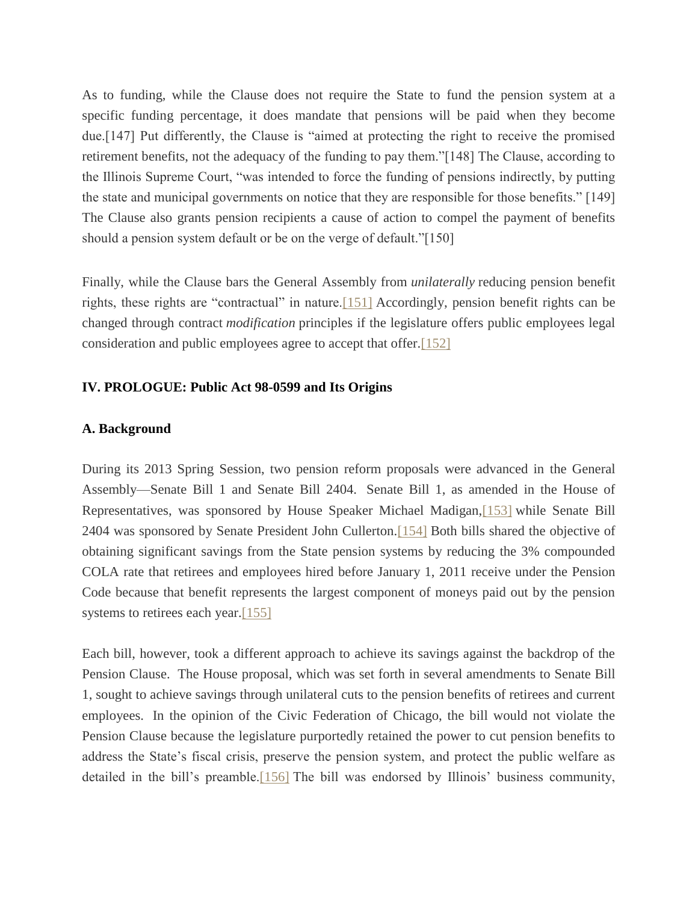As to funding, while the Clause does not require the State to fund the pension system at a specific funding percentage, it does mandate that pensions will be paid when they become due.[147] Put differently, the Clause is "aimed at protecting the right to receive the promised retirement benefits, not the adequacy of the funding to pay them."[148] The Clause, according to the Illinois Supreme Court, "was intended to force the funding of pensions indirectly, by putting the state and municipal governments on notice that they are responsible for those benefits." [149] The Clause also grants pension recipients a cause of action to compel the payment of benefits should a pension system default or be on the verge of default."[150]

Finally, while the Clause bars the General Assembly from *unilaterally* reducing pension benefit rights, these rights are "contractual" in nature[.\[151\]](file:///C:/Users/swyattj/Downloads/Illinois%20Public%20Pension%20Reform%20%20%20What) Accordingly, pension benefit rights can be changed through contract *modification* principles if the legislature offers public employees legal consideration and public employees agree to accept that offer[.\[152\]](file:///C:/Users/swyattj/Downloads/Illinois%20Public%20Pension%20Reform%20%20%20What)

# **IV. PROLOGUE: Public Act 98-0599 and Its Origins**

## **A. Background**

During its 2013 Spring Session, two pension reform proposals were advanced in the General Assembly—Senate Bill 1 and Senate Bill 2404. Senate Bill 1, as amended in the House of Representatives, was sponsored by House Speaker Michael Madigan[,\[153\]](file:///C:/Users/swyattj/Downloads/Illinois%20Public%20Pension%20Reform%20%20%20What) while Senate Bill 2404 was sponsored by Senate President John Cullerton[.\[154\]](file:///C:/Users/swyattj/Downloads/Illinois%20Public%20Pension%20Reform%20%20%20What) Both bills shared the objective of obtaining significant savings from the State pension systems by reducing the 3% compounded COLA rate that retirees and employees hired before January 1, 2011 receive under the Pension Code because that benefit represents the largest component of moneys paid out by the pension systems to retirees each year.<sup>[155]</sup>

Each bill, however, took a different approach to achieve its savings against the backdrop of the Pension Clause. The House proposal, which was set forth in several amendments to Senate Bill 1, sought to achieve savings through unilateral cuts to the pension benefits of retirees and current employees. In the opinion of the Civic Federation of Chicago, the bill would not violate the Pension Clause because the legislature purportedly retained the power to cut pension benefits to address the State's fiscal crisis, preserve the pension system, and protect the public welfare as detailed in the bill's preamble[.\[156\]](file:///C:/Users/swyattj/Downloads/Illinois%20Public%20Pension%20Reform%20%20%20What) The bill was endorsed by Illinois' business community,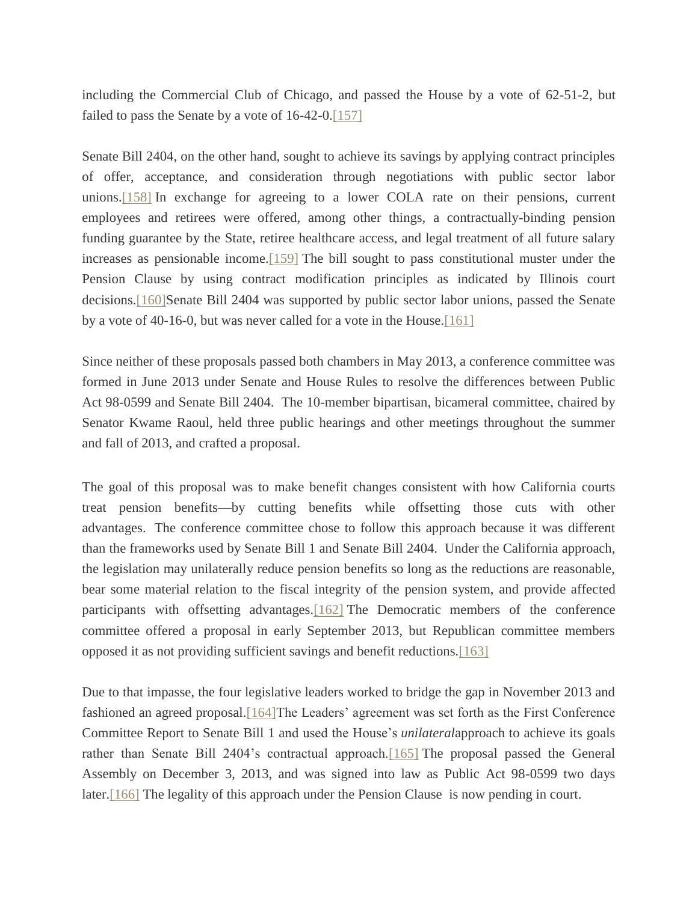including the Commercial Club of Chicago, and passed the House by a vote of 62-51-2, but failed to pass the Senate by a vote of 16-42-0[.\[157\]](file:///C:/Users/swyattj/Downloads/Illinois%20Public%20Pension%20Reform%20%20%20What)

Senate Bill 2404, on the other hand, sought to achieve its savings by applying contract principles of offer, acceptance, and consideration through negotiations with public sector labor unions[.\[158\]](file:///C:/Users/swyattj/Downloads/Illinois%20Public%20Pension%20Reform%20%20%20What) In exchange for agreeing to a lower COLA rate on their pensions, current employees and retirees were offered, among other things, a contractually-binding pension funding guarantee by the State, retiree healthcare access, and legal treatment of all future salary increases as pensionable income[.\[159\]](file:///C:/Users/swyattj/Downloads/Illinois%20Public%20Pension%20Reform%20%20%20What) The bill sought to pass constitutional muster under the Pension Clause by using contract modification principles as indicated by Illinois court decisions[.\[160\]S](file:///C:/Users/swyattj/Downloads/Illinois%20Public%20Pension%20Reform%20%20%20What)enate Bill 2404 was supported by public sector labor unions, passed the Senate by a vote of 40-16-0, but was never called for a vote in the House[.\[161\]](file:///C:/Users/swyattj/Downloads/Illinois%20Public%20Pension%20Reform%20%20%20What)

Since neither of these proposals passed both chambers in May 2013, a conference committee was formed in June 2013 under Senate and House Rules to resolve the differences between Public Act 98-0599 and Senate Bill 2404. The 10-member bipartisan, bicameral committee, chaired by Senator Kwame Raoul, held three public hearings and other meetings throughout the summer and fall of 2013, and crafted a proposal.

The goal of this proposal was to make benefit changes consistent with how California courts treat pension benefits—by cutting benefits while offsetting those cuts with other advantages. The conference committee chose to follow this approach because it was different than the frameworks used by Senate Bill 1 and Senate Bill 2404. Under the California approach, the legislation may unilaterally reduce pension benefits so long as the reductions are reasonable, bear some material relation to the fiscal integrity of the pension system, and provide affected participants with offsetting advantages.<sup>[162]</sup> The Democratic members of the conference committee offered a proposal in early September 2013, but Republican committee members opposed it as not providing sufficient savings and benefit reductions[.\[163\]](file:///C:/Users/swyattj/Downloads/Illinois%20Public%20Pension%20Reform%20%20%20What)

Due to that impasse, the four legislative leaders worked to bridge the gap in November 2013 and fashioned an agreed proposal[.\[164\]T](file:///C:/Users/swyattj/Downloads/Illinois%20Public%20Pension%20Reform%20%20%20What)he Leaders' agreement was set forth as the First Conference Committee Report to Senate Bill 1 and used the House's *unilateral*approach to achieve its goals rather than Senate Bill 2404's contractual approach[.\[165\]](file:///C:/Users/swyattj/Downloads/Illinois%20Public%20Pension%20Reform%20%20%20What) The proposal passed the General Assembly on December 3, 2013, and was signed into law as Public Act 98-0599 two days later[.\[166\]](file:///C:/Users/swyattj/Downloads/Illinois%20Public%20Pension%20Reform%20%20%20What) The legality of this approach under the Pension Clause is now pending in court.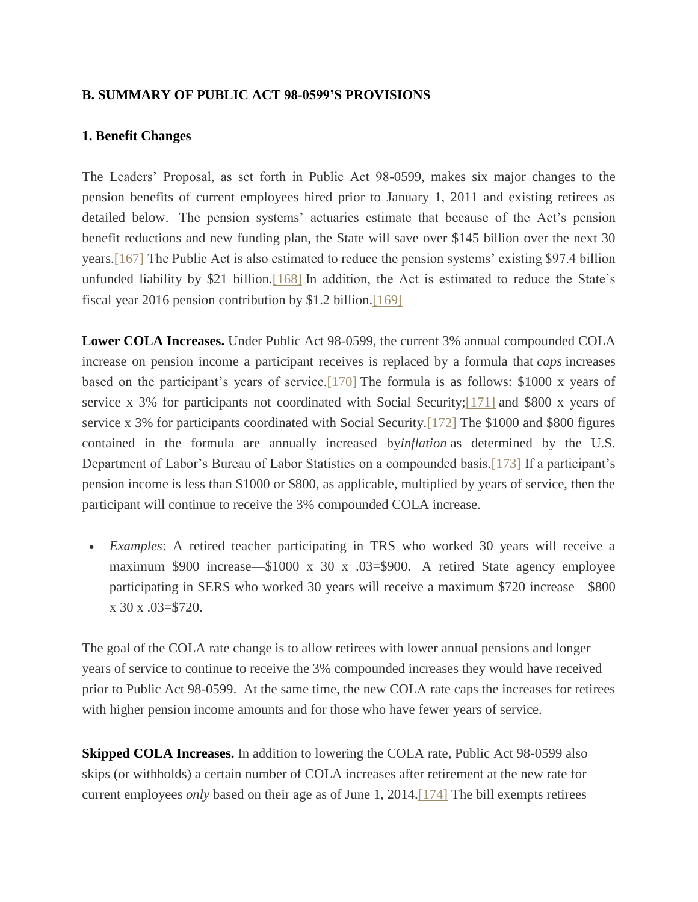## **B. SUMMARY OF PUBLIC ACT 98-0599'S PROVISIONS**

## **1. Benefit Changes**

The Leaders' Proposal, as set forth in Public Act 98-0599, makes six major changes to the pension benefits of current employees hired prior to January 1, 2011 and existing retirees as detailed below. The pension systems' actuaries estimate that because of the Act's pension benefit reductions and new funding plan, the State will save over \$145 billion over the next 30 years[.\[167\]](file:///C:/Users/swyattj/Downloads/Illinois%20Public%20Pension%20Reform%20%20%20What) The Public Act is also estimated to reduce the pension systems' existing \$97.4 billion unfunded liability by \$21 billion.  $[168]$  In addition, the Act is estimated to reduce the State's fiscal year 2016 pension contribution by \$1.2 billion[.\[169\]](file:///C:/Users/swyattj/Downloads/Illinois%20Public%20Pension%20Reform%20%20%20What)

**Lower COLA Increases.** Under Public Act 98-0599, the current 3% annual compounded COLA increase on pension income a participant receives is replaced by a formula that *caps* increases based on the participant's years of service[.\[170\]](file:///C:/Users/swyattj/Downloads/Illinois%20Public%20Pension%20Reform%20%20%20What) The formula is as follows: \$1000 x years of service x 3% for participants not coordinated with Social Security[;\[171\]](file:///C:/Users/swyattj/Downloads/Illinois%20Public%20Pension%20Reform%20%20%20What) and \$800 x years of service x 3% for participants coordinated with Social Security[.\[172\]](file:///C:/Users/swyattj/Downloads/Illinois%20Public%20Pension%20Reform%20%20%20What) The \$1000 and \$800 figures contained in the formula are annually increased by*inflation* as determined by the U.S. Department of Labor's Bureau of Labor Statistics on a compounded basis[.\[173\]](file:///C:/Users/swyattj/Downloads/Illinois%20Public%20Pension%20Reform%20%20%20What) If a participant's pension income is less than \$1000 or \$800, as applicable, multiplied by years of service, then the participant will continue to receive the 3% compounded COLA increase.

 *Examples*: A retired teacher participating in TRS who worked 30 years will receive a maximum \$900 increase—\$1000 x 30 x .03=\$900. A retired State agency employee participating in SERS who worked 30 years will receive a maximum \$720 increase—\$800  $x 30 x 03 = $720.$ 

The goal of the COLA rate change is to allow retirees with lower annual pensions and longer years of service to continue to receive the 3% compounded increases they would have received prior to Public Act 98-0599. At the same time, the new COLA rate caps the increases for retirees with higher pension income amounts and for those who have fewer years of service.

**Skipped COLA Increases.** In addition to lowering the COLA rate, Public Act 98-0599 also skips (or withholds) a certain number of COLA increases after retirement at the new rate for current employees *only* based on their age as of June 1, 2014[.\[174\]](file:///C:/Users/swyattj/Downloads/Illinois%20Public%20Pension%20Reform%20%20%20What) The bill exempts retirees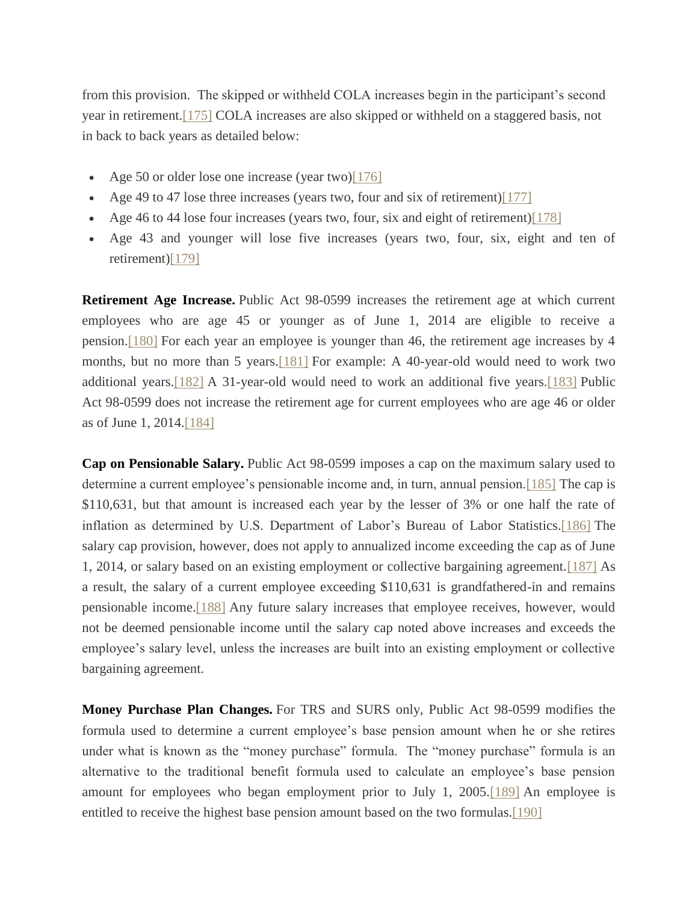from this provision. The skipped or withheld COLA increases begin in the participant's second year in retirement[.\[175\]](file:///C:/Users/swyattj/Downloads/Illinois%20Public%20Pension%20Reform%20%20%20What) COLA increases are also skipped or withheld on a staggered basis, not in back to back years as detailed below:

- Age 50 or older lose one increase (year two) $[176]$
- Age 49 to 47 lose three increases (years two, four and six of retirement[\)\[177\]](file:///C:/Users/swyattj/Downloads/Illinois%20Public%20Pension%20Reform%20%20%20What)
- Age 46 to 44 lose four increases (years two, four, six and eight of retirement[\)\[178\]](file:///C:/Users/swyattj/Downloads/Illinois%20Public%20Pension%20Reform%20%20%20What)
- Age 43 and younger will lose five increases (years two, four, six, eight and ten of retirement[\)\[179\]](file:///C:/Users/swyattj/Downloads/Illinois%20Public%20Pension%20Reform%20%20%20What)

**Retirement Age Increase.** Public Act 98-0599 increases the retirement age at which current employees who are age 45 or younger as of June 1, 2014 are eligible to receive a pension[.\[180\]](file:///C:/Users/swyattj/Downloads/Illinois%20Public%20Pension%20Reform%20%20%20What) For each year an employee is younger than 46, the retirement age increases by 4 months, but no more than 5 years[.\[181\]](file:///C:/Users/swyattj/Downloads/Illinois%20Public%20Pension%20Reform%20%20%20What) For example: A 40-year-old would need to work two additional years[.\[182\]](file:///C:/Users/swyattj/Downloads/Illinois%20Public%20Pension%20Reform%20%20%20What) A 31-year-old would need to work an additional five years[.\[183\]](file:///C:/Users/swyattj/Downloads/Illinois%20Public%20Pension%20Reform%20%20%20What) Public Act 98-0599 does not increase the retirement age for current employees who are age 46 or older as of June 1, 2014[.\[184\]](file:///C:/Users/swyattj/Downloads/Illinois%20Public%20Pension%20Reform%20%20%20What)

**Cap on Pensionable Salary.** Public Act 98-0599 imposes a cap on the maximum salary used to determine a current employee's pensionable income and, in turn, annual pension[.\[185\]](file:///C:/Users/swyattj/Downloads/Illinois%20Public%20Pension%20Reform%20%20%20What) The cap is \$110,631, but that amount is increased each year by the lesser of 3% or one half the rate of inflation as determined by U.S. Department of Labor's Bureau of Labor Statistics[.\[186\]](file:///C:/Users/swyattj/Downloads/Illinois%20Public%20Pension%20Reform%20%20%20What) The salary cap provision, however, does not apply to annualized income exceeding the cap as of June 1, 2014, or salary based on an existing employment or collective bargaining agreement[.\[187\]](file:///C:/Users/swyattj/Downloads/Illinois%20Public%20Pension%20Reform%20%20%20What) As a result, the salary of a current employee exceeding \$110,631 is grandfathered-in and remains pensionable income[.\[188\]](file:///C:/Users/swyattj/Downloads/Illinois%20Public%20Pension%20Reform%20%20%20What) Any future salary increases that employee receives, however, would not be deemed pensionable income until the salary cap noted above increases and exceeds the employee's salary level, unless the increases are built into an existing employment or collective bargaining agreement.

**Money Purchase Plan Changes.** For TRS and SURS only, Public Act 98-0599 modifies the formula used to determine a current employee's base pension amount when he or she retires under what is known as the "money purchase" formula. The "money purchase" formula is an alternative to the traditional benefit formula used to calculate an employee's base pension amount for employees who began employment prior to July 1, 2005[.\[189\]](file:///C:/Users/swyattj/Downloads/Illinois%20Public%20Pension%20Reform%20%20%20What) An employee is entitled to receive the highest base pension amount based on the two formulas[.\[190\]](file:///C:/Users/swyattj/Downloads/Illinois%20Public%20Pension%20Reform%20%20%20What)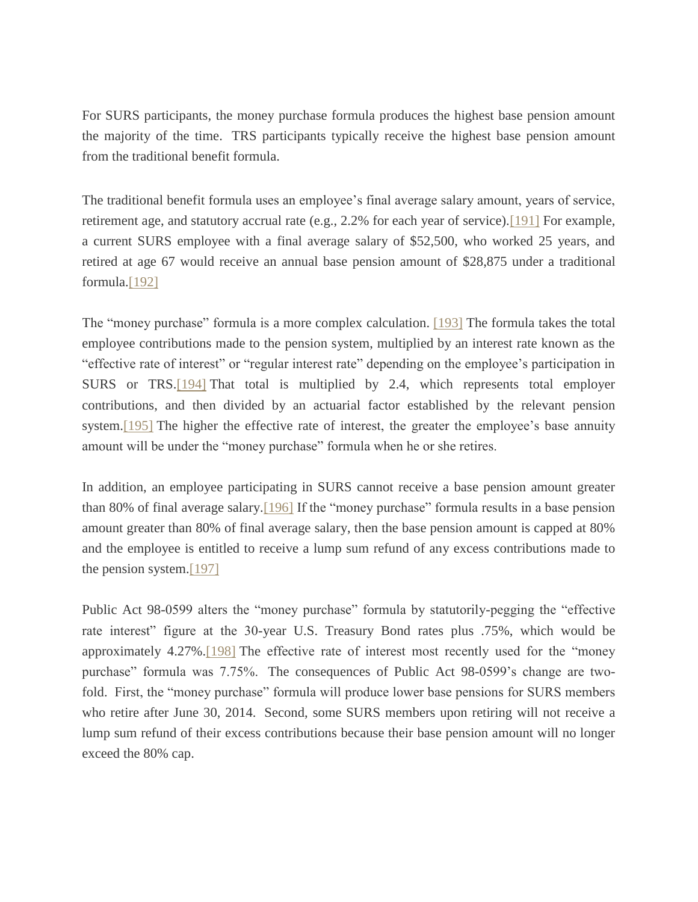For SURS participants, the money purchase formula produces the highest base pension amount the majority of the time. TRS participants typically receive the highest base pension amount from the traditional benefit formula.

The traditional benefit formula uses an employee's final average salary amount, years of service, retirement age, and statutory accrual rate (e.g., 2.2% for each year of service)[.\[191\]](file:///C:/Users/swyattj/Downloads/Illinois%20Public%20Pension%20Reform%20%20%20What) For example, a current SURS employee with a final average salary of \$52,500, who worked 25 years, and retired at age 67 would receive an annual base pension amount of \$28,875 under a traditional formula.<sup>[192]</sup>

The "money purchase" formula is a more complex calculation. [\[193\]](file:///C:/Users/swyattj/Downloads/Illinois%20Public%20Pension%20Reform%20%20%20What) The formula takes the total employee contributions made to the pension system, multiplied by an interest rate known as the "effective rate of interest" or "regular interest rate" depending on the employee's participation in SURS or TRS[.\[194\]](file:///C:/Users/swyattj/Downloads/Illinois%20Public%20Pension%20Reform%20%20%20What) That total is multiplied by 2.4, which represents total employer contributions, and then divided by an actuarial factor established by the relevant pension system.<sup>[195]</sup> The higher the effective rate of interest, the greater the employee's base annuity amount will be under the "money purchase" formula when he or she retires.

In addition, an employee participating in SURS cannot receive a base pension amount greater than 80% of final average salary[.\[196\]](file:///C:/Users/swyattj/Downloads/Illinois%20Public%20Pension%20Reform%20%20%20What) If the "money purchase" formula results in a base pension amount greater than 80% of final average salary, then the base pension amount is capped at 80% and the employee is entitled to receive a lump sum refund of any excess contributions made to the pension system[.\[197\]](file:///C:/Users/swyattj/Downloads/Illinois%20Public%20Pension%20Reform%20%20%20What)

Public Act 98-0599 alters the "money purchase" formula by statutorily-pegging the "effective rate interest" figure at the 30-year U.S. Treasury Bond rates plus .75%, which would be approximately 4.27%[.\[198\]](file:///C:/Users/swyattj/Downloads/Illinois%20Public%20Pension%20Reform%20%20%20What) The effective rate of interest most recently used for the "money purchase" formula was 7.75%. The consequences of Public Act 98-0599's change are twofold. First, the "money purchase" formula will produce lower base pensions for SURS members who retire after June 30, 2014. Second, some SURS members upon retiring will not receive a lump sum refund of their excess contributions because their base pension amount will no longer exceed the 80% cap.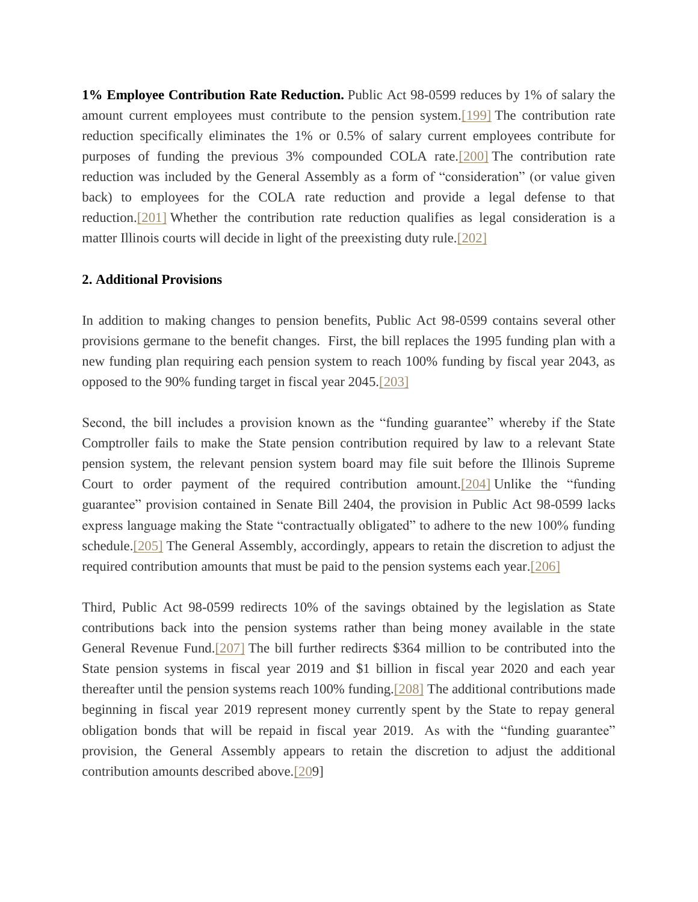**1% Employee Contribution Rate Reduction.** Public Act 98-0599 reduces by 1% of salary the amount current employees must contribute to the pension system[.\[199\]](file:///C:/Users/swyattj/Downloads/Illinois%20Public%20Pension%20Reform%20%20%20What) The contribution rate reduction specifically eliminates the 1% or 0.5% of salary current employees contribute for purposes of funding the previous 3% compounded COLA rate[.\[200\]](file:///C:/Users/swyattj/Downloads/Illinois%20Public%20Pension%20Reform%20%20%20What) The contribution rate reduction was included by the General Assembly as a form of "consideration" (or value given back) to employees for the COLA rate reduction and provide a legal defense to that reduction[.\[201\]](file:///C:/Users/swyattj/Downloads/Illinois%20Public%20Pension%20Reform%20%20%20What) Whether the contribution rate reduction qualifies as legal consideration is a matter Illinois courts will decide in light of the preexisting duty rule[.\[202\]](file:///C:/Users/swyattj/Downloads/Illinois%20Public%20Pension%20Reform%20%20%20What)

#### **2. Additional Provisions**

In addition to making changes to pension benefits, Public Act 98-0599 contains several other provisions germane to the benefit changes. First, the bill replaces the 1995 funding plan with a new funding plan requiring each pension system to reach 100% funding by fiscal year 2043, as opposed to the 90% funding target in fiscal year 2045[.\[203\]](file:///C:/Users/swyattj/Downloads/Illinois%20Public%20Pension%20Reform%20%20%20What)

Second, the bill includes a provision known as the "funding guarantee" whereby if the State Comptroller fails to make the State pension contribution required by law to a relevant State pension system, the relevant pension system board may file suit before the Illinois Supreme Court to order payment of the required contribution amount[.\[204\]](file:///C:/Users/swyattj/Downloads/Illinois%20Public%20Pension%20Reform%20%20%20What) Unlike the "funding guarantee" provision contained in Senate Bill 2404, the provision in Public Act 98-0599 lacks express language making the State "contractually obligated" to adhere to the new 100% funding schedule[.\[205\]](file:///C:/Users/swyattj/Downloads/Illinois%20Public%20Pension%20Reform%20%20%20What) The General Assembly, accordingly, appears to retain the discretion to adjust the required contribution amounts that must be paid to the pension systems each year[.\[206\]](file:///C:/Users/swyattj/Downloads/Illinois%20Public%20Pension%20Reform%20%20%20What)

Third, Public Act 98-0599 redirects 10% of the savings obtained by the legislation as State contributions back into the pension systems rather than being money available in the state General Revenue Fund[.\[207\]](file:///C:/Users/swyattj/Downloads/Illinois%20Public%20Pension%20Reform%20%20%20What) The bill further redirects \$364 million to be contributed into the State pension systems in fiscal year 2019 and \$1 billion in fiscal year 2020 and each year thereafter until the pension systems reach 100% funding[.\[208\]](file:///C:/Users/swyattj/Downloads/Illinois%20Public%20Pension%20Reform%20%20%20What) The additional contributions made beginning in fiscal year 2019 represent money currently spent by the State to repay general obligation bonds that will be repaid in fiscal year 2019. As with the "funding guarantee" provision, the General Assembly appears to retain the discretion to adjust the additional contribution amounts described above[.\[209](file:///C:/Users/swyattj/Downloads/Illinois%20Public%20Pension%20Reform%20%20%20What)]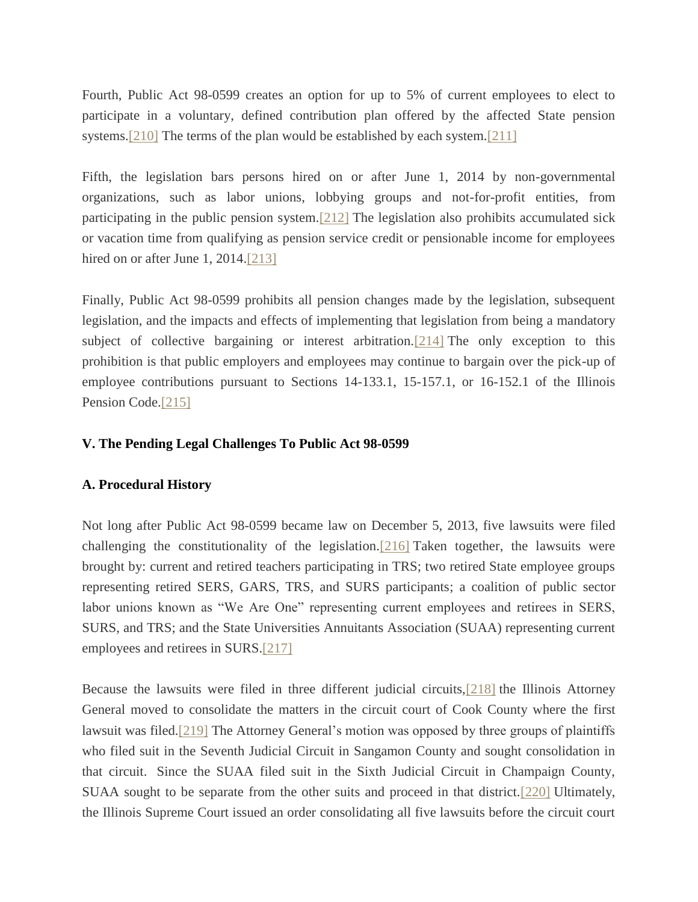Fourth, Public Act 98-0599 creates an option for up to 5% of current employees to elect to participate in a voluntary, defined contribution plan offered by the affected State pension systems[.\[210\]](file:///C:/Users/swyattj/Downloads/Illinois%20Public%20Pension%20Reform%20%20%20What) The terms of the plan would be established by each system[.\[211\]](file:///C:/Users/swyattj/Downloads/Illinois%20Public%20Pension%20Reform%20%20%20What)

Fifth, the legislation bars persons hired on or after June 1, 2014 by non-governmental organizations, such as labor unions, lobbying groups and not-for-profit entities, from participating in the public pension system[.\[212\]](file:///C:/Users/swyattj/Downloads/Illinois%20Public%20Pension%20Reform%20%20%20What) The legislation also prohibits accumulated sick or vacation time from qualifying as pension service credit or pensionable income for employees hired on or after June 1, 2014[.\[213\]](file:///C:/Users/swyattj/Downloads/Illinois%20Public%20Pension%20Reform%20%20%20What)

Finally, Public Act 98-0599 prohibits all pension changes made by the legislation, subsequent legislation, and the impacts and effects of implementing that legislation from being a mandatory subject of collective bargaining or interest arbitration[.\[214\]](file:///C:/Users/swyattj/Downloads/Illinois%20Public%20Pension%20Reform%20%20%20What) The only exception to this prohibition is that public employers and employees may continue to bargain over the pick-up of employee contributions pursuant to Sections 14-133.1, 15-157.1, or 16-152.1 of the Illinois Pension Code.<sup>[215]</sup>

#### **V. The Pending Legal Challenges To Public Act 98-0599**

#### **A. Procedural History**

Not long after Public Act 98-0599 became law on December 5, 2013, five lawsuits were filed challenging the constitutionality of the legislation[.\[216\]](file:///C:/Users/swyattj/Downloads/Illinois%20Public%20Pension%20Reform%20%20%20What) Taken together, the lawsuits were brought by: current and retired teachers participating in TRS; two retired State employee groups representing retired SERS, GARS, TRS, and SURS participants; a coalition of public sector labor unions known as "We Are One" representing current employees and retirees in SERS, SURS, and TRS; and the State Universities Annuitants Association (SUAA) representing current employees and retirees in SURS[.\[217\]](file:///C:/Users/swyattj/Downloads/Illinois%20Public%20Pension%20Reform%20%20%20What)

Because the lawsuits were filed in three different judicial circuits[,\[218\]](file:///C:/Users/swyattj/Downloads/Illinois%20Public%20Pension%20Reform%20%20%20What) the Illinois Attorney General moved to consolidate the matters in the circuit court of Cook County where the first lawsuit was filed[.\[219\]](file:///C:/Users/swyattj/Downloads/Illinois%20Public%20Pension%20Reform%20%20%20What) The Attorney General's motion was opposed by three groups of plaintiffs who filed suit in the Seventh Judicial Circuit in Sangamon County and sought consolidation in that circuit. Since the SUAA filed suit in the Sixth Judicial Circuit in Champaign County, SUAA sought to be separate from the other suits and proceed in that district[.\[220\]](file:///C:/Users/swyattj/Downloads/Illinois%20Public%20Pension%20Reform%20%20%20What) Ultimately, the Illinois Supreme Court issued an order consolidating all five lawsuits before the circuit court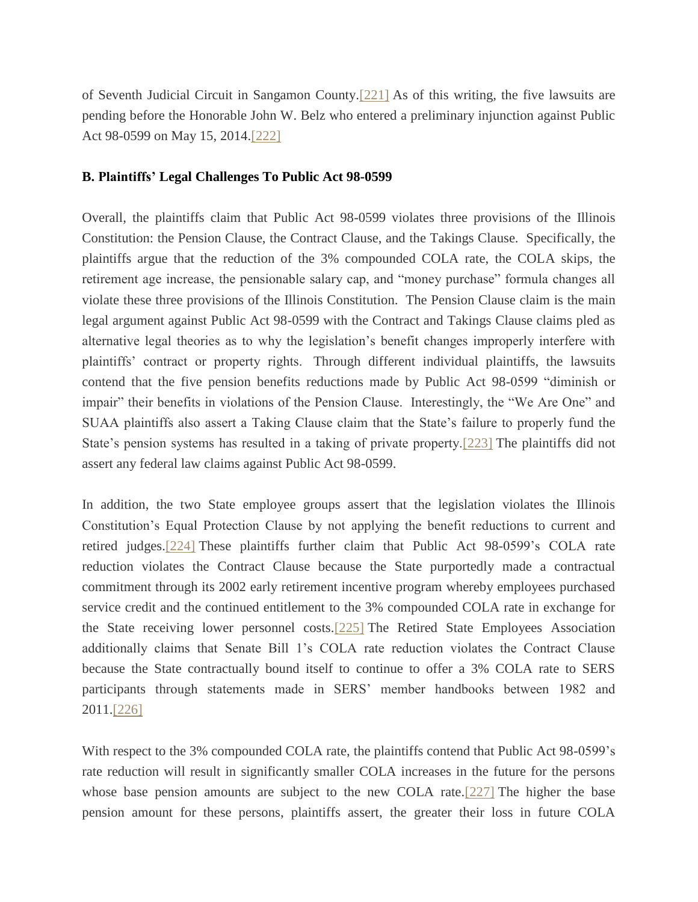of Seventh Judicial Circuit in Sangamon County[.\[221\]](file:///C:/Users/swyattj/Downloads/Illinois%20Public%20Pension%20Reform%20%20%20What) As of this writing, the five lawsuits are pending before the Honorable John W. Belz who entered a preliminary injunction against Public Act 98-0599 on May 15, 2014[.\[222\]](file:///C:/Users/swyattj/Downloads/Illinois%20Public%20Pension%20Reform%20%20%20What)

## **B. Plaintiffs' Legal Challenges To Public Act 98-0599**

Overall, the plaintiffs claim that Public Act 98-0599 violates three provisions of the Illinois Constitution: the Pension Clause, the Contract Clause, and the Takings Clause. Specifically, the plaintiffs argue that the reduction of the 3% compounded COLA rate, the COLA skips, the retirement age increase, the pensionable salary cap, and "money purchase" formula changes all violate these three provisions of the Illinois Constitution. The Pension Clause claim is the main legal argument against Public Act 98-0599 with the Contract and Takings Clause claims pled as alternative legal theories as to why the legislation's benefit changes improperly interfere with plaintiffs' contract or property rights. Through different individual plaintiffs, the lawsuits contend that the five pension benefits reductions made by Public Act 98-0599 "diminish or impair" their benefits in violations of the Pension Clause. Interestingly, the "We Are One" and SUAA plaintiffs also assert a Taking Clause claim that the State's failure to properly fund the State's pension systems has resulted in a taking of private property[.\[223\]](file:///C:/Users/swyattj/Downloads/Illinois%20Public%20Pension%20Reform%20%20%20What) The plaintiffs did not assert any federal law claims against Public Act 98-0599.

In addition, the two State employee groups assert that the legislation violates the Illinois Constitution's Equal Protection Clause by not applying the benefit reductions to current and retired judges[.\[224\]](file:///C:/Users/swyattj/Downloads/Illinois%20Public%20Pension%20Reform%20%20%20What) These plaintiffs further claim that Public Act 98-0599's COLA rate reduction violates the Contract Clause because the State purportedly made a contractual commitment through its 2002 early retirement incentive program whereby employees purchased service credit and the continued entitlement to the 3% compounded COLA rate in exchange for the State receiving lower personnel costs[.\[225\]](file:///C:/Users/swyattj/Downloads/Illinois%20Public%20Pension%20Reform%20%20%20What) The Retired State Employees Association additionally claims that Senate Bill 1's COLA rate reduction violates the Contract Clause because the State contractually bound itself to continue to offer a 3% COLA rate to SERS participants through statements made in SERS' member handbooks between 1982 and 2011[.\[226\]](file:///C:/Users/swyattj/Downloads/Illinois%20Public%20Pension%20Reform%20%20%20What)

With respect to the 3% compounded COLA rate, the plaintiffs contend that Public Act 98-0599's rate reduction will result in significantly smaller COLA increases in the future for the persons whose base pension amounts are subject to the new COLA rate[.\[227\]](file:///C:/Users/swyattj/Downloads/Illinois%20Public%20Pension%20Reform%20%20%20What) The higher the base pension amount for these persons, plaintiffs assert, the greater their loss in future COLA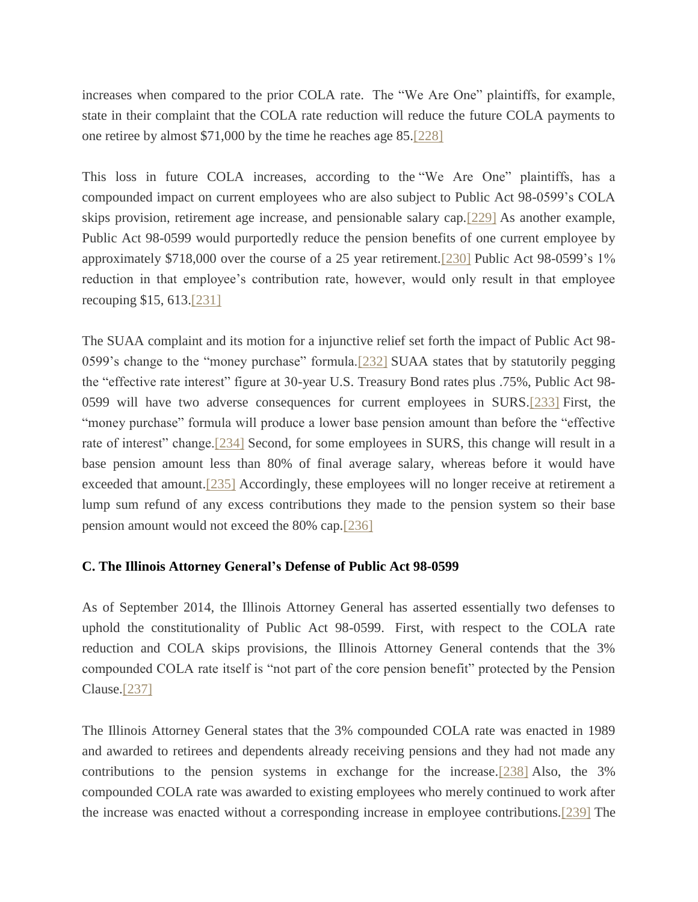increases when compared to the prior COLA rate. The "We Are One" plaintiffs, for example, state in their complaint that the COLA rate reduction will reduce the future COLA payments to one retiree by almost \$71,000 by the time he reaches age 85[.\[228\]](file:///C:/Users/swyattj/Downloads/Illinois%20Public%20Pension%20Reform%20%20%20What)

This loss in future COLA increases, according to the "We Are One" plaintiffs, has a compounded impact on current employees who are also subject to Public Act 98-0599's COLA skips provision, retirement age increase, and pensionable salary cap[.\[229\]](file:///C:/Users/swyattj/Downloads/Illinois%20Public%20Pension%20Reform%20%20%20What) As another example, Public Act 98-0599 would purportedly reduce the pension benefits of one current employee by approximately \$718,000 over the course of a 25 year retirement[.\[230\]](file:///C:/Users/swyattj/Downloads/Illinois%20Public%20Pension%20Reform%20%20%20What) Public Act 98-0599's 1% reduction in that employee's contribution rate, however, would only result in that employee recouping \$15, 613[.\[231\]](file:///C:/Users/swyattj/Downloads/Illinois%20Public%20Pension%20Reform%20%20%20What)

The SUAA complaint and its motion for a injunctive relief set forth the impact of Public Act 98- 0599's change to the "money purchase" formula[.\[232\]](file:///C:/Users/swyattj/Downloads/Illinois%20Public%20Pension%20Reform%20%20%20What) SUAA states that by statutorily pegging the "effective rate interest" figure at 30-year U.S. Treasury Bond rates plus .75%, Public Act 98- 0599 will have two adverse consequences for current employees in SURS[.\[233\]](file:///C:/Users/swyattj/Downloads/Illinois%20Public%20Pension%20Reform%20%20%20What) First, the "money purchase" formula will produce a lower base pension amount than before the "effective rate of interest" change[.\[234\]](file:///C:/Users/swyattj/Downloads/Illinois%20Public%20Pension%20Reform%20%20%20What) Second, for some employees in SURS, this change will result in a base pension amount less than 80% of final average salary, whereas before it would have exceeded that amount.<sup>[235]</sup> Accordingly, these employees will no longer receive at retirement a lump sum refund of any excess contributions they made to the pension system so their base pension amount would not exceed the 80% cap[.\[236\]](file:///C:/Users/swyattj/Downloads/Illinois%20Public%20Pension%20Reform%20%20%20What)

# **C. The Illinois Attorney General's Defense of Public Act 98-0599**

As of September 2014, the Illinois Attorney General has asserted essentially two defenses to uphold the constitutionality of Public Act 98-0599. First, with respect to the COLA rate reduction and COLA skips provisions, the Illinois Attorney General contends that the 3% compounded COLA rate itself is "not part of the core pension benefit" protected by the Pension Clause[.\[237\]](file:///C:/Users/swyattj/Downloads/Illinois%20Public%20Pension%20Reform%20%20%20What)

The Illinois Attorney General states that the 3% compounded COLA rate was enacted in 1989 and awarded to retirees and dependents already receiving pensions and they had not made any contributions to the pension systems in exchange for the increase[.\[238\]](file:///C:/Users/swyattj/Downloads/Illinois%20Public%20Pension%20Reform%20%20%20What) Also, the 3% compounded COLA rate was awarded to existing employees who merely continued to work after the increase was enacted without a corresponding increase in employee contributions[.\[239\]](file:///C:/Users/swyattj/Downloads/Illinois%20Public%20Pension%20Reform%20%20%20What) The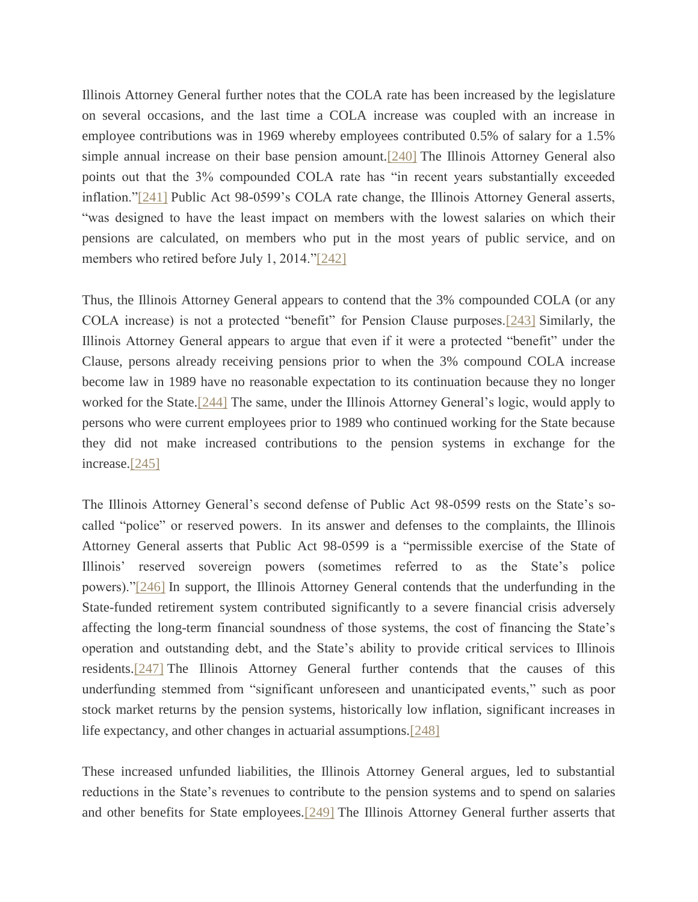Illinois Attorney General further notes that the COLA rate has been increased by the legislature on several occasions, and the last time a COLA increase was coupled with an increase in employee contributions was in 1969 whereby employees contributed 0.5% of salary for a 1.5% simple annual increase on their base pension amount[.\[240\]](file:///C:/Users/swyattj/Downloads/Illinois%20Public%20Pension%20Reform%20%20%20What) The Illinois Attorney General also points out that the 3% compounded COLA rate has "in recent years substantially exceeded inflation.["\[241\]](file:///C:/Users/swyattj/Downloads/Illinois%20Public%20Pension%20Reform%20%20%20What) Public Act 98-0599's COLA rate change, the Illinois Attorney General asserts, "was designed to have the least impact on members with the lowest salaries on which their pensions are calculated, on members who put in the most years of public service, and on members who retired before July 1, 2014.["\[242\]](file:///C:/Users/swyattj/Downloads/Illinois%20Public%20Pension%20Reform%20%20%20What)

Thus, the Illinois Attorney General appears to contend that the 3% compounded COLA (or any COLA increase) is not a protected "benefit" for Pension Clause purposes[.\[243\]](file:///C:/Users/swyattj/Downloads/Illinois%20Public%20Pension%20Reform%20%20%20What) Similarly, the Illinois Attorney General appears to argue that even if it were a protected "benefit" under the Clause, persons already receiving pensions prior to when the 3% compound COLA increase become law in 1989 have no reasonable expectation to its continuation because they no longer worked for the State[.\[244\]](file:///C:/Users/swyattj/Downloads/Illinois%20Public%20Pension%20Reform%20%20%20What) The same, under the Illinois Attorney General's logic, would apply to persons who were current employees prior to 1989 who continued working for the State because they did not make increased contributions to the pension systems in exchange for the increase[.\[245\]](file:///C:/Users/swyattj/Downloads/Illinois%20Public%20Pension%20Reform%20%20%20What)

The Illinois Attorney General's second defense of Public Act 98-0599 rests on the State's socalled "police" or reserved powers. In its answer and defenses to the complaints, the Illinois Attorney General asserts that Public Act 98-0599 is a "permissible exercise of the State of Illinois' reserved sovereign powers (sometimes referred to as the State's police powers).["\[246\]](file:///C:/Users/swyattj/Downloads/Illinois%20Public%20Pension%20Reform%20%20%20What) In support, the Illinois Attorney General contends that the underfunding in the State-funded retirement system contributed significantly to a severe financial crisis adversely affecting the long-term financial soundness of those systems, the cost of financing the State's operation and outstanding debt, and the State's ability to provide critical services to Illinois residents[.\[247\]](file:///C:/Users/swyattj/Downloads/Illinois%20Public%20Pension%20Reform%20%20%20What) The Illinois Attorney General further contends that the causes of this underfunding stemmed from "significant unforeseen and unanticipated events," such as poor stock market returns by the pension systems, historically low inflation, significant increases in life expectancy, and other changes in actuarial assumptions[.\[248\]](file:///C:/Users/swyattj/Downloads/Illinois%20Public%20Pension%20Reform%20%20%20What)

These increased unfunded liabilities, the Illinois Attorney General argues, led to substantial reductions in the State's revenues to contribute to the pension systems and to spend on salaries and other benefits for State employees[.\[249\]](file:///C:/Users/swyattj/Downloads/Illinois%20Public%20Pension%20Reform%20%20%20What) The Illinois Attorney General further asserts that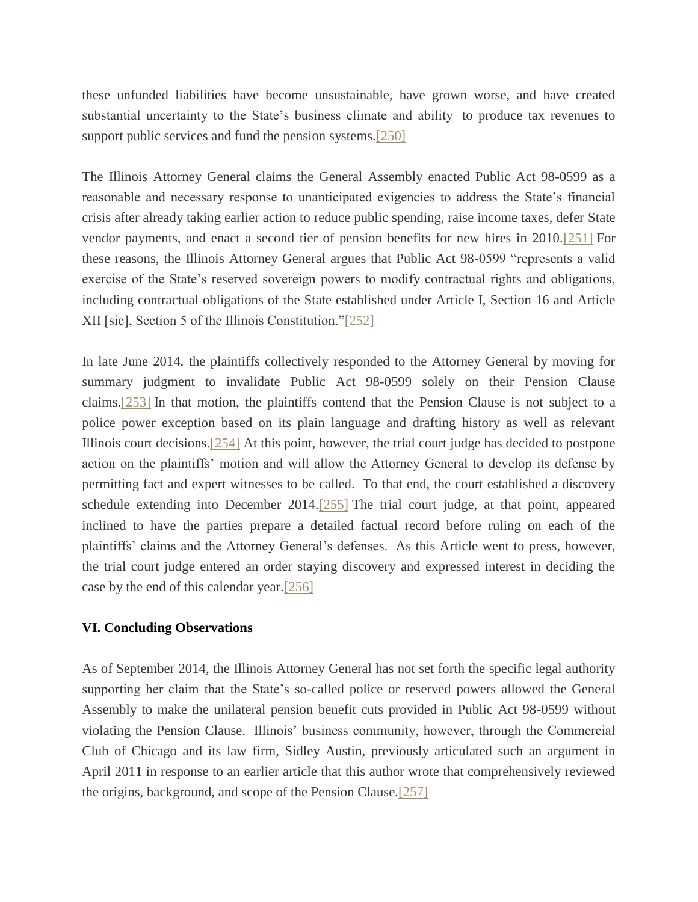these unfunded liabilities have become unsustainable, have grown worse, and have created substantial uncertainty to the State's business climate and ability to produce tax revenues to support public services and fund the pension systems[.\[250\]](file:///C:/Users/swyattj/Downloads/Illinois%20Public%20Pension%20Reform%20%20%20What)

The Illinois Attorney General claims the General Assembly enacted Public Act 98-0599 as a reasonable and necessary response to unanticipated exigencies to address the State's financial crisis after already taking earlier action to reduce public spending, raise income taxes, defer State vendor payments, and enact a second tier of pension benefits for new hires in 2010[.\[251\]](file:///C:/Users/swyattj/Downloads/Illinois%20Public%20Pension%20Reform%20%20%20What) For these reasons, the Illinois Attorney General argues that Public Act 98-0599 "represents a valid exercise of the State's reserved sovereign powers to modify contractual rights and obligations, including contractual obligations of the State established under Article I, Section 16 and Article XII [sic], Section 5 of the Illinois Constitution.["\[252\]](file:///C:/Users/swyattj/Downloads/Illinois%20Public%20Pension%20Reform%20%20%20What)

In late June 2014, the plaintiffs collectively responded to the Attorney General by moving for summary judgment to invalidate Public Act 98-0599 solely on their Pension Clause claims[.\[253\]](file:///C:/Users/swyattj/Downloads/Illinois%20Public%20Pension%20Reform%20%20%20What) In that motion, the plaintiffs contend that the Pension Clause is not subject to a police power exception based on its plain language and drafting history as well as relevant Illinois court decisions[.\[254\]](file:///C:/Users/swyattj/Downloads/Illinois%20Public%20Pension%20Reform%20%20%20What) At this point, however, the trial court judge has decided to postpone action on the plaintiffs' motion and will allow the Attorney General to develop its defense by permitting fact and expert witnesses to be called. To that end, the court established a discovery schedule extending into December 2014[.\[255\]](file:///C:/Users/swyattj/Downloads/Illinois%20Public%20Pension%20Reform%20%20%20What) The trial court judge, at that point, appeared inclined to have the parties prepare a detailed factual record before ruling on each of the plaintiffs' claims and the Attorney General's defenses. As this Article went to press, however, the trial court judge entered an order staying discovery and expressed interest in deciding the case by the end of this calendar year[.\[256\]](file:///C:/Users/swyattj/Downloads/Illinois%20Public%20Pension%20Reform%20%20%20What)

### **VI. Concluding Observations**

As of September 2014, the Illinois Attorney General has not set forth the specific legal authority supporting her claim that the State's so-called police or reserved powers allowed the General Assembly to make the unilateral pension benefit cuts provided in Public Act 98-0599 without violating the Pension Clause. Illinois' business community, however, through the Commercial Club of Chicago and its law firm, Sidley Austin, previously articulated such an argument in April 2011 in response to an earlier article that this author wrote that comprehensively reviewed the origins, background, and scope of the Pension Clause[.\[257\]](file:///C:/Users/swyattj/Downloads/Illinois%20Public%20Pension%20Reform%20%20%20What)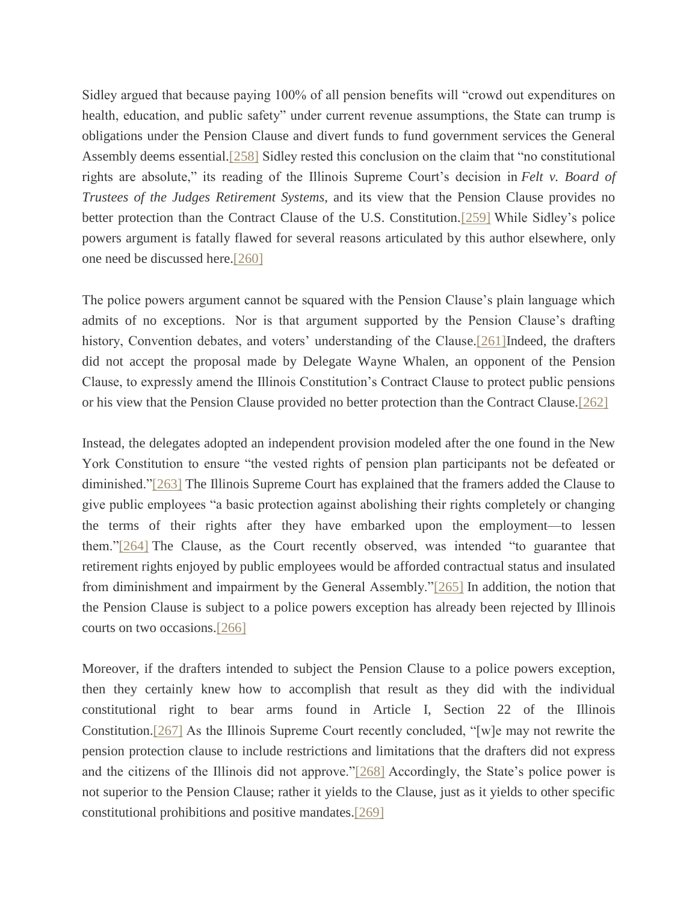Sidley argued that because paying 100% of all pension benefits will "crowd out expenditures on health, education, and public safety" under current revenue assumptions, the State can trump is obligations under the Pension Clause and divert funds to fund government services the General Assembly deems essential[.\[258\]](file:///C:/Users/swyattj/Downloads/Illinois%20Public%20Pension%20Reform%20%20%20What) Sidley rested this conclusion on the claim that "no constitutional rights are absolute," its reading of the Illinois Supreme Court's decision in *Felt v. Board of Trustees of the Judges Retirement Systems*, and its view that the Pension Clause provides no better protection than the Contract Clause of the U.S. Constitution[.\[259\]](file:///C:/Users/swyattj/Downloads/Illinois%20Public%20Pension%20Reform%20%20%20What) While Sidley's police powers argument is fatally flawed for several reasons articulated by this author elsewhere, only one need be discussed here[.\[260\]](file:///C:/Users/swyattj/Downloads/Illinois%20Public%20Pension%20Reform%20%20%20What)

The police powers argument cannot be squared with the Pension Clause's plain language which admits of no exceptions. Nor is that argument supported by the Pension Clause's drafting history, Convention debates, and voters' understanding of the Clause[.\[261\]I](file:///C:/Users/swyattj/Downloads/Illinois%20Public%20Pension%20Reform%20%20%20What)ndeed, the drafters did not accept the proposal made by Delegate Wayne Whalen, an opponent of the Pension Clause, to expressly amend the Illinois Constitution's Contract Clause to protect public pensions or his view that the Pension Clause provided no better protection than the Contract Clause[.\[262\]](file:///C:/Users/swyattj/Downloads/Illinois%20Public%20Pension%20Reform%20%20%20What)

Instead, the delegates adopted an independent provision modeled after the one found in the New York Constitution to ensure "the vested rights of pension plan participants not be defeated or diminished.["\[263\]](file:///C:/Users/swyattj/Downloads/Illinois%20Public%20Pension%20Reform%20%20%20What) The Illinois Supreme Court has explained that the framers added the Clause to give public employees "a basic protection against abolishing their rights completely or changing the terms of their rights after they have embarked upon the employment—to lessen them.["\[264\]](file:///C:/Users/swyattj/Downloads/Illinois%20Public%20Pension%20Reform%20%20%20What) The Clause, as the Court recently observed, was intended "to guarantee that retirement rights enjoyed by public employees would be afforded contractual status and insulated from diminishment and impairment by the General Assembly.["\[265\]](file:///C:/Users/swyattj/Downloads/Illinois%20Public%20Pension%20Reform%20%20%20What) In addition, the notion that the Pension Clause is subject to a police powers exception has already been rejected by Illinois courts on two occasions[.\[266\]](file:///C:/Users/swyattj/Downloads/Illinois%20Public%20Pension%20Reform%20%20%20What)

Moreover, if the drafters intended to subject the Pension Clause to a police powers exception, then they certainly knew how to accomplish that result as they did with the individual constitutional right to bear arms found in Article I, Section 22 of the Illinois Constitution[.\[267\]](file:///C:/Users/swyattj/Downloads/Illinois%20Public%20Pension%20Reform%20%20%20What) As the Illinois Supreme Court recently concluded, "[w]e may not rewrite the pension protection clause to include restrictions and limitations that the drafters did not express and the citizens of the Illinois did not approve.["\[268\]](file:///C:/Users/swyattj/Downloads/Illinois%20Public%20Pension%20Reform%20%20%20What) Accordingly, the State's police power is not superior to the Pension Clause; rather it yields to the Clause, just as it yields to other specific constitutional prohibitions and positive mandates[.\[269\]](file:///C:/Users/swyattj/Downloads/Illinois%20Public%20Pension%20Reform%20%20%20What)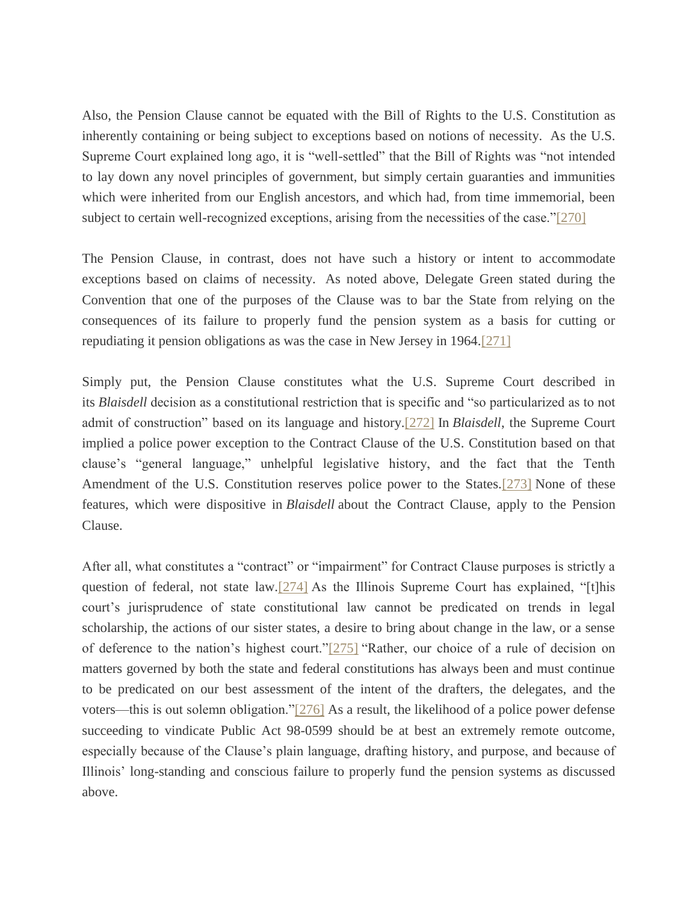Also, the Pension Clause cannot be equated with the Bill of Rights to the U.S. Constitution as inherently containing or being subject to exceptions based on notions of necessity. As the U.S. Supreme Court explained long ago, it is "well-settled" that the Bill of Rights was "not intended to lay down any novel principles of government, but simply certain guaranties and immunities which were inherited from our English ancestors, and which had, from time immemorial, been subject to certain well-recognized exceptions, arising from the necessities of the case.["\[270\]](file:///C:/Users/swyattj/Downloads/Illinois%20Public%20Pension%20Reform%20%20%20What)

The Pension Clause, in contrast, does not have such a history or intent to accommodate exceptions based on claims of necessity. As noted above, Delegate Green stated during the Convention that one of the purposes of the Clause was to bar the State from relying on the consequences of its failure to properly fund the pension system as a basis for cutting or repudiating it pension obligations as was the case in New Jersey in 1964[.\[271\]](file:///C:/Users/swyattj/Downloads/Illinois%20Public%20Pension%20Reform%20%20%20What)

Simply put, the Pension Clause constitutes what the U.S. Supreme Court described in its *Blaisdell* decision as a constitutional restriction that is specific and "so particularized as to not admit of construction" based on its language and history[.\[272\]](file:///C:/Users/swyattj/Downloads/Illinois%20Public%20Pension%20Reform%20%20%20What) In *Blaisdell*, the Supreme Court implied a police power exception to the Contract Clause of the U.S. Constitution based on that clause's "general language," unhelpful legislative history, and the fact that the Tenth Amendment of the U.S. Constitution reserves police power to the States[.\[273\]](file:///C:/Users/swyattj/Downloads/Illinois%20Public%20Pension%20Reform%20%20%20What) None of these features, which were dispositive in *Blaisdell* about the Contract Clause, apply to the Pension Clause.

After all, what constitutes a "contract" or "impairment" for Contract Clause purposes is strictly a question of federal, not state law[.\[274\]](file:///C:/Users/swyattj/Downloads/Illinois%20Public%20Pension%20Reform%20%20%20What) As the Illinois Supreme Court has explained, "[t]his court's jurisprudence of state constitutional law cannot be predicated on trends in legal scholarship, the actions of our sister states, a desire to bring about change in the law, or a sense of deference to the nation's highest court.["\[275\]](file:///C:/Users/swyattj/Downloads/Illinois%20Public%20Pension%20Reform%20%20%20What) "Rather, our choice of a rule of decision on matters governed by both the state and federal constitutions has always been and must continue to be predicated on our best assessment of the intent of the drafters, the delegates, and the voters—this is out solemn obligation.["\[276\]](file:///C:/Users/swyattj/Downloads/Illinois%20Public%20Pension%20Reform%20%20%20What) As a result, the likelihood of a police power defense succeeding to vindicate Public Act 98-0599 should be at best an extremely remote outcome, especially because of the Clause's plain language, drafting history, and purpose, and because of Illinois' long-standing and conscious failure to properly fund the pension systems as discussed above.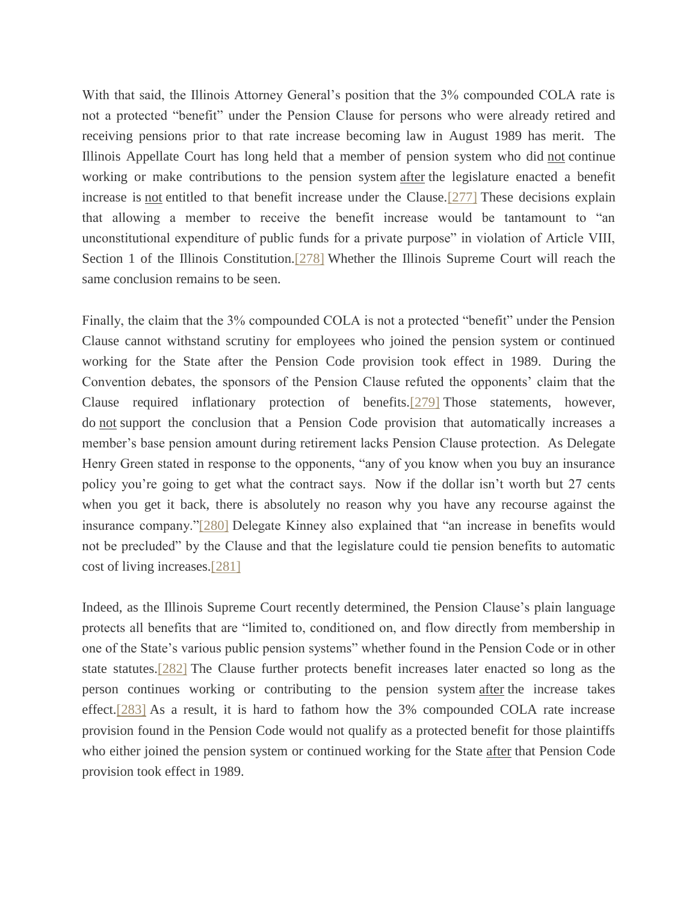With that said, the Illinois Attorney General's position that the 3% compounded COLA rate is not a protected "benefit" under the Pension Clause for persons who were already retired and receiving pensions prior to that rate increase becoming law in August 1989 has merit. The Illinois Appellate Court has long held that a member of pension system who did not continue working or make contributions to the pension system after the legislature enacted a benefit increase is not entitled to that benefit increase under the Clause[.\[277\]](file:///C:/Users/swyattj/Downloads/Illinois%20Public%20Pension%20Reform%20%20%20What) These decisions explain that allowing a member to receive the benefit increase would be tantamount to "an unconstitutional expenditure of public funds for a private purpose" in violation of Article VIII, Section 1 of the Illinois Constitution.<sup>[278]</sup> Whether the Illinois Supreme Court will reach the same conclusion remains to be seen.

Finally, the claim that the 3% compounded COLA is not a protected "benefit" under the Pension Clause cannot withstand scrutiny for employees who joined the pension system or continued working for the State after the Pension Code provision took effect in 1989. During the Convention debates, the sponsors of the Pension Clause refuted the opponents' claim that the Clause required inflationary protection of benefits[.\[279\]](file:///C:/Users/swyattj/Downloads/Illinois%20Public%20Pension%20Reform%20%20%20What) Those statements, however, do not support the conclusion that a Pension Code provision that automatically increases a member's base pension amount during retirement lacks Pension Clause protection. As Delegate Henry Green stated in response to the opponents, "any of you know when you buy an insurance policy you're going to get what the contract says. Now if the dollar isn't worth but 27 cents when you get it back, there is absolutely no reason why you have any recourse against the insurance company.["\[280\]](file:///C:/Users/swyattj/Downloads/Illinois%20Public%20Pension%20Reform%20%20%20What) Delegate Kinney also explained that "an increase in benefits would not be precluded" by the Clause and that the legislature could tie pension benefits to automatic cost of living increases[.\[281\]](file:///C:/Users/swyattj/Downloads/Illinois%20Public%20Pension%20Reform%20%20%20What)

Indeed, as the Illinois Supreme Court recently determined, the Pension Clause's plain language protects all benefits that are "limited to, conditioned on, and flow directly from membership in one of the State's various public pension systems" whether found in the Pension Code or in other state statutes[.\[282\]](file:///C:/Users/swyattj/Downloads/Illinois%20Public%20Pension%20Reform%20%20%20What) The Clause further protects benefit increases later enacted so long as the person continues working or contributing to the pension system after the increase takes effect[.\[283\]](file:///C:/Users/swyattj/Downloads/Illinois%20Public%20Pension%20Reform%20%20%20What) As a result, it is hard to fathom how the 3% compounded COLA rate increase provision found in the Pension Code would not qualify as a protected benefit for those plaintiffs who either joined the pension system or continued working for the State after that Pension Code provision took effect in 1989.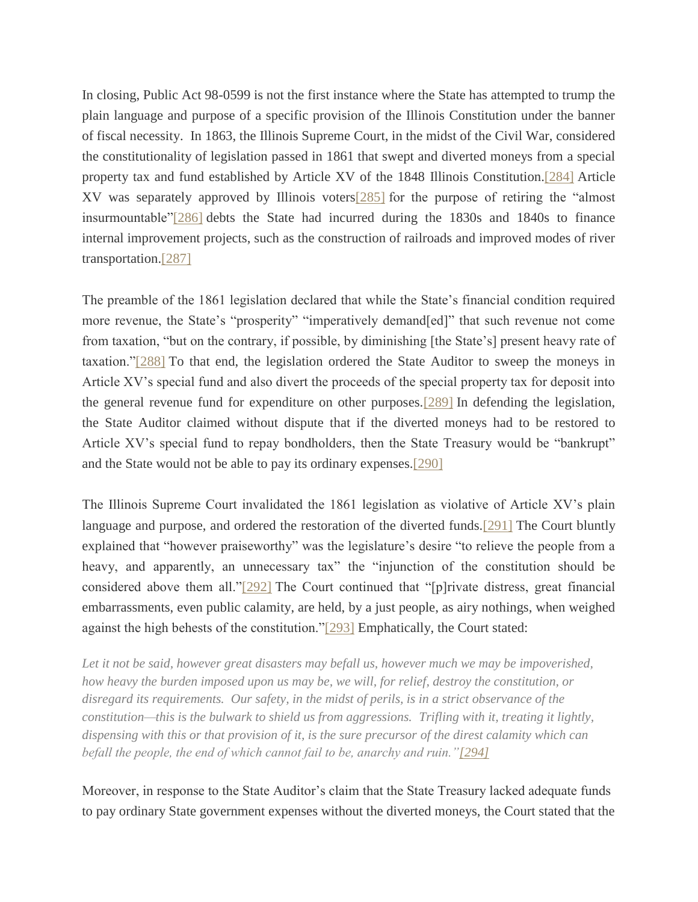In closing, Public Act 98-0599 is not the first instance where the State has attempted to trump the plain language and purpose of a specific provision of the Illinois Constitution under the banner of fiscal necessity. In 1863, the Illinois Supreme Court, in the midst of the Civil War, considered the constitutionality of legislation passed in 1861 that swept and diverted moneys from a special property tax and fund established by Article XV of the 1848 Illinois Constitution[.\[284\]](file:///C:/Users/swyattj/Downloads/Illinois%20Public%20Pension%20Reform%20%20%20What) Article XV was separately approved by Illinois voter[s\[285\]](file:///C:/Users/swyattj/Downloads/Illinois%20Public%20Pension%20Reform%20%20%20What) for the purpose of retiring the "almost insurmountable["\[286\]](file:///C:/Users/swyattj/Downloads/Illinois%20Public%20Pension%20Reform%20%20%20What) debts the State had incurred during the 1830s and 1840s to finance internal improvement projects, such as the construction of railroads and improved modes of river transportation[.\[287\]](file:///C:/Users/swyattj/Downloads/Illinois%20Public%20Pension%20Reform%20%20%20What)

The preamble of the 1861 legislation declared that while the State's financial condition required more revenue, the State's "prosperity" "imperatively demand[ed]" that such revenue not come from taxation, "but on the contrary, if possible, by diminishing [the State's] present heavy rate of taxation.["\[288\]](file:///C:/Users/swyattj/Downloads/Illinois%20Public%20Pension%20Reform%20%20%20What) To that end, the legislation ordered the State Auditor to sweep the moneys in Article XV's special fund and also divert the proceeds of the special property tax for deposit into the general revenue fund for expenditure on other purposes[.\[289\]](file:///C:/Users/swyattj/Downloads/Illinois%20Public%20Pension%20Reform%20%20%20What) In defending the legislation, the State Auditor claimed without dispute that if the diverted moneys had to be restored to Article XV's special fund to repay bondholders, then the State Treasury would be "bankrupt" and the State would not be able to pay its ordinary expenses[.\[290\]](file:///C:/Users/swyattj/Downloads/Illinois%20Public%20Pension%20Reform%20%20%20What)

The Illinois Supreme Court invalidated the 1861 legislation as violative of Article XV's plain language and purpose, and ordered the restoration of the diverted funds[.\[291\]](file:///C:/Users/swyattj/Downloads/Illinois%20Public%20Pension%20Reform%20%20%20What) The Court bluntly explained that "however praiseworthy" was the legislature's desire "to relieve the people from a heavy, and apparently, an unnecessary tax" the "injunction of the constitution should be considered above them all.["\[292\]](file:///C:/Users/swyattj/Downloads/Illinois%20Public%20Pension%20Reform%20%20%20What) The Court continued that "[p]rivate distress, great financial embarrassments, even public calamity, are held, by a just people, as airy nothings, when weighed against the high behests of the constitution.["\[293\]](file:///C:/Users/swyattj/Downloads/Illinois%20Public%20Pension%20Reform%20%20%20What) Emphatically, the Court stated:

Let it not be said, however great disasters may befall us, however much we may be impoverished, *how heavy the burden imposed upon us may be, we will, for relief, destroy the constitution, or disregard its requirements. Our safety, in the midst of perils, is in a strict observance of the constitution—this is the bulwark to shield us from aggressions. Trifling with it, treating it lightly, dispensing with this or that provision of it, is the sure precursor of the direst calamity which can befall the people, the end of which cannot fail to be, anarchy and ruin.["\[294\]](file:///C:/Users/swyattj/Downloads/Illinois%20Public%20Pension%20Reform%20%20%20What)*

Moreover, in response to the State Auditor's claim that the State Treasury lacked adequate funds to pay ordinary State government expenses without the diverted moneys, the Court stated that the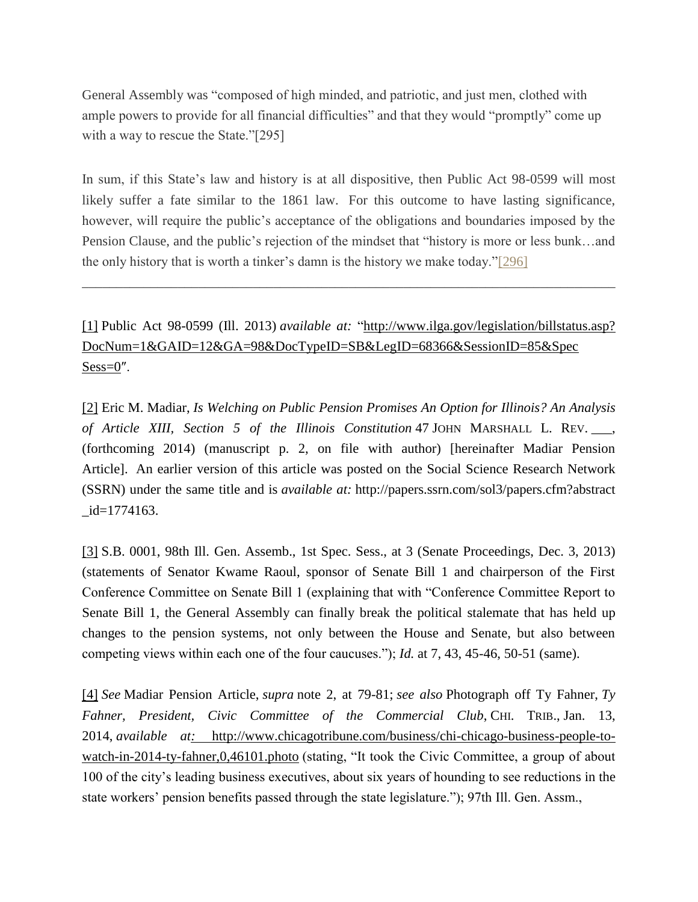General Assembly was "composed of high minded, and patriotic, and just men, clothed with ample powers to provide for all financial difficulties" and that they would "promptly" come up with a way to rescue the State."[295]

In sum, if this State's law and history is at all dispositive, then Public Act 98-0599 will most likely suffer a fate similar to the 1861 law. For this outcome to have lasting significance, however, will require the public's acceptance of the obligations and boundaries imposed by the Pension Clause, and the public's rejection of the mindset that "history is more or less bunk…and the only history that is worth a tinker's damn is the history we make today.["\[296\]](file:///C:/Users/swyattj/Downloads/Illinois%20Public%20Pension%20Reform%20%20%20What)

\_\_\_\_\_\_\_\_\_\_\_\_\_\_\_\_\_\_\_\_\_\_\_\_\_\_\_\_\_\_\_\_\_\_\_\_\_\_\_\_\_\_\_\_\_\_\_\_\_\_\_\_\_\_\_\_\_\_\_\_\_\_\_\_\_\_\_\_\_\_\_\_\_\_\_\_\_\_

[\[1\]](file:///C:/Users/swyattj/Downloads/Illinois%20Public%20Pension%20Reform%20%20%20What) Public Act 98-0599 (Ill. 2013) *available at:* "http://www.ilga.gov/legislation/billstatus.asp? DocNum=1&GAID=12&GA=98&DocTypeID=SB&LegID=68366&SessionID=85&Spec  $Sess=0$ ".

[\[2\]](file:///C:/Users/swyattj/Downloads/Illinois%20Public%20Pension%20Reform%20%20%20What) Eric M. Madiar, *Is Welching on Public Pension Promises An Option for Illinois? An Analysis of Article XIII, Section 5 of the Illinois Constitution* 47 JOHN MARSHALL L. REV. \_\_\_, (forthcoming 2014) (manuscript p. 2, on file with author) [hereinafter Madiar Pension Article]. An earlier version of this article was posted on the Social Science Research Network (SSRN) under the same title and is *available at:* http://papers.ssrn.com/sol3/papers.cfm?abstract  $_id=1774163$ .

[\[3\]](file:///C:/Users/swyattj/Downloads/Illinois%20Public%20Pension%20Reform%20%20%20What) S.B. 0001, 98th Ill. Gen. Assemb., 1st Spec. Sess., at 3 (Senate Proceedings, Dec. 3, 2013) (statements of Senator Kwame Raoul, sponsor of Senate Bill 1 and chairperson of the First Conference Committee on Senate Bill 1 (explaining that with "Conference Committee Report to Senate Bill 1, the General Assembly can finally break the political stalemate that has held up changes to the pension systems, not only between the House and Senate, but also between competing views within each one of the four caucuses."); *Id.* at 7, 43, 45-46, 50-51 (same).

[\[4\]](file:///C:/Users/swyattj/Downloads/Illinois%20Public%20Pension%20Reform%20%20%20What) *See* Madiar Pension Article, *supra* note 2, at 79-81; *see also* Photograph off Ty Fahner, *Ty Fahner, President, Civic Committee of the Commercial Club*, CHI. TRIB., Jan. 13, 2014, *available at:* [http://www.chicagotribune.com/business/chi-chicago-business-people-to](http://www.chicagotribune.com/business/chi-chicago-business-people-to-watch-in-2014-ty-fahner,0,46101.photo)watch-in-2014-ty-fahner, 0,46101.photo (stating, "It took the Civic Committee, a group of about 100 of the city's leading business executives, about six years of hounding to see reductions in the state workers' pension benefits passed through the state legislature."); 97th Ill. Gen. Assm.,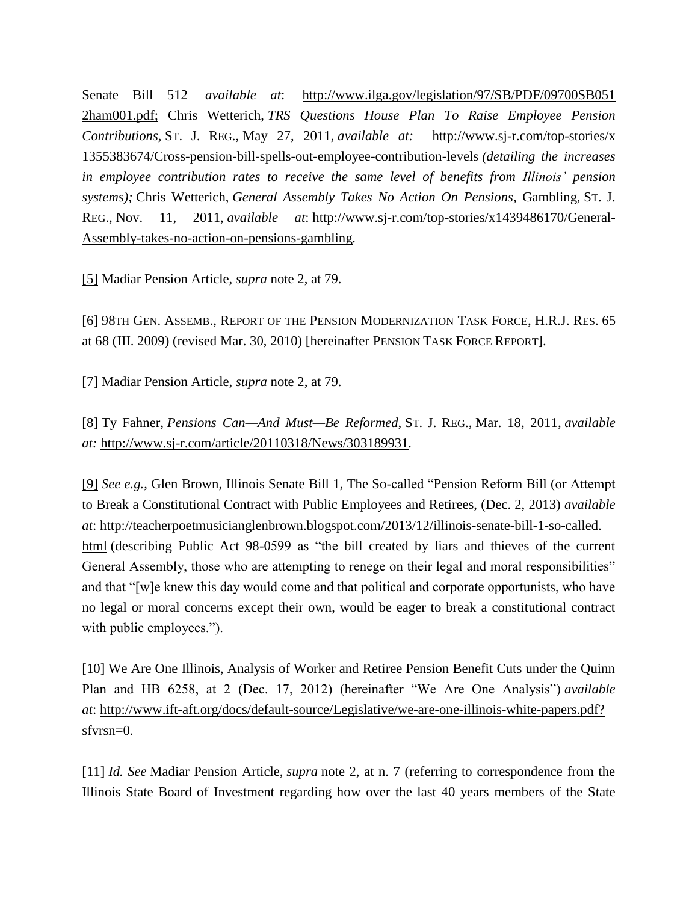Senate Bill 512 *available at*: [http://www.ilga.gov/legislation/97/SB/PDF/09700SB051](http://www.ilga.gov/legislation/97/SB/PDF/09700SB051%202ham001.pdf) [2ham001.pdf;](http://www.ilga.gov/legislation/97/SB/PDF/09700SB051%202ham001.pdf) Chris Wetterich, *TRS Questions House Plan To Raise Employee Pension Contributions,* ST. J. REG., May 27, 2011, *available at:* http://www.sj-r.com/top-stories/x 1355383674/Cross-pension-bill-spells-out-employee-contribution-levels *(detailing the increases in employee contribution rates to receive the same level of benefits from Illinois' pension systems);* Chris Wetterich, *General Assembly Takes No Action On Pensions*, Gambling, ST. J. REG., Nov. 11, 2011, *available at*: [http://www.sj-r.com/top-stories/x1439486170/General-](http://www.sj-r.com/top-stories/x1439486170/General-Assembly-takes-no-action-on-pensions-gambling)[Assembly-takes-no-action-on-pensions-gambling](http://www.sj-r.com/top-stories/x1439486170/General-Assembly-takes-no-action-on-pensions-gambling)*.*

[\[5\]](file:///C:/Users/swyattj/Downloads/Illinois%20Public%20Pension%20Reform%20%20%20What) Madiar Pension Article, *supra* note 2, at 79.

[\[6\]](file:///C:/Users/swyattj/Downloads/Illinois%20Public%20Pension%20Reform%20%20%20What) 98TH GEN. ASSEMB., REPORT OF THE PENSION MODERNIZATION TASK FORCE, H.R.J. RES. 65 at 68 (III. 2009) (revised Mar. 30, 2010) [hereinafter PENSION TASK FORCE REPORT].

[7] Madiar Pension Article, *supra* note 2, at 79.

[\[8\]](file:///C:/Users/swyattj/Downloads/Illinois%20Public%20Pension%20Reform%20%20%20What) Ty Fahner, *Pensions Can—And Must—Be Reformed*, ST. J. REG., Mar. 18, 2011, *available at:* <http://www.sj-r.com/article/20110318/News/303189931>*.*

[\[9\]](file:///C:/Users/swyattj/Downloads/Illinois%20Public%20Pension%20Reform%20%20%20What) *See e.g.*, Glen Brown, Illinois Senate Bill 1, The So-called "Pension Reform Bill (or Attempt to Break a Constitutional Contract with Public Employees and Retirees, (Dec. 2, 2013) *available at*: [http://teacherpoetmusicianglenbrown.blogspot.com/2013/12/illinois-senate-bill-1-so-called.](http://teacherpoetmusicianglenbrown.blogspot.com/2013/12/illinois-senate-bill-1-so-called.%20html) [html](http://teacherpoetmusicianglenbrown.blogspot.com/2013/12/illinois-senate-bill-1-so-called.%20html) (describing Public Act 98-0599 as "the bill created by liars and thieves of the current General Assembly, those who are attempting to renege on their legal and moral responsibilities" and that "[w]e knew this day would come and that political and corporate opportunists, who have no legal or moral concerns except their own, would be eager to break a constitutional contract with public employees.").

[\[10\]](file:///C:/Users/swyattj/Downloads/Illinois%20Public%20Pension%20Reform%20%20%20What) We Are One Illinois, Analysis of Worker and Retiree Pension Benefit Cuts under the Quinn Plan and HB 6258, at 2 (Dec. 17, 2012) (hereinafter "We Are One Analysis") *available at*: [http://www.ift-aft.org/docs/default-source/Legislative/we-are-one-illinois-white-papers.pdf?](http://www.ift-aft.org/docs/default-source/Legislative/we-are-one-illinois-white-papers.pdf?%20sfvrsn=0) [sfvrsn=0.](http://www.ift-aft.org/docs/default-source/Legislative/we-are-one-illinois-white-papers.pdf?%20sfvrsn=0)

[\[11\]](file:///C:/Users/swyattj/Downloads/Illinois%20Public%20Pension%20Reform%20%20%20What) *Id. See* Madiar Pension Article, *supra* note 2, at n. 7 (referring to correspondence from the Illinois State Board of Investment regarding how over the last 40 years members of the State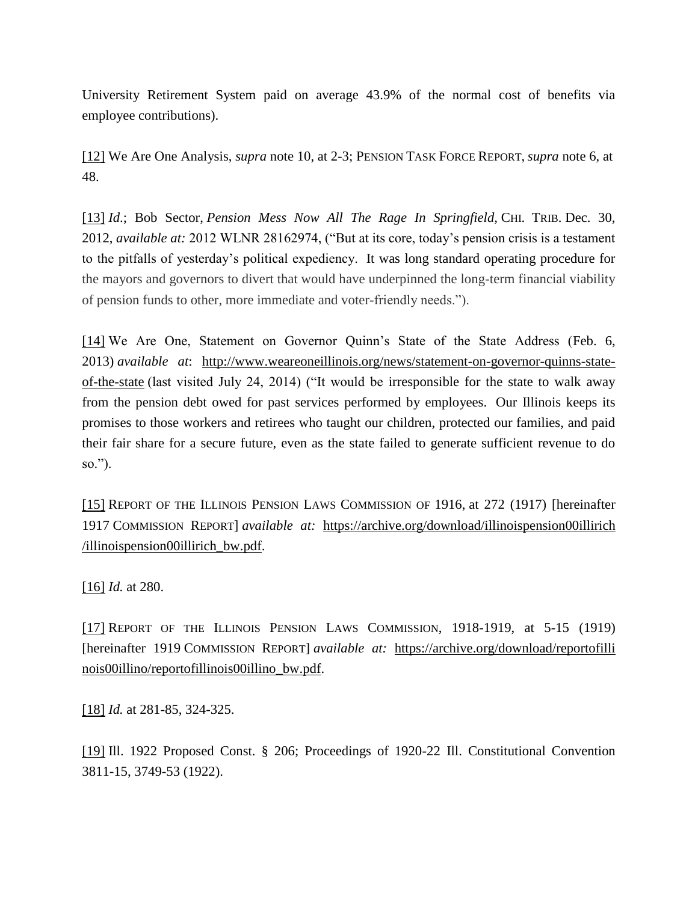University Retirement System paid on average 43.9% of the normal cost of benefits via employee contributions).

[\[12\]](file:///C:/Users/swyattj/Downloads/Illinois%20Public%20Pension%20Reform%20%20%20What) We Are One Analysis, *supra* note 10, at 2-3; PENSION TASK FORCE REPORT, *supra* note 6, at 48.

[\[13\]](file:///C:/Users/swyattj/Downloads/Illinois%20Public%20Pension%20Reform%20%20%20What) *Id*.; Bob Sector, *Pension Mess Now All The Rage In Springfield,* CHI. TRIB. Dec. 30, 2012, *available at:* 2012 WLNR 28162974, ("But at its core, today's pension crisis is a testament to the pitfalls of yesterday's political expediency. It was long standard operating procedure for the mayors and governors to divert that would have underpinned the long-term financial viability of pension funds to other, more immediate and voter-friendly needs.").

[\[14\]](file:///C:/Users/swyattj/Downloads/Illinois%20Public%20Pension%20Reform%20%20%20What) We Are One, Statement on Governor Quinn's State of the State Address (Feb. 6, 2013) *available at*: [http://www.weareoneillinois.org/news/statement-on-governor-quinns-state](http://www.weareoneillinois.org/news/statement-on-governor-quinns-state-of-the-state)[of-the-state](http://www.weareoneillinois.org/news/statement-on-governor-quinns-state-of-the-state) (last visited July 24, 2014) ("It would be irresponsible for the state to walk away from the pension debt owed for past services performed by employees. Our Illinois keeps its promises to those workers and retirees who taught our children, protected our families, and paid their fair share for a secure future, even as the state failed to generate sufficient revenue to do so.").

[\[15\]](file:///C:/Users/swyattj/Downloads/Illinois%20Public%20Pension%20Reform%20%20%20What) REPORT OF THE ILLINOIS PENSION LAWS COMMISSION OF 1916, at 272 (1917) [hereinafter 1917 COMMISSION REPORT] *available at:* [https://archive.org/download/illinoispension00illirich](https://archive.org/download/illinoispension00illirich%20/illinoispension00illirich_bw.pdf) [/illinoispension00illirich\\_bw.pdf.](https://archive.org/download/illinoispension00illirich%20/illinoispension00illirich_bw.pdf)

[\[16\]](file:///C:/Users/swyattj/Downloads/Illinois%20Public%20Pension%20Reform%20%20%20What) *Id.* at 280.

[\[17\]](file:///C:/Users/swyattj/Downloads/Illinois%20Public%20Pension%20Reform%20%20%20What) REPORT OF THE ILLINOIS PENSION LAWS COMMISSION, 1918-1919, at 5-15 (1919) [hereinafter 1919 COMMISSION REPORT] *available at:* [https://archive.org/download/reportofilli](https://archive.org/download/reportofilli%20nois00illino/reportofillinois00illino_bw.pdf) [nois00illino/reportofillinois00illino\\_bw.pdf.](https://archive.org/download/reportofilli%20nois00illino/reportofillinois00illino_bw.pdf)

[\[18\]](file:///C:/Users/swyattj/Downloads/Illinois%20Public%20Pension%20Reform%20%20%20What) *Id.* at 281-85, 324-325.

[\[19\]](file:///C:/Users/swyattj/Downloads/Illinois%20Public%20Pension%20Reform%20%20%20What) Ill. 1922 Proposed Const. § 206; Proceedings of 1920-22 Ill. Constitutional Convention 3811-15, 3749-53 (1922).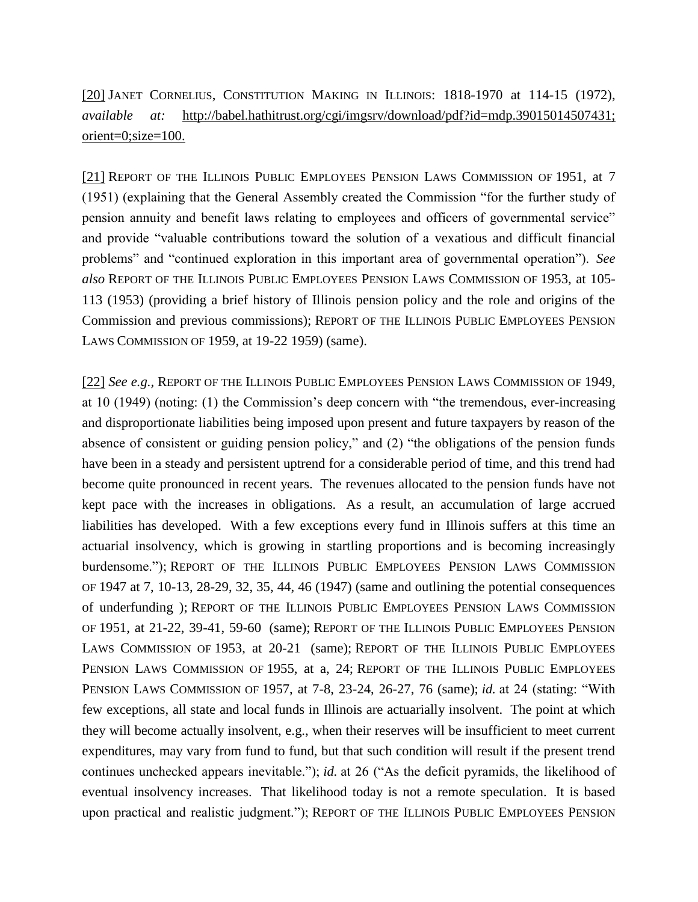[\[20\]](file:///C:/Users/swyattj/Downloads/Illinois%20Public%20Pension%20Reform%20%20%20What) JANET CORNELIUS, CONSTITUTION MAKING IN ILLINOIS: 1818-1970 at 114-15 (1972), *available at:* [http://babel.hathitrust.org/cgi/imgsrv/download/pdf?id=mdp.39015014507431;](http://babel.hathitrust.org/cgi/imgsrv/download/pdf?id=mdp.39015014507431;%20orient=0;size=100.) [orient=0;size=100.](http://babel.hathitrust.org/cgi/imgsrv/download/pdf?id=mdp.39015014507431;%20orient=0;size=100.)

[\[21\]](file:///C:/Users/swyattj/Downloads/Illinois%20Public%20Pension%20Reform%20%20%20What) REPORT OF THE ILLINOIS PUBLIC EMPLOYEES PENSION LAWS COMMISSION OF 1951, at 7 (1951) (explaining that the General Assembly created the Commission "for the further study of pension annuity and benefit laws relating to employees and officers of governmental service" and provide "valuable contributions toward the solution of a vexatious and difficult financial problems" and "continued exploration in this important area of governmental operation"). *See also* REPORT OF THE ILLINOIS PUBLIC EMPLOYEES PENSION LAWS COMMISSION OF 1953, at 105- 113 (1953) (providing a brief history of Illinois pension policy and the role and origins of the Commission and previous commissions); REPORT OF THE ILLINOIS PUBLIC EMPLOYEES PENSION LAWS COMMISSION OF 1959, at 19-22 1959) (same).

[\[22\]](file:///C:/Users/swyattj/Downloads/Illinois%20Public%20Pension%20Reform%20%20%20What) *See e.g.,* REPORT OF THE ILLINOIS PUBLIC EMPLOYEES PENSION LAWS COMMISSION OF 1949, at 10 (1949) (noting: (1) the Commission's deep concern with "the tremendous, ever-increasing and disproportionate liabilities being imposed upon present and future taxpayers by reason of the absence of consistent or guiding pension policy," and (2) "the obligations of the pension funds have been in a steady and persistent uptrend for a considerable period of time, and this trend had become quite pronounced in recent years. The revenues allocated to the pension funds have not kept pace with the increases in obligations. As a result, an accumulation of large accrued liabilities has developed. With a few exceptions every fund in Illinois suffers at this time an actuarial insolvency, which is growing in startling proportions and is becoming increasingly burdensome."); REPORT OF THE ILLINOIS PUBLIC EMPLOYEES PENSION LAWS COMMISSION OF 1947 at 7, 10-13, 28-29, 32, 35, 44, 46 (1947) (same and outlining the potential consequences of underfunding ); REPORT OF THE ILLINOIS PUBLIC EMPLOYEES PENSION LAWS COMMISSION OF 1951, at 21-22, 39-41, 59-60 (same); REPORT OF THE ILLINOIS PUBLIC EMPLOYEES PENSION LAWS COMMISSION OF 1953, at 20-21 (same); REPORT OF THE ILLINOIS PUBLIC EMPLOYEES PENSION LAWS COMMISSION OF 1955, at a, 24; REPORT OF THE ILLINOIS PUBLIC EMPLOYEES PENSION LAWS COMMISSION OF 1957, at 7-8, 23-24, 26-27, 76 (same); *id.* at 24 (stating: "With few exceptions, all state and local funds in Illinois are actuarially insolvent. The point at which they will become actually insolvent, e.g., when their reserves will be insufficient to meet current expenditures, may vary from fund to fund, but that such condition will result if the present trend continues unchecked appears inevitable."); *id.* at 26 ("As the deficit pyramids, the likelihood of eventual insolvency increases. That likelihood today is not a remote speculation. It is based upon practical and realistic judgment."); REPORT OF THE ILLINOIS PUBLIC EMPLOYEES PENSION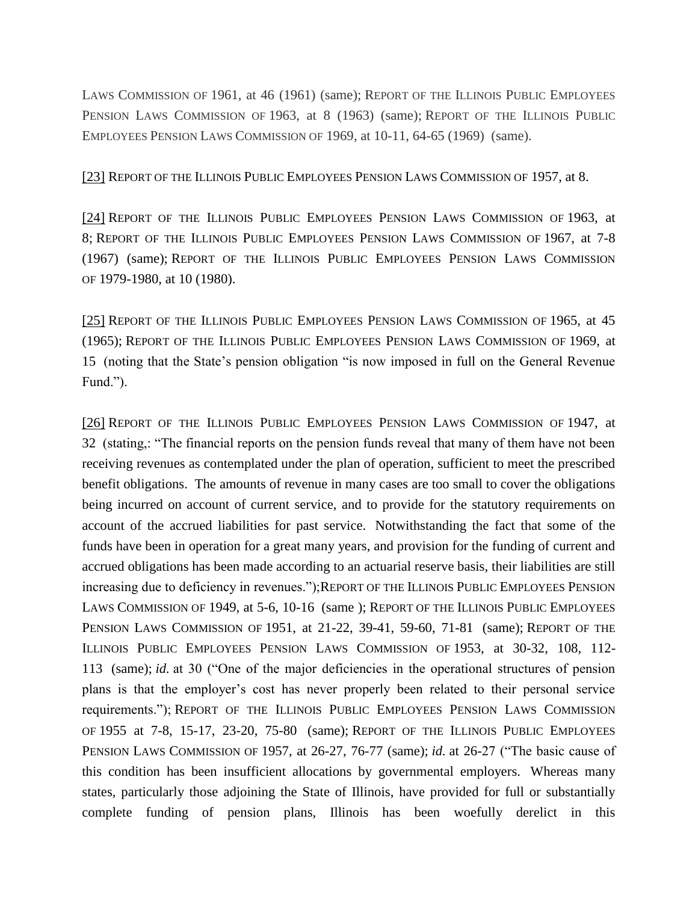LAWS COMMISSION OF 1961, at 46 (1961) (same); REPORT OF THE ILLINOIS PUBLIC EMPLOYEES PENSION LAWS COMMISSION OF 1963, at 8 (1963) (same); REPORT OF THE ILLINOIS PUBLIC EMPLOYEES PENSION LAWS COMMISSION OF 1969, at 10-11, 64-65 (1969) (same).

[\[23\]](file:///C:/Users/swyattj/Downloads/Illinois%20Public%20Pension%20Reform%20%20%20What) REPORT OF THE ILLINOIS PUBLIC EMPLOYEES PENSION LAWS COMMISSION OF 1957, at 8.

[\[24\]](file:///C:/Users/swyattj/Downloads/Illinois%20Public%20Pension%20Reform%20%20%20What) REPORT OF THE ILLINOIS PUBLIC EMPLOYEES PENSION LAWS COMMISSION OF 1963, at 8; REPORT OF THE ILLINOIS PUBLIC EMPLOYEES PENSION LAWS COMMISSION OF 1967, at 7-8 (1967) (same); REPORT OF THE ILLINOIS PUBLIC EMPLOYEES PENSION LAWS COMMISSION OF 1979-1980, at 10 (1980).

[\[25\]](file:///C:/Users/swyattj/Downloads/Illinois%20Public%20Pension%20Reform%20%20%20What) REPORT OF THE ILLINOIS PUBLIC EMPLOYEES PENSION LAWS COMMISSION OF 1965, at 45 (1965); REPORT OF THE ILLINOIS PUBLIC EMPLOYEES PENSION LAWS COMMISSION OF 1969, at 15 (noting that the State's pension obligation "is now imposed in full on the General Revenue Fund.").

[\[26\]](file:///C:/Users/swyattj/Downloads/Illinois%20Public%20Pension%20Reform%20%20%20What) REPORT OF THE ILLINOIS PUBLIC EMPLOYEES PENSION LAWS COMMISSION OF 1947, at 32 (stating,: "The financial reports on the pension funds reveal that many of them have not been receiving revenues as contemplated under the plan of operation, sufficient to meet the prescribed benefit obligations. The amounts of revenue in many cases are too small to cover the obligations being incurred on account of current service, and to provide for the statutory requirements on account of the accrued liabilities for past service. Notwithstanding the fact that some of the funds have been in operation for a great many years, and provision for the funding of current and accrued obligations has been made according to an actuarial reserve basis, their liabilities are still increasing due to deficiency in revenues.");REPORT OF THE ILLINOIS PUBLIC EMPLOYEES PENSION LAWS COMMISSION OF 1949, at 5-6, 10-16 (same ); REPORT OF THE ILLINOIS PUBLIC EMPLOYEES PENSION LAWS COMMISSION OF 1951, at 21-22, 39-41, 59-60, 71-81 (same); REPORT OF THE ILLINOIS PUBLIC EMPLOYEES PENSION LAWS COMMISSION OF 1953, at 30-32, 108, 112- 113 (same); *id.* at 30 ("One of the major deficiencies in the operational structures of pension plans is that the employer's cost has never properly been related to their personal service requirements."); REPORT OF THE ILLINOIS PUBLIC EMPLOYEES PENSION LAWS COMMISSION OF 1955 at 7-8, 15-17, 23-20, 75-80 (same); REPORT OF THE ILLINOIS PUBLIC EMPLOYEES PENSION LAWS COMMISSION OF 1957, at 26-27, 76-77 (same); *id.* at 26-27 ("The basic cause of this condition has been insufficient allocations by governmental employers. Whereas many states, particularly those adjoining the State of Illinois, have provided for full or substantially complete funding of pension plans, Illinois has been woefully derelict in this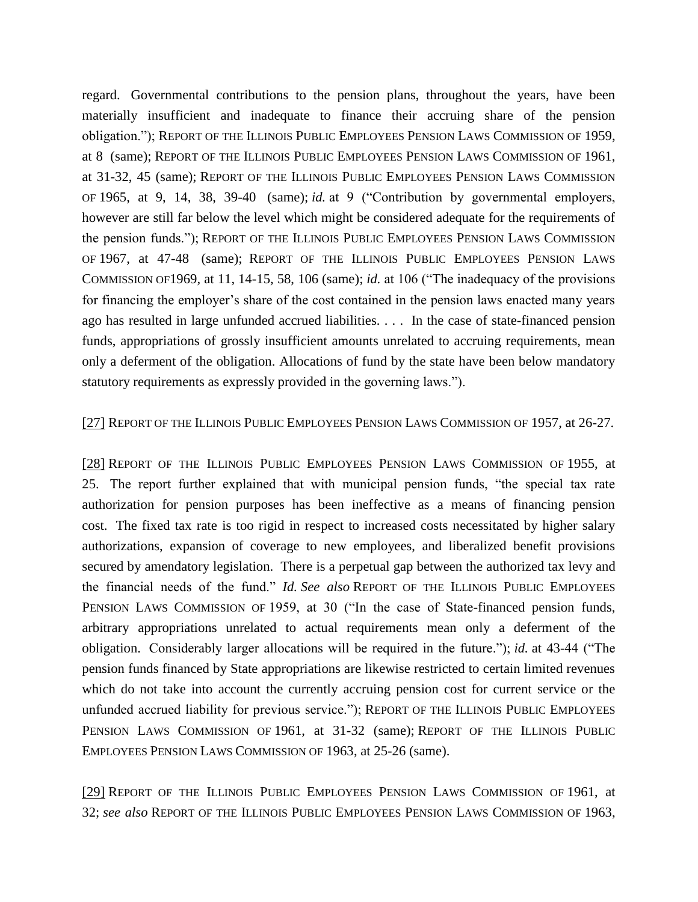regard. Governmental contributions to the pension plans, throughout the years, have been materially insufficient and inadequate to finance their accruing share of the pension obligation."); REPORT OF THE ILLINOIS PUBLIC EMPLOYEES PENSION LAWS COMMISSION OF 1959, at 8 (same); REPORT OF THE ILLINOIS PUBLIC EMPLOYEES PENSION LAWS COMMISSION OF 1961, at 31-32, 45 (same); REPORT OF THE ILLINOIS PUBLIC EMPLOYEES PENSION LAWS COMMISSION OF 1965, at 9, 14, 38, 39-40 (same); *id.* at 9 ("Contribution by governmental employers, however are still far below the level which might be considered adequate for the requirements of the pension funds."); REPORT OF THE ILLINOIS PUBLIC EMPLOYEES PENSION LAWS COMMISSION OF 1967, at 47-48 (same); REPORT OF THE ILLINOIS PUBLIC EMPLOYEES PENSION LAWS COMMISSION OF1969, at 11, 14-15, 58, 106 (same); *id.* at 106 ("The inadequacy of the provisions for financing the employer's share of the cost contained in the pension laws enacted many years ago has resulted in large unfunded accrued liabilities. . . . In the case of state-financed pension funds, appropriations of grossly insufficient amounts unrelated to accruing requirements, mean only a deferment of the obligation. Allocations of fund by the state have been below mandatory statutory requirements as expressly provided in the governing laws.").

## [\[27\]](file:///C:/Users/swyattj/Downloads/Illinois%20Public%20Pension%20Reform%20%20%20What) REPORT OF THE ILLINOIS PUBLIC EMPLOYEES PENSION LAWS COMMISSION OF 1957, at 26-27.

[\[28\]](file:///C:/Users/swyattj/Downloads/Illinois%20Public%20Pension%20Reform%20%20%20What) REPORT OF THE ILLINOIS PUBLIC EMPLOYEES PENSION LAWS COMMISSION OF 1955, at 25. The report further explained that with municipal pension funds, "the special tax rate authorization for pension purposes has been ineffective as a means of financing pension cost. The fixed tax rate is too rigid in respect to increased costs necessitated by higher salary authorizations, expansion of coverage to new employees, and liberalized benefit provisions secured by amendatory legislation. There is a perpetual gap between the authorized tax levy and the financial needs of the fund." *Id. See also* REPORT OF THE ILLINOIS PUBLIC EMPLOYEES PENSION LAWS COMMISSION OF 1959, at 30 ("In the case of State-financed pension funds, arbitrary appropriations unrelated to actual requirements mean only a deferment of the obligation. Considerably larger allocations will be required in the future."); *id.* at 43-44 ("The pension funds financed by State appropriations are likewise restricted to certain limited revenues which do not take into account the currently accruing pension cost for current service or the unfunded accrued liability for previous service."); REPORT OF THE ILLINOIS PUBLIC EMPLOYEES PENSION LAWS COMMISSION OF 1961, at 31-32 (same); REPORT OF THE ILLINOIS PUBLIC EMPLOYEES PENSION LAWS COMMISSION OF 1963, at 25-26 (same).

[\[29\]](file:///C:/Users/swyattj/Downloads/Illinois%20Public%20Pension%20Reform%20%20%20What) REPORT OF THE ILLINOIS PUBLIC EMPLOYEES PENSION LAWS COMMISSION OF 1961, at 32; *see also* REPORT OF THE ILLINOIS PUBLIC EMPLOYEES PENSION LAWS COMMISSION OF 1963,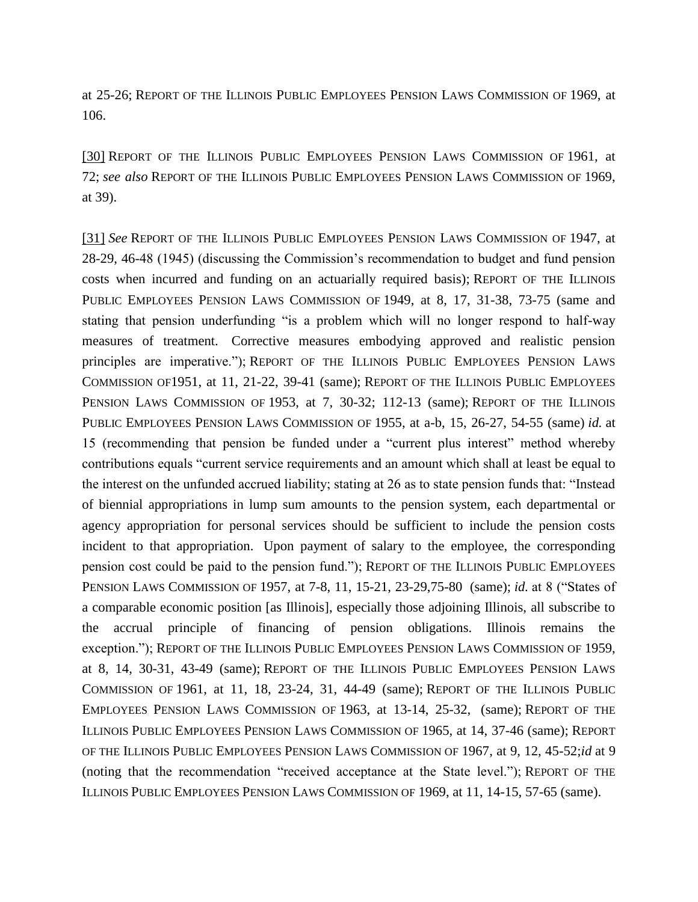at 25-26; REPORT OF THE ILLINOIS PUBLIC EMPLOYEES PENSION LAWS COMMISSION OF 1969, at 106.

[\[30\]](file:///C:/Users/swyattj/Downloads/Illinois%20Public%20Pension%20Reform%20%20%20What) REPORT OF THE ILLINOIS PUBLIC EMPLOYEES PENSION LAWS COMMISSION OF 1961, at 72; *see also* REPORT OF THE ILLINOIS PUBLIC EMPLOYEES PENSION LAWS COMMISSION OF 1969, at 39).

[\[31\]](file:///C:/Users/swyattj/Downloads/Illinois%20Public%20Pension%20Reform%20%20%20What) *See* REPORT OF THE ILLINOIS PUBLIC EMPLOYEES PENSION LAWS COMMISSION OF 1947, at 28-29, 46-48 (1945) (discussing the Commission's recommendation to budget and fund pension costs when incurred and funding on an actuarially required basis); REPORT OF THE ILLINOIS PUBLIC EMPLOYEES PENSION LAWS COMMISSION OF 1949, at 8, 17, 31-38, 73-75 (same and stating that pension underfunding "is a problem which will no longer respond to half-way measures of treatment. Corrective measures embodying approved and realistic pension principles are imperative."); REPORT OF THE ILLINOIS PUBLIC EMPLOYEES PENSION LAWS COMMISSION OF1951, at 11, 21-22, 39-41 (same); REPORT OF THE ILLINOIS PUBLIC EMPLOYEES PENSION LAWS COMMISSION OF 1953, at 7, 30-32; 112-13 (same); REPORT OF THE ILLINOIS PUBLIC EMPLOYEES PENSION LAWS COMMISSION OF 1955, at a-b, 15, 26-27, 54-55 (same) *id.* at 15 (recommending that pension be funded under a "current plus interest" method whereby contributions equals "current service requirements and an amount which shall at least be equal to the interest on the unfunded accrued liability; stating at 26 as to state pension funds that: "Instead of biennial appropriations in lump sum amounts to the pension system, each departmental or agency appropriation for personal services should be sufficient to include the pension costs incident to that appropriation. Upon payment of salary to the employee, the corresponding pension cost could be paid to the pension fund."); REPORT OF THE ILLINOIS PUBLIC EMPLOYEES PENSION LAWS COMMISSION OF 1957, at 7-8, 11, 15-21, 23-29,75-80 (same); *id.* at 8 ("States of a comparable economic position [as Illinois], especially those adjoining Illinois, all subscribe to the accrual principle of financing of pension obligations. Illinois remains the exception."); REPORT OF THE ILLINOIS PUBLIC EMPLOYEES PENSION LAWS COMMISSION OF 1959, at 8, 14, 30-31, 43-49 (same); REPORT OF THE ILLINOIS PUBLIC EMPLOYEES PENSION LAWS COMMISSION OF 1961, at 11, 18, 23-24, 31, 44-49 (same); REPORT OF THE ILLINOIS PUBLIC EMPLOYEES PENSION LAWS COMMISSION OF 1963, at 13-14, 25-32, (same); REPORT OF THE ILLINOIS PUBLIC EMPLOYEES PENSION LAWS COMMISSION OF 1965, at 14, 37-46 (same); REPORT OF THE ILLINOIS PUBLIC EMPLOYEES PENSION LAWS COMMISSION OF 1967, at 9, 12, 45-52;*id* at 9 (noting that the recommendation "received acceptance at the State level."); REPORT OF THE ILLINOIS PUBLIC EMPLOYEES PENSION LAWS COMMISSION OF 1969, at 11, 14-15, 57-65 (same).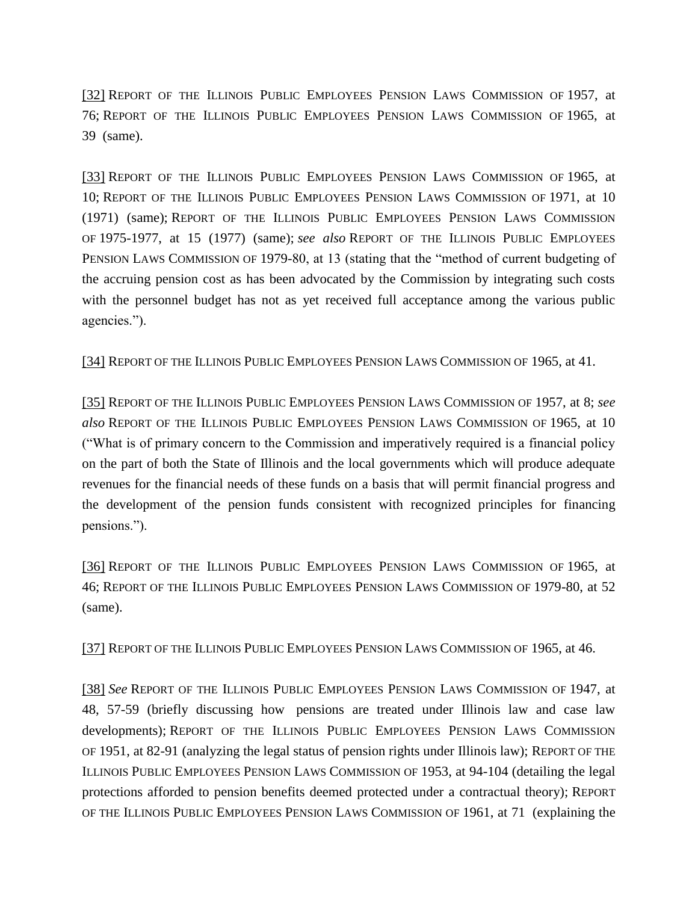[\[32\]](file:///C:/Users/swyattj/Downloads/Illinois%20Public%20Pension%20Reform%20%20%20What) REPORT OF THE ILLINOIS PUBLIC EMPLOYEES PENSION LAWS COMMISSION OF 1957, at 76; REPORT OF THE ILLINOIS PUBLIC EMPLOYEES PENSION LAWS COMMISSION OF 1965, at 39 (same).

[\[33\]](file:///C:/Users/swyattj/Downloads/Illinois%20Public%20Pension%20Reform%20%20%20What) REPORT OF THE ILLINOIS PUBLIC EMPLOYEES PENSION LAWS COMMISSION OF 1965, at 10; REPORT OF THE ILLINOIS PUBLIC EMPLOYEES PENSION LAWS COMMISSION OF 1971, at 10 (1971) (same); REPORT OF THE ILLINOIS PUBLIC EMPLOYEES PENSION LAWS COMMISSION OF 1975-1977, at 15 (1977) (same); *see also* REPORT OF THE ILLINOIS PUBLIC EMPLOYEES PENSION LAWS COMMISSION OF 1979-80, at 13 (stating that the "method of current budgeting of the accruing pension cost as has been advocated by the Commission by integrating such costs with the personnel budget has not as yet received full acceptance among the various public agencies.").

[\[34\]](file:///C:/Users/swyattj/Downloads/Illinois%20Public%20Pension%20Reform%20%20%20What) REPORT OF THE ILLINOIS PUBLIC EMPLOYEES PENSION LAWS COMMISSION OF 1965, at 41.

[\[35\]](file:///C:/Users/swyattj/Downloads/Illinois%20Public%20Pension%20Reform%20%20%20What) REPORT OF THE ILLINOIS PUBLIC EMPLOYEES PENSION LAWS COMMISSION OF 1957, at 8; *see also* REPORT OF THE ILLINOIS PUBLIC EMPLOYEES PENSION LAWS COMMISSION OF 1965, at 10 ("What is of primary concern to the Commission and imperatively required is a financial policy on the part of both the State of Illinois and the local governments which will produce adequate revenues for the financial needs of these funds on a basis that will permit financial progress and the development of the pension funds consistent with recognized principles for financing pensions.").

[\[36\]](file:///C:/Users/swyattj/Downloads/Illinois%20Public%20Pension%20Reform%20%20%20What) REPORT OF THE ILLINOIS PUBLIC EMPLOYEES PENSION LAWS COMMISSION OF 1965, at 46; REPORT OF THE ILLINOIS PUBLIC EMPLOYEES PENSION LAWS COMMISSION OF 1979-80, at 52 (same).

[\[37\]](file:///C:/Users/swyattj/Downloads/Illinois%20Public%20Pension%20Reform%20%20%20What) REPORT OF THE ILLINOIS PUBLIC EMPLOYEES PENSION LAWS COMMISSION OF 1965, at 46.

[\[38\]](file:///C:/Users/swyattj/Downloads/Illinois%20Public%20Pension%20Reform%20%20%20What) *See* REPORT OF THE ILLINOIS PUBLIC EMPLOYEES PENSION LAWS COMMISSION OF 1947, at 48, 57-59 (briefly discussing how pensions are treated under Illinois law and case law developments); REPORT OF THE ILLINOIS PUBLIC EMPLOYEES PENSION LAWS COMMISSION OF 1951, at 82-91 (analyzing the legal status of pension rights under Illinois law); REPORT OF THE ILLINOIS PUBLIC EMPLOYEES PENSION LAWS COMMISSION OF 1953, at 94-104 (detailing the legal protections afforded to pension benefits deemed protected under a contractual theory); REPORT OF THE ILLINOIS PUBLIC EMPLOYEES PENSION LAWS COMMISSION OF 1961, at 71 (explaining the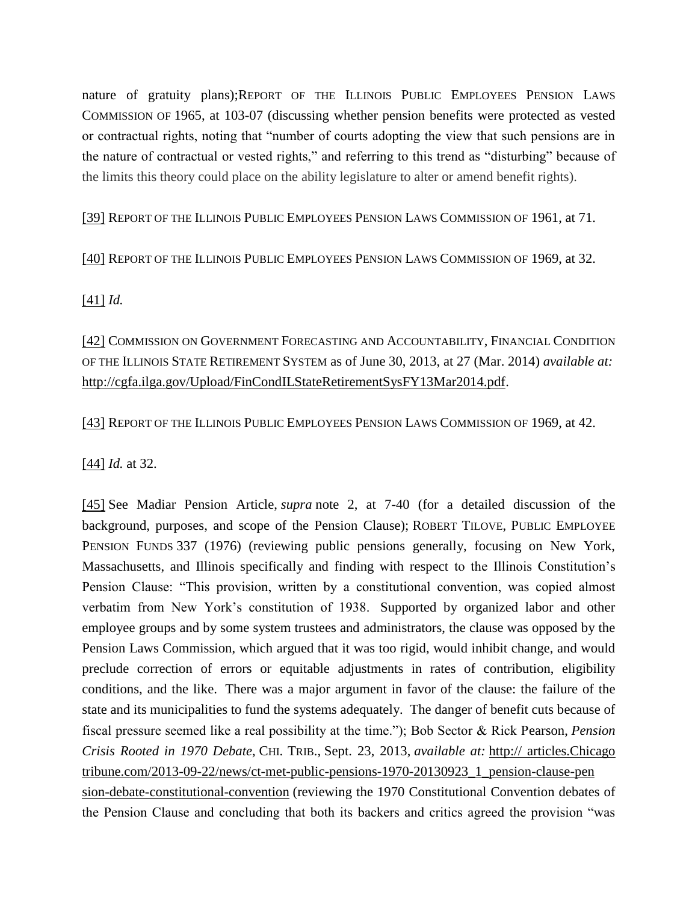nature of gratuity plans);REPORT OF THE ILLINOIS PUBLIC EMPLOYEES PENSION LAWS COMMISSION OF 1965, at 103-07 (discussing whether pension benefits were protected as vested or contractual rights, noting that "number of courts adopting the view that such pensions are in the nature of contractual or vested rights," and referring to this trend as "disturbing" because of the limits this theory could place on the ability legislature to alter or amend benefit rights).

[\[39\]](file:///C:/Users/swyattj/Downloads/Illinois%20Public%20Pension%20Reform%20%20%20What) REPORT OF THE ILLINOIS PUBLIC EMPLOYEES PENSION LAWS COMMISSION OF 1961, at 71.

[\[40\]](file:///C:/Users/swyattj/Downloads/Illinois%20Public%20Pension%20Reform%20%20%20What) REPORT OF THE ILLINOIS PUBLIC EMPLOYEES PENSION LAWS COMMISSION OF 1969, at 32.

## [\[41\]](file:///C:/Users/swyattj/Downloads/Illinois%20Public%20Pension%20Reform%20%20%20What) *Id.*

[\[42\]](file:///C:/Users/swyattj/Downloads/Illinois%20Public%20Pension%20Reform%20%20%20What) COMMISSION ON GOVERNMENT FORECASTING AND ACCOUNTABILITY, FINANCIAL CONDITION OF THE ILLINOIS STATE RETIREMENT SYSTEM as of June 30, 2013, at 27 (Mar. 2014) *available at:* [http://cgfa.ilga.gov/Upload/FinCondILStateRetirementSysFY13Mar2014.pdf.](http://cgfa.ilga.gov/Upload/FinCondILStateRetirementSysFY13Mar2014.pdf)

[\[43\]](file:///C:/Users/swyattj/Downloads/Illinois%20Public%20Pension%20Reform%20%20%20What) REPORT OF THE ILLINOIS PUBLIC EMPLOYEES PENSION LAWS COMMISSION OF 1969, at 42.

[\[44\]](file:///C:/Users/swyattj/Downloads/Illinois%20Public%20Pension%20Reform%20%20%20What) *Id.* at 32.

[\[45\]](file:///C:/Users/swyattj/Downloads/Illinois%20Public%20Pension%20Reform%20%20%20What) See Madiar Pension Article, *supra* note 2, at 7-40 (for a detailed discussion of the background, purposes, and scope of the Pension Clause); ROBERT TILOVE, PUBLIC EMPLOYEE PENSION FUNDS 337 (1976) (reviewing public pensions generally, focusing on New York, Massachusetts, and Illinois specifically and finding with respect to the Illinois Constitution's Pension Clause: "This provision, written by a constitutional convention, was copied almost verbatim from New York's constitution of 1938. Supported by organized labor and other employee groups and by some system trustees and administrators, the clause was opposed by the Pension Laws Commission, which argued that it was too rigid, would inhibit change, and would preclude correction of errors or equitable adjustments in rates of contribution, eligibility conditions, and the like. There was a major argument in favor of the clause: the failure of the state and its municipalities to fund the systems adequately. The danger of benefit cuts because of fiscal pressure seemed like a real possibility at the time."); Bob Sector & Rick Pearson, *Pension Crisis Rooted in 1970 Debate*, CHI. TRIB., Sept. 23, 2013, *available at:* http:// articles.Chicago tribune.com/2013-09-22/news/ct-met-public-pensions-1970-20130923\_1\_pension-clause-pen sion-debate-constitutional-convention (reviewing the 1970 Constitutional Convention debates of the Pension Clause and concluding that both its backers and critics agreed the provision "was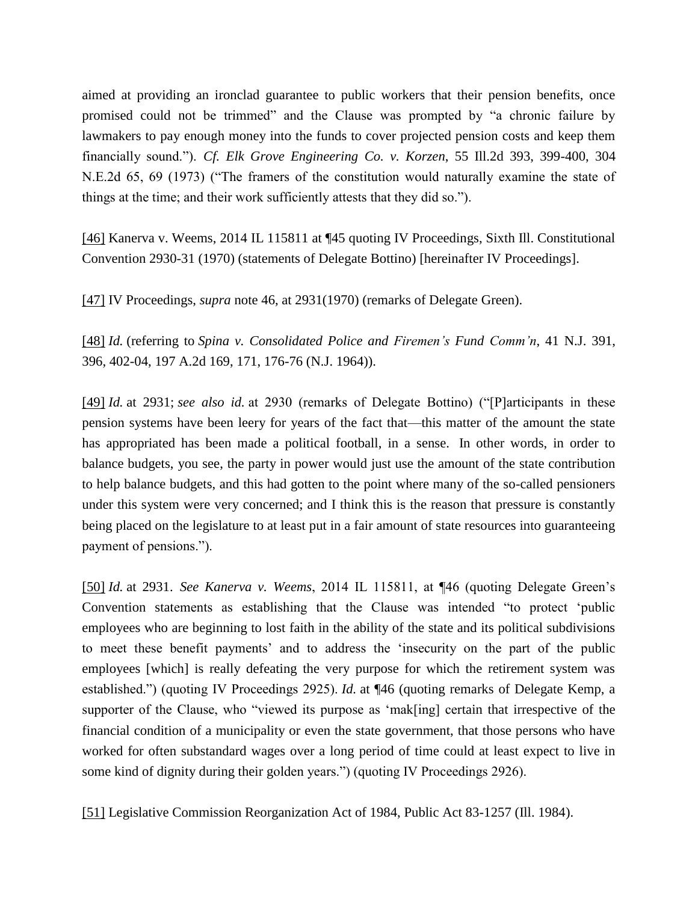aimed at providing an ironclad guarantee to public workers that their pension benefits, once promised could not be trimmed" and the Clause was prompted by "a chronic failure by lawmakers to pay enough money into the funds to cover projected pension costs and keep them financially sound."). *Cf. Elk Grove Engineering Co. v. Korzen*, 55 Ill.2d 393, 399-400, 304 N.E.2d 65, 69 (1973) ("The framers of the constitution would naturally examine the state of things at the time; and their work sufficiently attests that they did so.").

[\[46\]](file:///C:/Users/swyattj/Downloads/Illinois%20Public%20Pension%20Reform%20%20%20What) Kanerva v. Weems, 2014 IL 115811 at ¶45 quoting IV Proceedings, Sixth Ill. Constitutional Convention 2930-31 (1970) (statements of Delegate Bottino) [hereinafter IV Proceedings].

[\[47\]](file:///C:/Users/swyattj/Downloads/Illinois%20Public%20Pension%20Reform%20%20%20What) IV Proceedings, *supra* note 46, at 2931(1970) (remarks of Delegate Green).

[\[48\]](file:///C:/Users/swyattj/Downloads/Illinois%20Public%20Pension%20Reform%20%20%20What) *Id.* (referring to *Spina v. Consolidated Police and Firemen's Fund Comm'n*, 41 N.J. 391, 396, 402-04, 197 A.2d 169, 171, 176-76 (N.J. 1964)).

[\[49\]](file:///C:/Users/swyattj/Downloads/Illinois%20Public%20Pension%20Reform%20%20%20What) *Id.* at 2931; *see also id.* at 2930 (remarks of Delegate Bottino) ("[P]articipants in these pension systems have been leery for years of the fact that—this matter of the amount the state has appropriated has been made a political football, in a sense. In other words, in order to balance budgets, you see, the party in power would just use the amount of the state contribution to help balance budgets, and this had gotten to the point where many of the so-called pensioners under this system were very concerned; and I think this is the reason that pressure is constantly being placed on the legislature to at least put in a fair amount of state resources into guaranteeing payment of pensions.").

[\[50\]](file:///C:/Users/swyattj/Downloads/Illinois%20Public%20Pension%20Reform%20%20%20What) *Id.* at 2931. *See Kanerva v. Weems*, 2014 IL 115811, at ¶46 (quoting Delegate Green's Convention statements as establishing that the Clause was intended "to protect 'public employees who are beginning to lost faith in the ability of the state and its political subdivisions to meet these benefit payments' and to address the 'insecurity on the part of the public employees [which] is really defeating the very purpose for which the retirement system was established.") (quoting IV Proceedings 2925). *Id.* at ¶46 (quoting remarks of Delegate Kemp, a supporter of the Clause, who "viewed its purpose as 'mak[ing] certain that irrespective of the financial condition of a municipality or even the state government, that those persons who have worked for often substandard wages over a long period of time could at least expect to live in some kind of dignity during their golden years.") (quoting IV Proceedings 2926).

[\[51\]](file:///C:/Users/swyattj/Downloads/Illinois%20Public%20Pension%20Reform%20%20%20What) Legislative Commission Reorganization Act of 1984, Public Act 83-1257 (Ill. 1984).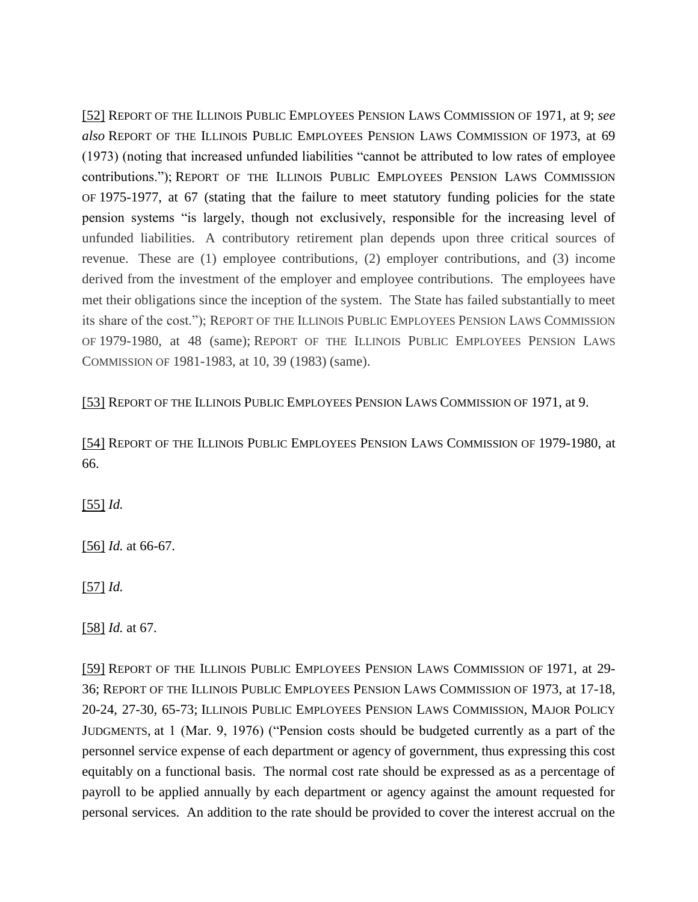[\[52\]](file:///C:/Users/swyattj/Downloads/Illinois%20Public%20Pension%20Reform%20%20%20What) REPORT OF THE ILLINOIS PUBLIC EMPLOYEES PENSION LAWS COMMISSION OF 1971, at 9; *see also* REPORT OF THE ILLINOIS PUBLIC EMPLOYEES PENSION LAWS COMMISSION OF 1973, at 69 (1973) (noting that increased unfunded liabilities "cannot be attributed to low rates of employee contributions."); REPORT OF THE ILLINOIS PUBLIC EMPLOYEES PENSION LAWS COMMISSION OF 1975-1977, at 67 (stating that the failure to meet statutory funding policies for the state pension systems "is largely, though not exclusively, responsible for the increasing level of unfunded liabilities. A contributory retirement plan depends upon three critical sources of revenue. These are (1) employee contributions, (2) employer contributions, and (3) income derived from the investment of the employer and employee contributions. The employees have met their obligations since the inception of the system. The State has failed substantially to meet its share of the cost."); REPORT OF THE ILLINOIS PUBLIC EMPLOYEES PENSION LAWS COMMISSION OF 1979-1980, at 48 (same); REPORT OF THE ILLINOIS PUBLIC EMPLOYEES PENSION LAWS COMMISSION OF 1981-1983, at 10, 39 (1983) (same).

[\[53\]](file:///C:/Users/swyattj/Downloads/Illinois%20Public%20Pension%20Reform%20%20%20What) REPORT OF THE ILLINOIS PUBLIC EMPLOYEES PENSION LAWS COMMISSION OF 1971, at 9.

[\[54\]](file:///C:/Users/swyattj/Downloads/Illinois%20Public%20Pension%20Reform%20%20%20What) REPORT OF THE ILLINOIS PUBLIC EMPLOYEES PENSION LAWS COMMISSION OF 1979-1980, at 66.

[\[55\]](file:///C:/Users/swyattj/Downloads/Illinois%20Public%20Pension%20Reform%20%20%20What) *Id.*

[\[56\]](file:///C:/Users/swyattj/Downloads/Illinois%20Public%20Pension%20Reform%20%20%20What) *Id.* at 66-67.

[\[57\]](file:///C:/Users/swyattj/Downloads/Illinois%20Public%20Pension%20Reform%20%20%20What) *Id.*

[\[58\]](file:///C:/Users/swyattj/Downloads/Illinois%20Public%20Pension%20Reform%20%20%20What) *Id.* at 67.

[\[59\]](file:///C:/Users/swyattj/Downloads/Illinois%20Public%20Pension%20Reform%20%20%20What) REPORT OF THE ILLINOIS PUBLIC EMPLOYEES PENSION LAWS COMMISSION OF 1971, at 29- 36; REPORT OF THE ILLINOIS PUBLIC EMPLOYEES PENSION LAWS COMMISSION OF 1973, at 17-18, 20-24, 27-30, 65-73; ILLINOIS PUBLIC EMPLOYEES PENSION LAWS COMMISSION, MAJOR POLICY JUDGMENTS, at 1 (Mar. 9, 1976) ("Pension costs should be budgeted currently as a part of the personnel service expense of each department or agency of government, thus expressing this cost equitably on a functional basis. The normal cost rate should be expressed as as a percentage of payroll to be applied annually by each department or agency against the amount requested for personal services. An addition to the rate should be provided to cover the interest accrual on the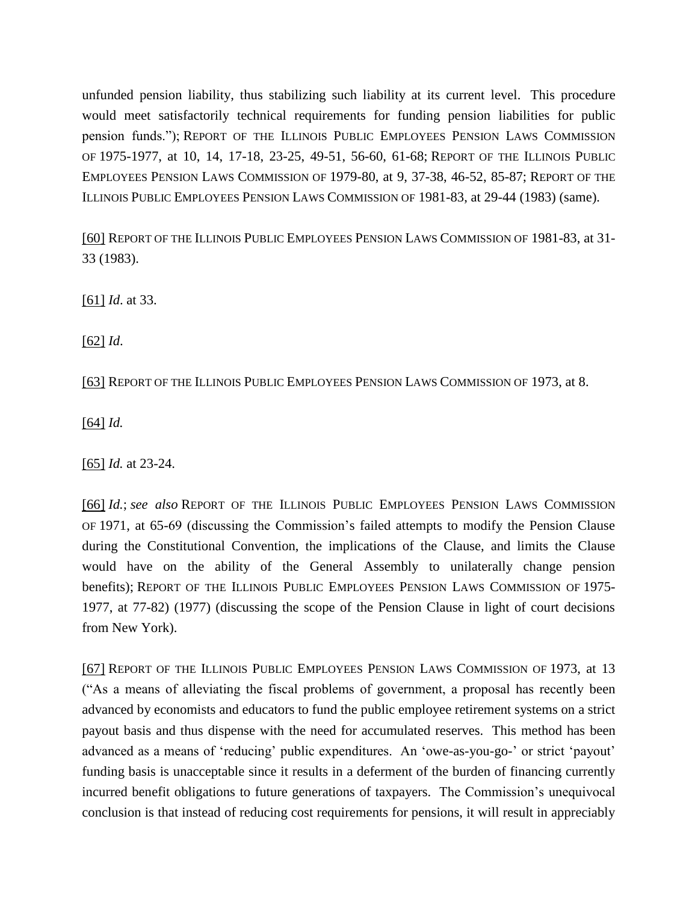unfunded pension liability, thus stabilizing such liability at its current level. This procedure would meet satisfactorily technical requirements for funding pension liabilities for public pension funds."); REPORT OF THE ILLINOIS PUBLIC EMPLOYEES PENSION LAWS COMMISSION OF 1975-1977, at 10, 14, 17-18, 23-25, 49-51, 56-60, 61-68; REPORT OF THE ILLINOIS PUBLIC EMPLOYEES PENSION LAWS COMMISSION OF 1979-80, at 9, 37-38, 46-52, 85-87; REPORT OF THE ILLINOIS PUBLIC EMPLOYEES PENSION LAWS COMMISSION OF 1981-83, at 29-44 (1983) (same).

[\[60\]](file:///C:/Users/swyattj/Downloads/Illinois%20Public%20Pension%20Reform%20%20%20What) REPORT OF THE ILLINOIS PUBLIC EMPLOYEES PENSION LAWS COMMISSION OF 1981-83, at 31- 33 (1983).

[\[61\]](file:///C:/Users/swyattj/Downloads/Illinois%20Public%20Pension%20Reform%20%20%20What) *Id*. at 33.

[\[62\]](file:///C:/Users/swyattj/Downloads/Illinois%20Public%20Pension%20Reform%20%20%20What) *Id*.

[\[63\]](file:///C:/Users/swyattj/Downloads/Illinois%20Public%20Pension%20Reform%20%20%20What) REPORT OF THE ILLINOIS PUBLIC EMPLOYEES PENSION LAWS COMMISSION OF 1973, at 8.

[\[64\]](file:///C:/Users/swyattj/Downloads/Illinois%20Public%20Pension%20Reform%20%20%20What) *Id.*

[\[65\]](file:///C:/Users/swyattj/Downloads/Illinois%20Public%20Pension%20Reform%20%20%20What) *Id.* at 23-24.

[\[66\]](file:///C:/Users/swyattj/Downloads/Illinois%20Public%20Pension%20Reform%20%20%20What) *Id.*; *see also* REPORT OF THE ILLINOIS PUBLIC EMPLOYEES PENSION LAWS COMMISSION OF 1971, at 65-69 (discussing the Commission's failed attempts to modify the Pension Clause during the Constitutional Convention, the implications of the Clause, and limits the Clause would have on the ability of the General Assembly to unilaterally change pension benefits); REPORT OF THE ILLINOIS PUBLIC EMPLOYEES PENSION LAWS COMMISSION OF 1975- 1977, at 77-82) (1977) (discussing the scope of the Pension Clause in light of court decisions from New York).

[\[67\]](file:///C:/Users/swyattj/Downloads/Illinois%20Public%20Pension%20Reform%20%20%20What) REPORT OF THE ILLINOIS PUBLIC EMPLOYEES PENSION LAWS COMMISSION OF 1973, at 13 ("As a means of alleviating the fiscal problems of government, a proposal has recently been advanced by economists and educators to fund the public employee retirement systems on a strict payout basis and thus dispense with the need for accumulated reserves. This method has been advanced as a means of 'reducing' public expenditures. An 'owe-as-you-go-' or strict 'payout' funding basis is unacceptable since it results in a deferment of the burden of financing currently incurred benefit obligations to future generations of taxpayers. The Commission's unequivocal conclusion is that instead of reducing cost requirements for pensions, it will result in appreciably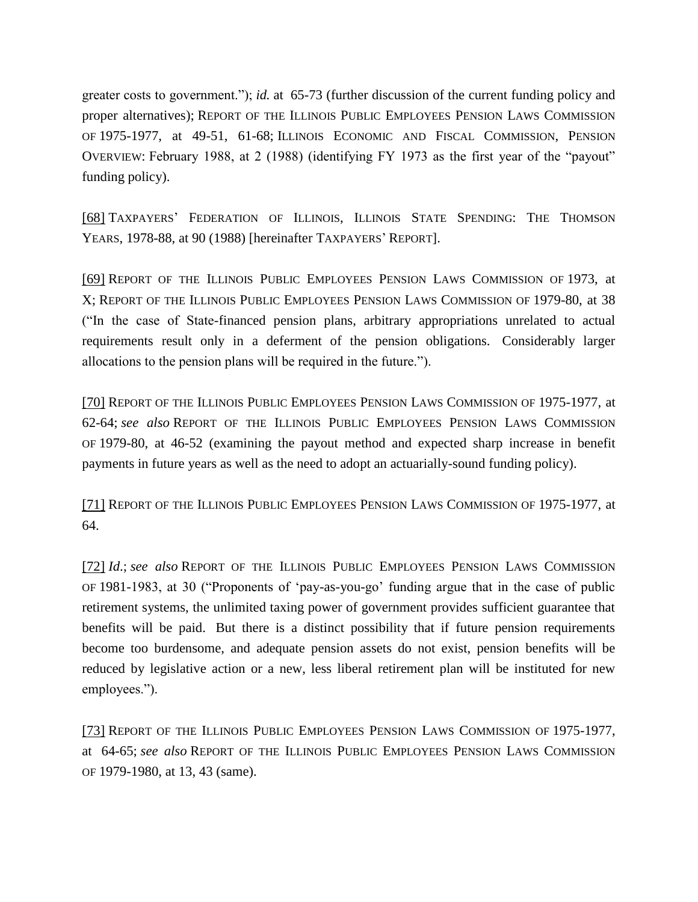greater costs to government."); *id.* at 65-73 (further discussion of the current funding policy and proper alternatives); REPORT OF THE ILLINOIS PUBLIC EMPLOYEES PENSION LAWS COMMISSION OF 1975-1977, at 49-51, 61-68; ILLINOIS ECONOMIC AND FISCAL COMMISSION, PENSION OVERVIEW: February 1988, at 2 (1988) (identifying FY 1973 as the first year of the "payout" funding policy).

[\[68\]](file:///C:/Users/swyattj/Downloads/Illinois%20Public%20Pension%20Reform%20%20%20What) TAXPAYERS' FEDERATION OF ILLINOIS, ILLINOIS STATE SPENDING: THE THOMSON YEARS, 1978-88, at 90 (1988) [hereinafter TAXPAYERS' REPORT].

[\[69\]](file:///C:/Users/swyattj/Downloads/Illinois%20Public%20Pension%20Reform%20%20%20What) REPORT OF THE ILLINOIS PUBLIC EMPLOYEES PENSION LAWS COMMISSION OF 1973, at X; REPORT OF THE ILLINOIS PUBLIC EMPLOYEES PENSION LAWS COMMISSION OF 1979-80, at 38 ("In the case of State-financed pension plans, arbitrary appropriations unrelated to actual requirements result only in a deferment of the pension obligations. Considerably larger allocations to the pension plans will be required in the future.").

[\[70\]](file:///C:/Users/swyattj/Downloads/Illinois%20Public%20Pension%20Reform%20%20%20What) REPORT OF THE ILLINOIS PUBLIC EMPLOYEES PENSION LAWS COMMISSION OF 1975-1977, at 62-64; *see also* REPORT OF THE ILLINOIS PUBLIC EMPLOYEES PENSION LAWS COMMISSION OF 1979-80, at 46-52 (examining the payout method and expected sharp increase in benefit payments in future years as well as the need to adopt an actuarially-sound funding policy).

[\[71\]](file:///C:/Users/swyattj/Downloads/Illinois%20Public%20Pension%20Reform%20%20%20What) REPORT OF THE ILLINOIS PUBLIC EMPLOYEES PENSION LAWS COMMISSION OF 1975-1977, at 64.

[\[72\]](file:///C:/Users/swyattj/Downloads/Illinois%20Public%20Pension%20Reform%20%20%20What) *Id*.; *see also* REPORT OF THE ILLINOIS PUBLIC EMPLOYEES PENSION LAWS COMMISSION OF 1981-1983, at 30 ("Proponents of 'pay-as-you-go' funding argue that in the case of public retirement systems, the unlimited taxing power of government provides sufficient guarantee that benefits will be paid. But there is a distinct possibility that if future pension requirements become too burdensome, and adequate pension assets do not exist, pension benefits will be reduced by legislative action or a new, less liberal retirement plan will be instituted for new employees.").

[\[73\]](file:///C:/Users/swyattj/Downloads/Illinois%20Public%20Pension%20Reform%20%20%20What) REPORT OF THE ILLINOIS PUBLIC EMPLOYEES PENSION LAWS COMMISSION OF 1975-1977, at 64-65; *see also* REPORT OF THE ILLINOIS PUBLIC EMPLOYEES PENSION LAWS COMMISSION OF 1979-1980, at 13, 43 (same).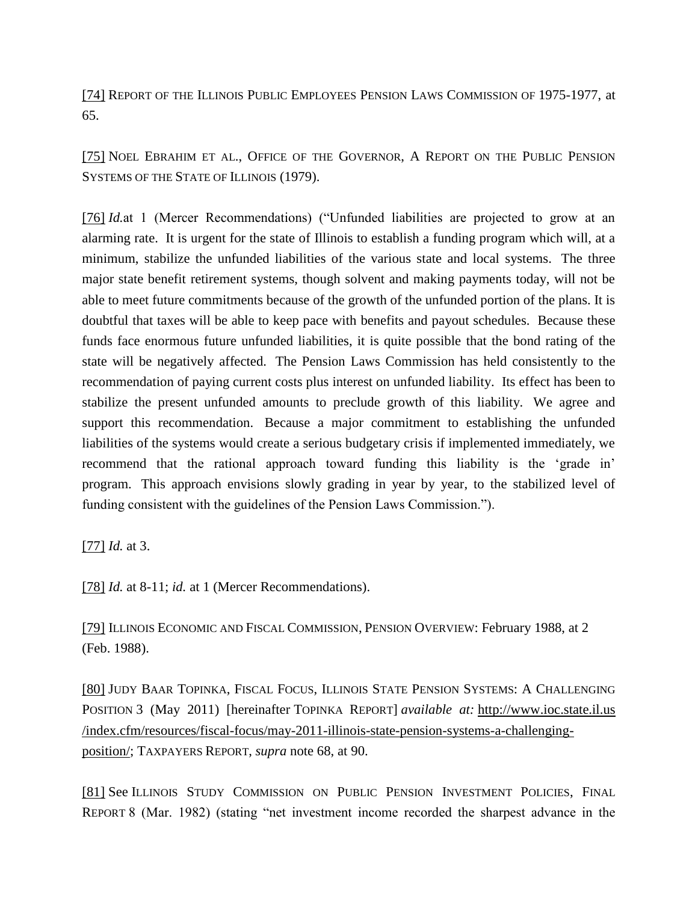[\[74\]](file:///C:/Users/swyattj/Downloads/Illinois%20Public%20Pension%20Reform%20%20%20What) REPORT OF THE ILLINOIS PUBLIC EMPLOYEES PENSION LAWS COMMISSION OF 1975-1977, at 65.

[\[75\]](file:///C:/Users/swyattj/Downloads/Illinois%20Public%20Pension%20Reform%20%20%20What) NOEL EBRAHIM ET AL., OFFICE OF THE GOVERNOR, A REPORT ON THE PUBLIC PENSION SYSTEMS OF THE STATE OF ILLINOIS (1979).

[\[76\]](file:///C:/Users/swyattj/Downloads/Illinois%20Public%20Pension%20Reform%20%20%20What) *Id.*at 1 (Mercer Recommendations) ("Unfunded liabilities are projected to grow at an alarming rate. It is urgent for the state of Illinois to establish a funding program which will, at a minimum, stabilize the unfunded liabilities of the various state and local systems. The three major state benefit retirement systems, though solvent and making payments today, will not be able to meet future commitments because of the growth of the unfunded portion of the plans. It is doubtful that taxes will be able to keep pace with benefits and payout schedules. Because these funds face enormous future unfunded liabilities, it is quite possible that the bond rating of the state will be negatively affected. The Pension Laws Commission has held consistently to the recommendation of paying current costs plus interest on unfunded liability. Its effect has been to stabilize the present unfunded amounts to preclude growth of this liability. We agree and support this recommendation. Because a major commitment to establishing the unfunded liabilities of the systems would create a serious budgetary crisis if implemented immediately, we recommend that the rational approach toward funding this liability is the 'grade in' program. This approach envisions slowly grading in year by year, to the stabilized level of funding consistent with the guidelines of the Pension Laws Commission.").

[\[77\]](file:///C:/Users/swyattj/Downloads/Illinois%20Public%20Pension%20Reform%20%20%20What) *Id.* at 3.

[\[78\]](file:///C:/Users/swyattj/Downloads/Illinois%20Public%20Pension%20Reform%20%20%20What) *Id.* at 8-11; *id.* at 1 (Mercer Recommendations).

[\[79\]](file:///C:/Users/swyattj/Downloads/Illinois%20Public%20Pension%20Reform%20%20%20What) ILLINOIS ECONOMIC AND FISCAL COMMISSION, PENSION OVERVIEW: February 1988, at 2 (Feb. 1988).

[\[80\]](file:///C:/Users/swyattj/Downloads/Illinois%20Public%20Pension%20Reform%20%20%20What) JUDY BAAR TOPINKA, FISCAL FOCUS, ILLINOIS STATE PENSION SYSTEMS: A CHALLENGING POSITION 3 (May 2011) [hereinafter TOPINKA REPORT] *available at:* http://www.ioc.state.il.us /index.cfm/resources/fiscal-focus/may-2011-illinois-state-pension-systems-a-challengingposition/; TAXPAYERS REPORT, *supra* note 68, at 90.

[\[81\]](file:///C:/Users/swyattj/Downloads/Illinois%20Public%20Pension%20Reform%20%20%20What) See ILLINOIS STUDY COMMISSION ON PUBLIC PENSION INVESTMENT POLICIES, FINAL REPORT 8 (Mar. 1982) (stating "net investment income recorded the sharpest advance in the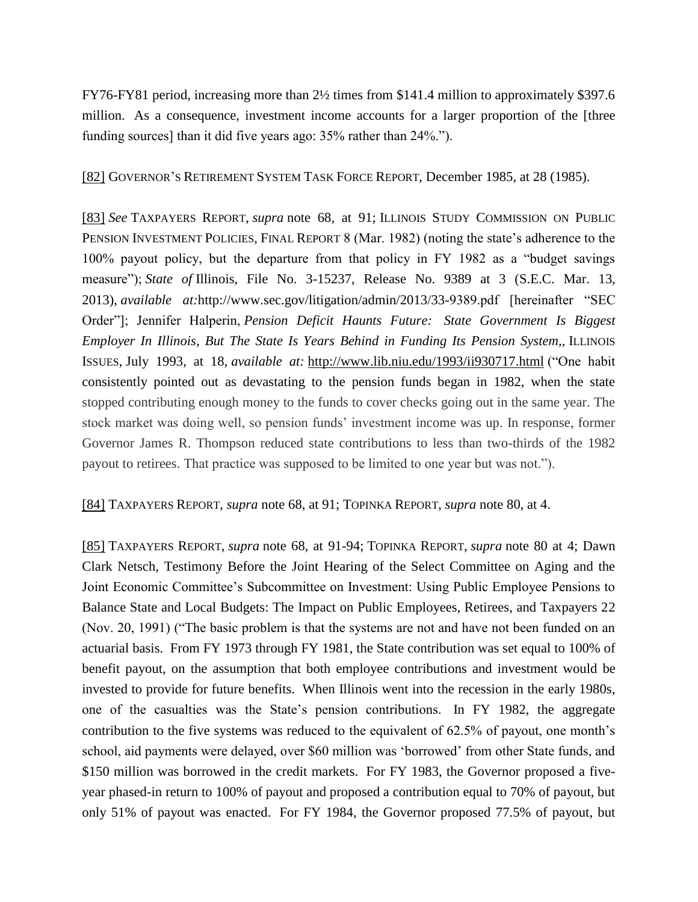FY76-FY81 period, increasing more than 2½ times from \$141.4 million to approximately \$397.6 million. As a consequence, investment income accounts for a larger proportion of the [three funding sources] than it did five years ago: 35% rather than 24%.").

[\[82\]](file:///C:/Users/swyattj/Downloads/Illinois%20Public%20Pension%20Reform%20%20%20What) GOVERNOR'S RETIREMENT SYSTEM TASK FORCE REPORT, December 1985, at 28 (1985).

[\[83\]](file:///C:/Users/swyattj/Downloads/Illinois%20Public%20Pension%20Reform%20%20%20What) *See* TAXPAYERS REPORT, *supra* note 68, at 91; ILLINOIS STUDY COMMISSION ON PUBLIC PENSION INVESTMENT POLICIES, FINAL REPORT 8 (Mar. 1982) (noting the state's adherence to the 100% payout policy, but the departure from that policy in FY 1982 as a "budget savings measure"); *State of* Illinois, File No. 3-15237, Release No. 9389 at 3 (S.E.C. Mar. 13, 2013), *available at:*http://www.sec.gov/litigation/admin/2013/33-9389.pdf [hereinafter "SEC Order"]; Jennifer Halperin, *Pension Deficit Haunts Future: State Government Is Biggest Employer In Illinois, But The State Is Years Behind in Funding Its Pension System,*, ILLINOIS ISSUES, July 1993, at 18, *available at:* <http://www.lib.niu.edu/1993/ii930717.html> ("One habit consistently pointed out as devastating to the pension funds began in 1982, when the state stopped contributing enough money to the funds to cover checks going out in the same year. The stock market was doing well, so pension funds' investment income was up. In response, former Governor James R. Thompson reduced state contributions to less than two-thirds of the 1982 payout to retirees. That practice was supposed to be limited to one year but was not.").

[\[84\]](file:///C:/Users/swyattj/Downloads/Illinois%20Public%20Pension%20Reform%20%20%20What) TAXPAYERS REPORT, *supra* note 68, at 91; TOPINKA REPORT, *supra* note 80, at 4.

[\[85\]](file:///C:/Users/swyattj/Downloads/Illinois%20Public%20Pension%20Reform%20%20%20What) TAXPAYERS REPORT, *supra* note 68, at 91-94; TOPINKA REPORT, *supra* note 80 at 4; Dawn Clark Netsch, Testimony Before the Joint Hearing of the Select Committee on Aging and the Joint Economic Committee's Subcommittee on Investment: Using Public Employee Pensions to Balance State and Local Budgets: The Impact on Public Employees, Retirees, and Taxpayers 22 (Nov. 20, 1991) ("The basic problem is that the systems are not and have not been funded on an actuarial basis. From FY 1973 through FY 1981, the State contribution was set equal to 100% of benefit payout, on the assumption that both employee contributions and investment would be invested to provide for future benefits. When Illinois went into the recession in the early 1980s, one of the casualties was the State's pension contributions. In FY 1982, the aggregate contribution to the five systems was reduced to the equivalent of 62.5% of payout, one month's school, aid payments were delayed, over \$60 million was 'borrowed' from other State funds, and \$150 million was borrowed in the credit markets. For FY 1983, the Governor proposed a fiveyear phased-in return to 100% of payout and proposed a contribution equal to 70% of payout, but only 51% of payout was enacted. For FY 1984, the Governor proposed 77.5% of payout, but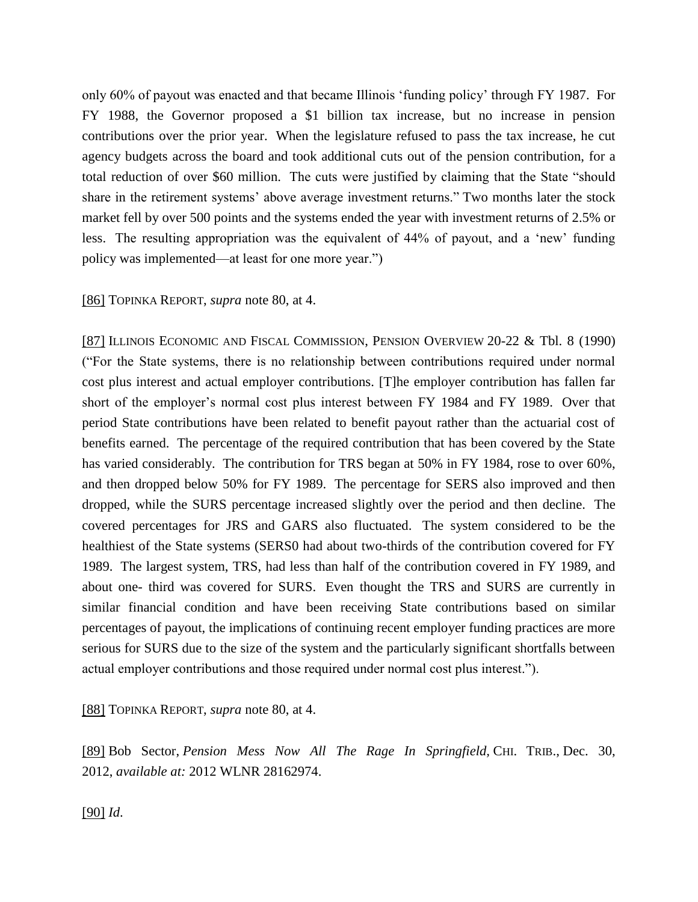only 60% of payout was enacted and that became Illinois 'funding policy' through FY 1987. For FY 1988, the Governor proposed a \$1 billion tax increase, but no increase in pension contributions over the prior year. When the legislature refused to pass the tax increase, he cut agency budgets across the board and took additional cuts out of the pension contribution, for a total reduction of over \$60 million. The cuts were justified by claiming that the State "should share in the retirement systems' above average investment returns." Two months later the stock market fell by over 500 points and the systems ended the year with investment returns of 2.5% or less. The resulting appropriation was the equivalent of 44% of payout, and a 'new' funding policy was implemented—at least for one more year.")

[\[86\]](file:///C:/Users/swyattj/Downloads/Illinois%20Public%20Pension%20Reform%20%20%20What) TOPINKA REPORT, *supra* note 80, at 4.

[\[87\]](file:///C:/Users/swyattj/Downloads/Illinois%20Public%20Pension%20Reform%20%20%20What) ILLINOIS ECONOMIC AND FISCAL COMMISSION, PENSION OVERVIEW 20-22 & Tbl. 8 (1990) ("For the State systems, there is no relationship between contributions required under normal cost plus interest and actual employer contributions. [T]he employer contribution has fallen far short of the employer's normal cost plus interest between FY 1984 and FY 1989. Over that period State contributions have been related to benefit payout rather than the actuarial cost of benefits earned. The percentage of the required contribution that has been covered by the State has varied considerably. The contribution for TRS began at 50% in FY 1984, rose to over 60%, and then dropped below 50% for FY 1989. The percentage for SERS also improved and then dropped, while the SURS percentage increased slightly over the period and then decline. The covered percentages for JRS and GARS also fluctuated. The system considered to be the healthiest of the State systems (SERS0 had about two-thirds of the contribution covered for FY 1989. The largest system, TRS, had less than half of the contribution covered in FY 1989, and about one- third was covered for SURS. Even thought the TRS and SURS are currently in similar financial condition and have been receiving State contributions based on similar percentages of payout, the implications of continuing recent employer funding practices are more serious for SURS due to the size of the system and the particularly significant shortfalls between actual employer contributions and those required under normal cost plus interest.").

[\[88\]](file:///C:/Users/swyattj/Downloads/Illinois%20Public%20Pension%20Reform%20%20%20What) TOPINKA REPORT, *supra* note 80, at 4.

[\[89\]](file:///C:/Users/swyattj/Downloads/Illinois%20Public%20Pension%20Reform%20%20%20What) Bob Sector, *Pension Mess Now All The Rage In Springfield,* CHI. TRIB., Dec. 30, 2012, *available at:* 2012 WLNR 28162974.

[\[90\]](file:///C:/Users/swyattj/Downloads/Illinois%20Public%20Pension%20Reform%20%20%20What) *Id*.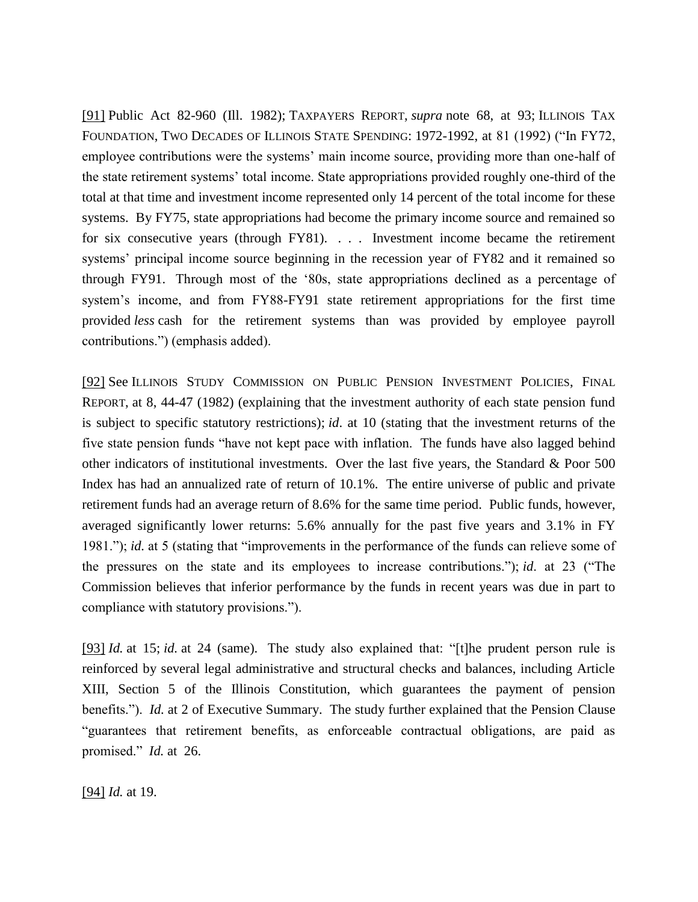[\[91\]](file:///C:/Users/swyattj/Downloads/Illinois%20Public%20Pension%20Reform%20%20%20What) Public Act 82-960 (Ill. 1982); TAXPAYERS REPORT, *supra* note 68, at 93; ILLINOIS TAX FOUNDATION, TWO DECADES OF ILLINOIS STATE SPENDING: 1972-1992, at 81 (1992) ("In FY72, employee contributions were the systems' main income source, providing more than one-half of the state retirement systems' total income. State appropriations provided roughly one-third of the total at that time and investment income represented only 14 percent of the total income for these systems. By FY75, state appropriations had become the primary income source and remained so for six consecutive years (through FY81). . . . Investment income became the retirement systems' principal income source beginning in the recession year of FY82 and it remained so through FY91. Through most of the '80s, state appropriations declined as a percentage of system's income, and from FY88-FY91 state retirement appropriations for the first time provided *less* cash for the retirement systems than was provided by employee payroll contributions.") (emphasis added).

[\[92\]](file:///C:/Users/swyattj/Downloads/Illinois%20Public%20Pension%20Reform%20%20%20What) See ILLINOIS STUDY COMMISSION ON PUBLIC PENSION INVESTMENT POLICIES, FINAL REPORT, at 8, 44-47 (1982) (explaining that the investment authority of each state pension fund is subject to specific statutory restrictions); *id*. at 10 (stating that the investment returns of the five state pension funds "have not kept pace with inflation. The funds have also lagged behind other indicators of institutional investments. Over the last five years, the Standard & Poor 500 Index has had an annualized rate of return of 10.1%. The entire universe of public and private retirement funds had an average return of 8.6% for the same time period. Public funds, however, averaged significantly lower returns: 5.6% annually for the past five years and 3.1% in FY 1981."); *id.* at 5 (stating that "improvements in the performance of the funds can relieve some of the pressures on the state and its employees to increase contributions."); *id*. at 23 ("The Commission believes that inferior performance by the funds in recent years was due in part to compliance with statutory provisions.").

[\[93\]](file:///C:/Users/swyattj/Downloads/Illinois%20Public%20Pension%20Reform%20%20%20What) *Id.* at 15; *id.* at 24 (same). The study also explained that: "[t]he prudent person rule is reinforced by several legal administrative and structural checks and balances, including Article XIII, Section 5 of the Illinois Constitution, which guarantees the payment of pension benefits."). *Id.* at 2 of Executive Summary. The study further explained that the Pension Clause "guarantees that retirement benefits, as enforceable contractual obligations, are paid as promised." *Id.* at 26.

[\[94\]](file:///C:/Users/swyattj/Downloads/Illinois%20Public%20Pension%20Reform%20%20%20What) *Id.* at 19.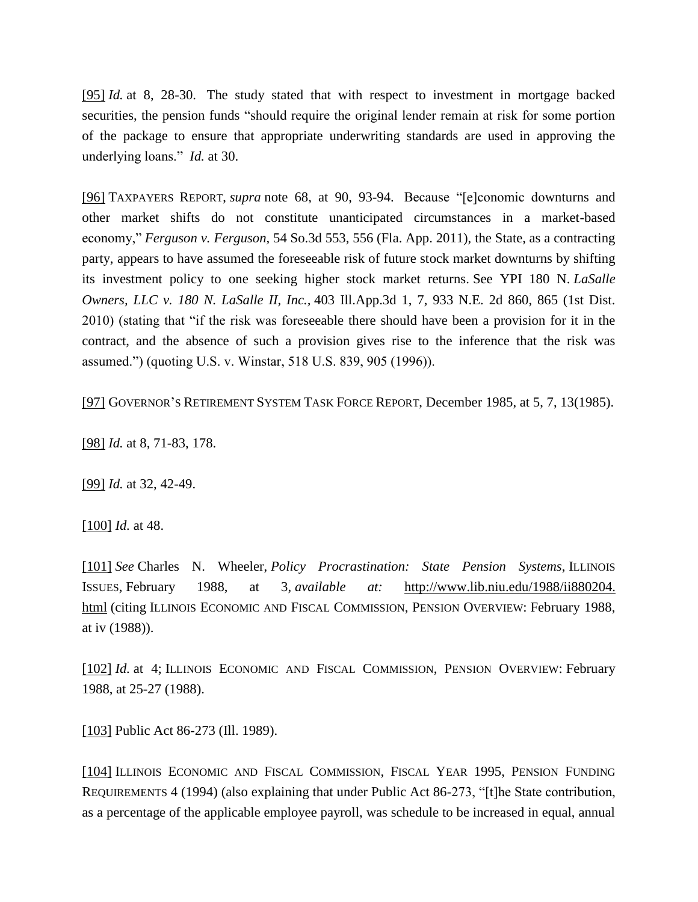[\[95\]](file:///C:/Users/swyattj/Downloads/Illinois%20Public%20Pension%20Reform%20%20%20What) *Id.* at 8, 28-30. The study stated that with respect to investment in mortgage backed securities, the pension funds "should require the original lender remain at risk for some portion of the package to ensure that appropriate underwriting standards are used in approving the underlying loans." *Id.* at 30.

[\[96\]](file:///C:/Users/swyattj/Downloads/Illinois%20Public%20Pension%20Reform%20%20%20What) TAXPAYERS REPORT, *supra* note 68, at 90, 93-94. Because "[e]conomic downturns and other market shifts do not constitute unanticipated circumstances in a market-based economy," *Ferguson v. Ferguson,* 54 So.3d 553, 556 (Fla. App. 2011), the State, as a contracting party, appears to have assumed the foreseeable risk of future stock market downturns by shifting its investment policy to one seeking higher stock market returns. See YPI 180 N. *LaSalle Owners, LLC v. 180 N. LaSalle II, Inc.,* 403 Ill.App.3d 1, 7, 933 N.E. 2d 860, 865 (1st Dist. 2010) (stating that "if the risk was foreseeable there should have been a provision for it in the contract, and the absence of such a provision gives rise to the inference that the risk was assumed.") (quoting U.S. v. Winstar, 518 U.S. 839, 905 (1996)).

[\[97\]](file:///C:/Users/swyattj/Downloads/Illinois%20Public%20Pension%20Reform%20%20%20What) GOVERNOR'S RETIREMENT SYSTEM TASK FORCE REPORT, December 1985, at 5, 7, 13(1985).

[\[98\]](file:///C:/Users/swyattj/Downloads/Illinois%20Public%20Pension%20Reform%20%20%20What) *Id.* at 8, 71-83, 178.

[\[99\]](file:///C:/Users/swyattj/Downloads/Illinois%20Public%20Pension%20Reform%20%20%20What) *Id.* at 32, 42-49.

[\[100\]](file:///C:/Users/swyattj/Downloads/Illinois%20Public%20Pension%20Reform%20%20%20What) *Id.* at 48.

[\[101\]](file:///C:/Users/swyattj/Downloads/Illinois%20Public%20Pension%20Reform%20%20%20What) *See* Charles N. Wheeler, *Policy Procrastination: State Pension Systems*, ILLINOIS ISSUES, February 1988, at 3, *available at:* [http://www.lib.niu.edu/1988/ii880204.](http://www.lib.niu.edu/1988/ii880204.%20html) [html](http://www.lib.niu.edu/1988/ii880204.%20html) (citing ILLINOIS ECONOMIC AND FISCAL COMMISSION, PENSION OVERVIEW: February 1988, at iv (1988)).

[\[102\]](file:///C:/Users/swyattj/Downloads/Illinois%20Public%20Pension%20Reform%20%20%20What) *Id.* at 4; ILLINOIS ECONOMIC AND FISCAL COMMISSION, PENSION OVERVIEW: February 1988, at 25-27 (1988).

[\[103\]](file:///C:/Users/swyattj/Downloads/Illinois%20Public%20Pension%20Reform%20%20%20What) Public Act 86-273 (Ill. 1989).

[\[104\]](file:///C:/Users/swyattj/Downloads/Illinois%20Public%20Pension%20Reform%20%20%20What) ILLINOIS ECONOMIC AND FISCAL COMMISSION, FISCAL YEAR 1995, PENSION FUNDING REQUIREMENTS 4 (1994) (also explaining that under Public Act 86-273, "[t]he State contribution, as a percentage of the applicable employee payroll, was schedule to be increased in equal, annual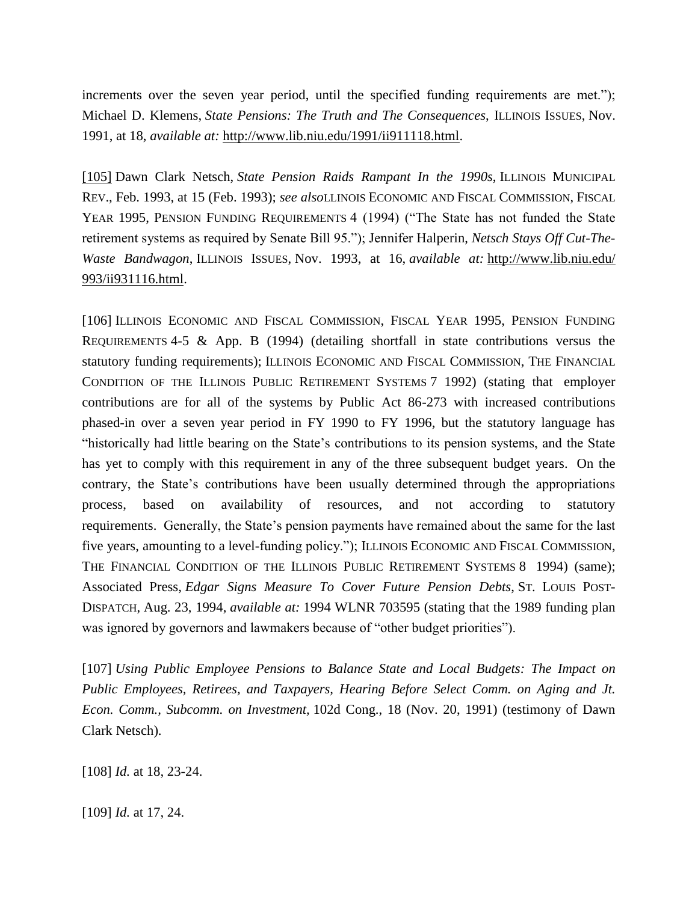increments over the seven year period, until the specified funding requirements are met."); Michael D. Klemens, *State Pensions: The Truth and The Consequences*, ILLINOIS ISSUES, Nov. 1991, at 18, *available at:* [http://www.lib.niu.edu/1991/ii911118.html.](http://www.lib.niu.edu/1991/ii911118.html)

[\[105\]](file:///C:/Users/swyattj/Downloads/Illinois%20Public%20Pension%20Reform%20%20%20What) Dawn Clark Netsch, *State Pension Raids Rampant In the 1990s*, ILLINOIS MUNICIPAL REV., Feb. 1993, at 15 (Feb. 1993); *see also*LLINOIS ECONOMIC AND FISCAL COMMISSION, FISCAL YEAR 1995, PENSION FUNDING REQUIREMENTS 4 (1994) ("The State has not funded the State retirement systems as required by Senate Bill 95."); Jennifer Halperin, *Netsch Stays Off Cut-The-Waste Bandwagon*, ILLINOIS ISSUES, Nov. 1993, at 16, *available at:* [http://www.lib.niu.edu/](http://www.lib.niu.edu/%20993/ii931116.html) [993/ii931116.html.](http://www.lib.niu.edu/%20993/ii931116.html)

[106] ILLINOIS ECONOMIC AND FISCAL COMMISSION, FISCAL YEAR 1995, PENSION FUNDING REQUIREMENTS 4-5 & App. B (1994) (detailing shortfall in state contributions versus the statutory funding requirements); ILLINOIS ECONOMIC AND FISCAL COMMISSION, THE FINANCIAL CONDITION OF THE ILLINOIS PUBLIC RETIREMENT SYSTEMS 7 1992) (stating that employer contributions are for all of the systems by Public Act 86-273 with increased contributions phased-in over a seven year period in FY 1990 to FY 1996, but the statutory language has "historically had little bearing on the State's contributions to its pension systems, and the State has yet to comply with this requirement in any of the three subsequent budget years. On the contrary, the State's contributions have been usually determined through the appropriations process, based on availability of resources, and not according to statutory requirements. Generally, the State's pension payments have remained about the same for the last five years, amounting to a level-funding policy."); ILLINOIS ECONOMIC AND FISCAL COMMISSION, THE FINANCIAL CONDITION OF THE ILLINOIS PUBLIC RETIREMENT SYSTEMS 8 1994) (same); Associated Press, *Edgar Signs Measure To Cover Future Pension Debts*, ST. LOUIS POST-DISPATCH, Aug. 23, 1994, *available at:* 1994 WLNR 703595 (stating that the 1989 funding plan was ignored by governors and lawmakers because of "other budget priorities").

[107] *Using Public Employee Pensions to Balance State and Local Budgets: The Impact on Public Employees, Retirees, and Taxpayers, Hearing Before Select Comm. on Aging and Jt. Econ. Comm., Subcomm. on Investment,* 102d Cong., 18 (Nov. 20, 1991) (testimony of Dawn Clark Netsch).

[108] *Id.* at 18, 23-24.

[109] *Id.* at 17, 24.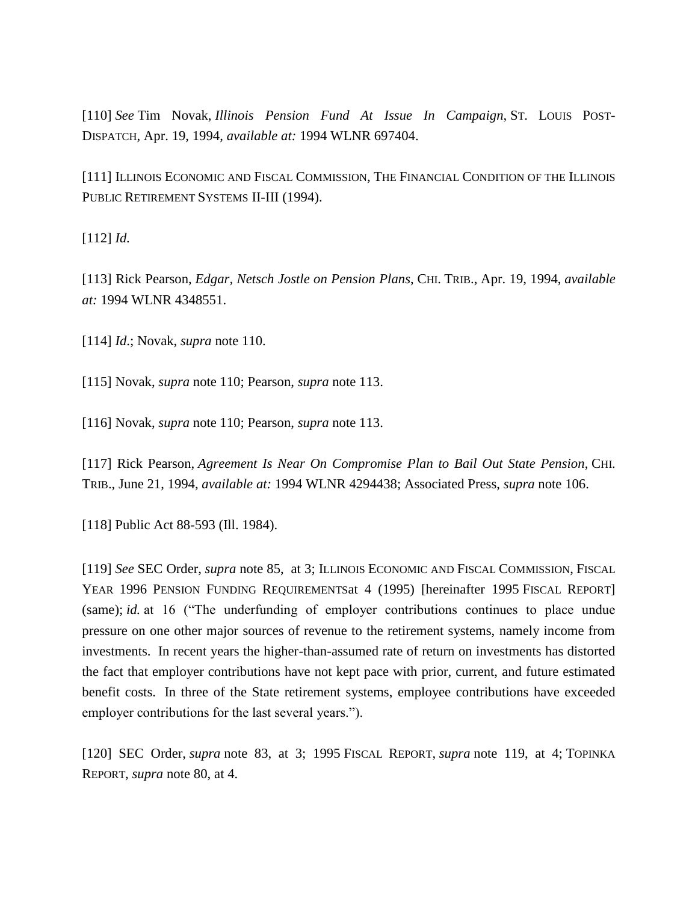[110] *See* Tim Novak, *Illinois Pension Fund At Issue In Campaign*, ST. LOUIS POST-DISPATCH, Apr. 19, 1994, *available at:* 1994 WLNR 697404.

[111] ILLINOIS ECONOMIC AND FISCAL COMMISSION, THE FINANCIAL CONDITION OF THE ILLINOIS PUBLIC RETIREMENT SYSTEMS II-III (1994).

[112] *Id.* 

[113] Rick Pearson, *Edgar, Netsch Jostle on Pension Plans*, CHI. TRIB., Apr. 19, 1994, *available at:* 1994 WLNR 4348551.

[114] *Id*.; Novak, *supra* note 110.

[115] Novak, *supra* note 110; Pearson, *supra* note 113.

[116] Novak, *supra* note 110; Pearson, *supra* note 113.

[117] Rick Pearson, *Agreement Is Near On Compromise Plan to Bail Out State Pension*, CHI. TRIB., June 21, 1994, *available at:* 1994 WLNR 4294438; Associated Press, *supra* note 106.

[118] Public Act 88-593 (Ill. 1984).

[119] *See* SEC Order, *supra* note 85, at 3; ILLINOIS ECONOMIC AND FISCAL COMMISSION, FISCAL YEAR 1996 PENSION FUNDING REQUIREMENTSat 4 (1995) [hereinafter 1995 FISCAL REPORT] (same); *id.* at 16 ("The underfunding of employer contributions continues to place undue pressure on one other major sources of revenue to the retirement systems, namely income from investments. In recent years the higher-than-assumed rate of return on investments has distorted the fact that employer contributions have not kept pace with prior, current, and future estimated benefit costs. In three of the State retirement systems, employee contributions have exceeded employer contributions for the last several years.").

[120] SEC Order, *supra* note 83, at 3; 1995 FISCAL REPORT, *supra* note 119, at 4; TOPINKA REPORT, *supra* note 80, at 4.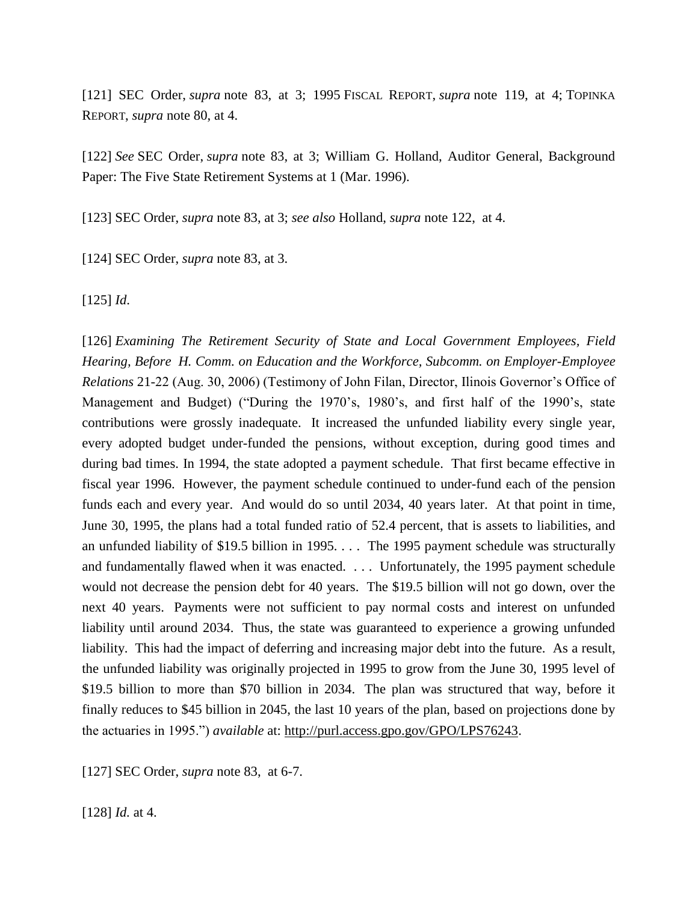[121] SEC Order, *supra* note 83, at 3; 1995 FISCAL REPORT, *supra* note 119, at 4; TOPINKA REPORT, *supra* note 80, at 4.

[122] *See* SEC Order, *supra* note 83, at 3; William G. Holland, Auditor General, Background Paper: The Five State Retirement Systems at 1 (Mar. 1996).

[123] SEC Order, *supra* note 83, at 3; *see also* Holland, *supra* note 122, at 4.

[124] SEC Order, *supra* note 83, at 3.

[125] *Id*.

[126] *Examining The Retirement Security of State and Local Government Employees, Field Hearing, Before H. Comm. on Education and the Workforce, Subcomm. on Employer-Employee Relations* 21-22 (Aug. 30, 2006) (Testimony of John Filan, Director, Ilinois Governor's Office of Management and Budget) ("During the 1970's, 1980's, and first half of the 1990's, state contributions were grossly inadequate. It increased the unfunded liability every single year, every adopted budget under-funded the pensions, without exception, during good times and during bad times. In 1994, the state adopted a payment schedule. That first became effective in fiscal year 1996. However, the payment schedule continued to under-fund each of the pension funds each and every year. And would do so until 2034, 40 years later. At that point in time, June 30, 1995, the plans had a total funded ratio of 52.4 percent, that is assets to liabilities, and an unfunded liability of \$19.5 billion in 1995. . . . The 1995 payment schedule was structurally and fundamentally flawed when it was enacted. . . . Unfortunately, the 1995 payment schedule would not decrease the pension debt for 40 years. The \$19.5 billion will not go down, over the next 40 years. Payments were not sufficient to pay normal costs and interest on unfunded liability until around 2034. Thus, the state was guaranteed to experience a growing unfunded liability. This had the impact of deferring and increasing major debt into the future. As a result, the unfunded liability was originally projected in 1995 to grow from the June 30, 1995 level of \$19.5 billion to more than \$70 billion in 2034. The plan was structured that way, before it finally reduces to \$45 billion in 2045, the last 10 years of the plan, based on projections done by the actuaries in 1995.") *available* at: [http://purl.access.gpo.gov/GPO/LPS76243.](http://purl.access.gpo.gov/GPO/LPS76243)

[127] SEC Order, *supra* note 83, at 6-7.

[128] *Id.* at 4.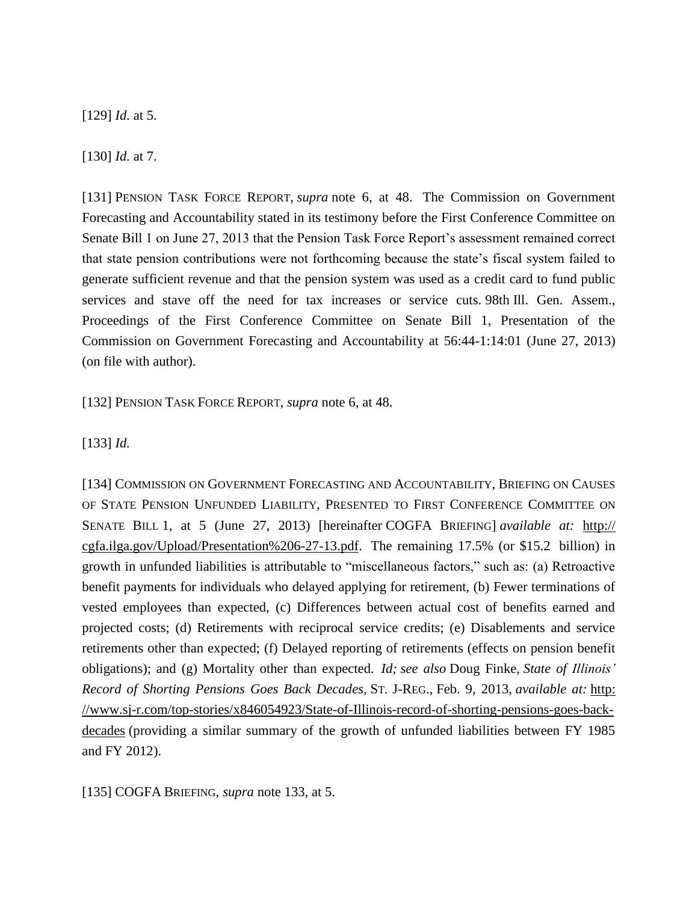[129] *Id.* at 5.

[130] *Id.* at 7.

[131] PENSION TASK FORCE REPORT, *supra* note 6, at 48. The Commission on Government Forecasting and Accountability stated in its testimony before the First Conference Committee on Senate Bill 1 on June 27, 2013 that the Pension Task Force Report's assessment remained correct that state pension contributions were not forthcoming because the state's fiscal system failed to generate sufficient revenue and that the pension system was used as a credit card to fund public services and stave off the need for tax increases or service cuts. 98th Ill. Gen. Assem., Proceedings of the First Conference Committee on Senate Bill 1, Presentation of the Commission on Government Forecasting and Accountability at 56:44-1:14:01 (June 27, 2013) (on file with author).

[132] PENSION TASK FORCE REPORT, *supra* note 6, at 48.

[133] *Id.*

[134] COMMISSION ON GOVERNMENT FORECASTING AND ACCOUNTABILITY, BRIEFING ON CAUSES OF STATE PENSION UNFUNDED LIABILITY, PRESENTED TO FIRST CONFERENCE COMMITTEE ON SENATE BILL 1, at 5 (June 27, 2013) [hereinafter COGFA BRIEFING] *available at:* http:// cgfa.ilga.gov/Upload/Presentation%206-27-13.pdf. The remaining 17.5% (or \$15.2 billion) in growth in unfunded liabilities is attributable to "miscellaneous factors," such as: (a) Retroactive benefit payments for individuals who delayed applying for retirement, (b) Fewer terminations of vested employees than expected, (c) Differences between actual cost of benefits earned and projected costs; (d) Retirements with reciprocal service credits; (e) Disablements and service retirements other than expected; (f) Delayed reporting of retirements (effects on pension benefit obligations); and (g) Mortality other than expected. *Id; see also* Doug Finke, *State of Illinois' Record of Shorting Pensions Goes Back Decades,* ST. J-REG., Feb. 9, 2013, *available at:* [http:](http://www.sj-r.com/top-stories/x846054923/State-of-Illinois-record-of-shorting-pensions-goes-back-decades) [//www.sj-r.com/top-stories/x846054923/State-of-Illinois-record-of-shorting-pensions-goes-back](http://www.sj-r.com/top-stories/x846054923/State-of-Illinois-record-of-shorting-pensions-goes-back-decades)[decades](http://www.sj-r.com/top-stories/x846054923/State-of-Illinois-record-of-shorting-pensions-goes-back-decades) (providing a similar summary of the growth of unfunded liabilities between FY 1985 and FY 2012).

[135] COGFA BRIEFING, *supra* note 133, at 5.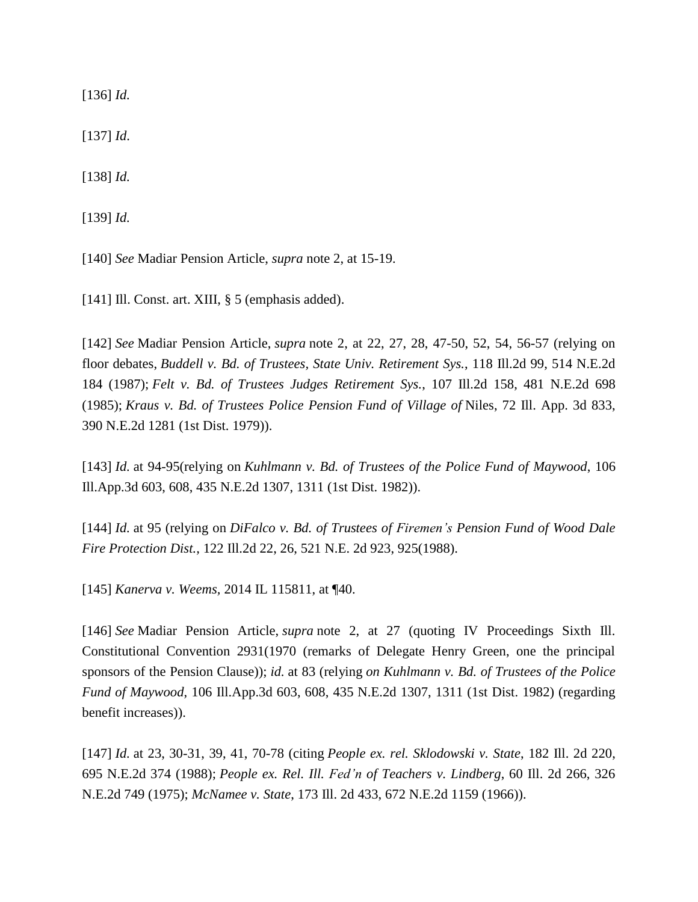[136] *Id.*

[137] *Id*.

[138] *Id.*

[139] *Id.*

[140] *See* Madiar Pension Article, *supra* note 2, at 15-19.

[141] Ill. Const. art. XIII, § 5 (emphasis added).

[142] *See* Madiar Pension Article, *supra* note 2, at 22, 27, 28, 47-50, 52, 54, 56-57 (relying on floor debates, *Buddell v. Bd. of Trustees, State Univ. Retirement Sys.*, 118 Ill.2d 99, 514 N.E.2d 184 (1987); *Felt v. Bd. of Trustees Judges Retirement Sys.*, 107 Ill.2d 158, 481 N.E.2d 698 (1985); *Kraus v. Bd. of Trustees Police Pension Fund of Village of* Niles, 72 Ill. App. 3d 833, 390 N.E.2d 1281 (1st Dist. 1979)).

[143] *Id.* at 94-95(relying on *Kuhlmann v. Bd. of Trustees of the Police Fund of Maywood*, 106 Ill.App.3d 603, 608, 435 N.E.2d 1307, 1311 (1st Dist. 1982)).

[144] *Id.* at 95 (relying on *DiFalco v. Bd. of Trustees of Firemen's Pension Fund of Wood Dale Fire Protection Dist.,* 122 Ill.2d 22, 26, 521 N.E. 2d 923, 925(1988).

[145] *Kanerva v. Weems,* 2014 IL 115811, at ¶40.

[146] *See* Madiar Pension Article, *supra* note 2, at 27 (quoting IV Proceedings Sixth Ill. Constitutional Convention 2931(1970 (remarks of Delegate Henry Green, one the principal sponsors of the Pension Clause)); *id.* at 83 (relying *on Kuhlmann v. Bd. of Trustees of the Police Fund of Maywood*, 106 Ill.App.3d 603, 608, 435 N.E.2d 1307, 1311 (1st Dist. 1982) (regarding benefit increases)).

[147] *Id.* at 23, 30-31, 39, 41, 70-78 (citing *People ex. rel. Sklodowski v. State*, 182 Ill. 2d 220, 695 N.E.2d 374 (1988); *People ex. Rel. Ill. Fed'n of Teachers v. Lindberg*, 60 Ill. 2d 266, 326 N.E.2d 749 (1975); *McNamee v. State*, 173 Ill. 2d 433, 672 N.E.2d 1159 (1966)).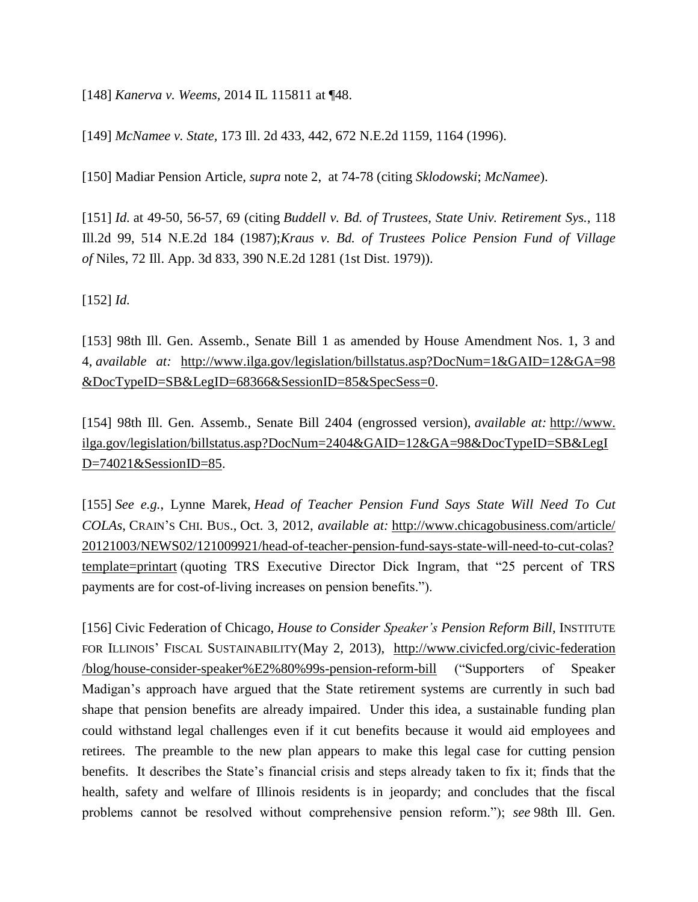[148] *Kanerva v. Weems,* 2014 IL 115811 at ¶48.

[149] *McNamee v. State,* 173 Ill. 2d 433, 442, 672 N.E.2d 1159, 1164 (1996).

[150] Madiar Pension Article, *supra* note 2, at 74-78 (citing *Sklodowski*; *McNamee*).

[151] *Id.* at 49-50, 56-57, 69 (citing *Buddell v. Bd. of Trustees, State Univ. Retirement Sys.*, 118 Ill.2d 99, 514 N.E.2d 184 (1987);*Kraus v. Bd. of Trustees Police Pension Fund of Village of* Niles, 72 Ill. App. 3d 833, 390 N.E.2d 1281 (1st Dist. 1979)).

[152] *Id.* 

[153] 98th Ill. Gen. Assemb., Senate Bill 1 as amended by House Amendment Nos. 1, 3 and 4, *available at:* [http://www.ilga.gov/legislation/billstatus.asp?DocNum=1&GAID=12&GA=98](http://www.ilga.gov/legislation/billstatus.asp?DocNum=1&GAID=12&GA=98%20&DocTypeID=SB&LegID=68366&SessionID=85&SpecSess=0) [&DocTypeID=SB&LegID=68366&SessionID=85&SpecSess=0.](http://www.ilga.gov/legislation/billstatus.asp?DocNum=1&GAID=12&GA=98%20&DocTypeID=SB&LegID=68366&SessionID=85&SpecSess=0)

[154] 98th Ill. Gen. Assemb., Senate Bill 2404 (engrossed version), *available at:* http://www. ilga.gov/legislation/billstatus.asp?DocNum=2404&GAID=12&GA=98&DocTypeID=SB&LegI D=74021&SessionID=85.

[155] *See e.g.*, Lynne Marek, *Head of Teacher Pension Fund Says State Will Need To Cut COLAs*, CRAIN'S CHI. BUS., Oct. 3, 2012, *available at:* [http://www.chicagobusiness.com/article/](http://www.chicagobusiness.com/article/%2020121003/NEWS02/121009921/head-of-teacher-pension-fund-says-state-will-need-to-cut-colas?%20template=printart) [20121003/NEWS02/121009921/head-of-teacher-pension-fund-says-state-will-need-to-cut-colas?](http://www.chicagobusiness.com/article/%2020121003/NEWS02/121009921/head-of-teacher-pension-fund-says-state-will-need-to-cut-colas?%20template=printart) [template=printart](http://www.chicagobusiness.com/article/%2020121003/NEWS02/121009921/head-of-teacher-pension-fund-says-state-will-need-to-cut-colas?%20template=printart) (quoting TRS Executive Director Dick Ingram, that "25 percent of TRS payments are for cost-of-living increases on pension benefits.").

[156] Civic Federation of Chicago, *House to Consider Speaker's Pension Reform Bill*, INSTITUTE FOR ILLINOIS' FISCAL SUSTAINABILITY(May 2, 2013), [http://www.civicfed.org/civic-federation](http://www.civicfed.org/civic-federation%20/blog/house-consider-speaker%E2%80%99s-pension-reform-bill) [/blog/house-consider-speaker%E2%80%99s-pension-reform-bill](http://www.civicfed.org/civic-federation%20/blog/house-consider-speaker%E2%80%99s-pension-reform-bill) ("Supporters of Speaker Madigan's approach have argued that the State retirement systems are currently in such bad shape that pension benefits are already impaired. Under this idea, a sustainable funding plan could withstand legal challenges even if it cut benefits because it would aid employees and retirees. The preamble to the new plan appears to make this legal case for cutting pension benefits. It describes the State's financial crisis and steps already taken to fix it; finds that the health, safety and welfare of Illinois residents is in jeopardy; and concludes that the fiscal problems cannot be resolved without comprehensive pension reform."); *see* 98th Ill. Gen.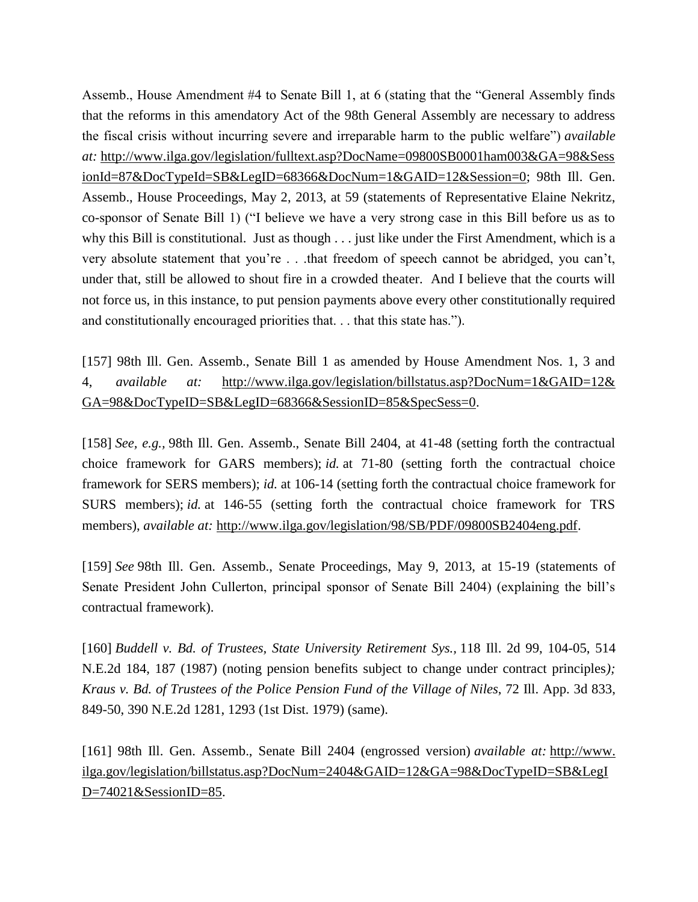Assemb., House Amendment #4 to Senate Bill 1, at 6 (stating that the "General Assembly finds that the reforms in this amendatory Act of the 98th General Assembly are necessary to address the fiscal crisis without incurring severe and irreparable harm to the public welfare") *available at:* [http://www.ilga.gov/legislation/fulltext.asp?DocName=09800SB0001ham003&GA=98&Sess](http://www.ilga.gov/legislation/fulltext.asp?DocName=09800SB0001ham003&GA=98&SessionId=87&DocTypeId=SB&LegID=68366&DocNum=1&GAID=12&Session=0) [ionId=87&DocTypeId=SB&LegID=68366&DocNum=1&GAID=12&Session=0;](http://www.ilga.gov/legislation/fulltext.asp?DocName=09800SB0001ham003&GA=98&SessionId=87&DocTypeId=SB&LegID=68366&DocNum=1&GAID=12&Session=0) 98th Ill. Gen. Assemb., House Proceedings, May 2, 2013, at 59 (statements of Representative Elaine Nekritz, co-sponsor of Senate Bill 1) ("I believe we have a very strong case in this Bill before us as to why this Bill is constitutional. Just as though . . . just like under the First Amendment, which is a very absolute statement that you're . . .that freedom of speech cannot be abridged, you can't, under that, still be allowed to shout fire in a crowded theater. And I believe that the courts will not force us, in this instance, to put pension payments above every other constitutionally required and constitutionally encouraged priorities that. . . that this state has.").

[157] 98th Ill. Gen. Assemb., Senate Bill 1 as amended by House Amendment Nos. 1, 3 and 4, *available at:* [http://www.ilga.gov/legislation/billstatus.asp?DocNum=1&GAID=12&](http://www.ilga.gov/legislation/billstatus.asp?DocNum=1&GAID=12&%20GA=98&DocTypeID=SB&LegID=68366&SessionID=85&SpecSess=0) [GA=98&DocTypeID=SB&LegID=68366&SessionID=85&SpecSess=0.](http://www.ilga.gov/legislation/billstatus.asp?DocNum=1&GAID=12&%20GA=98&DocTypeID=SB&LegID=68366&SessionID=85&SpecSess=0)

[158] *See, e.g.,* 98th Ill. Gen. Assemb., Senate Bill 2404, at 41-48 (setting forth the contractual choice framework for GARS members); *id.* at 71-80 (setting forth the contractual choice framework for SERS members); *id.* at 106-14 (setting forth the contractual choice framework for SURS members); *id.* at 146-55 (setting forth the contractual choice framework for TRS members), *available at:* [http://www.ilga.gov/legislation/98/SB/PDF/09800SB2404eng.pdf.](http://www.ilga.gov/legislation/98/SB/PDF/09800SB2404eng.pdf)

[159] *See* 98th Ill. Gen. Assemb., Senate Proceedings, May 9, 2013, at 15-19 (statements of Senate President John Cullerton, principal sponsor of Senate Bill 2404) (explaining the bill's contractual framework).

[160] *Buddell v. Bd. of Trustees, State University Retirement Sys.,* 118 Ill. 2d 99, 104-05, 514 N.E.2d 184, 187 (1987) (noting pension benefits subject to change under contract principles*); Kraus v. Bd. of Trustees of the Police Pension Fund of the Village of Niles*, 72 Ill. App. 3d 833, 849-50, 390 N.E.2d 1281, 1293 (1st Dist. 1979) (same).

[161] 98th Ill. Gen. Assemb., Senate Bill 2404 (engrossed version) *available at:* http://www. ilga.gov/legislation/billstatus.asp?DocNum=2404&GAID=12&GA=98&DocTypeID=SB&LegI D=74021&SessionID=85.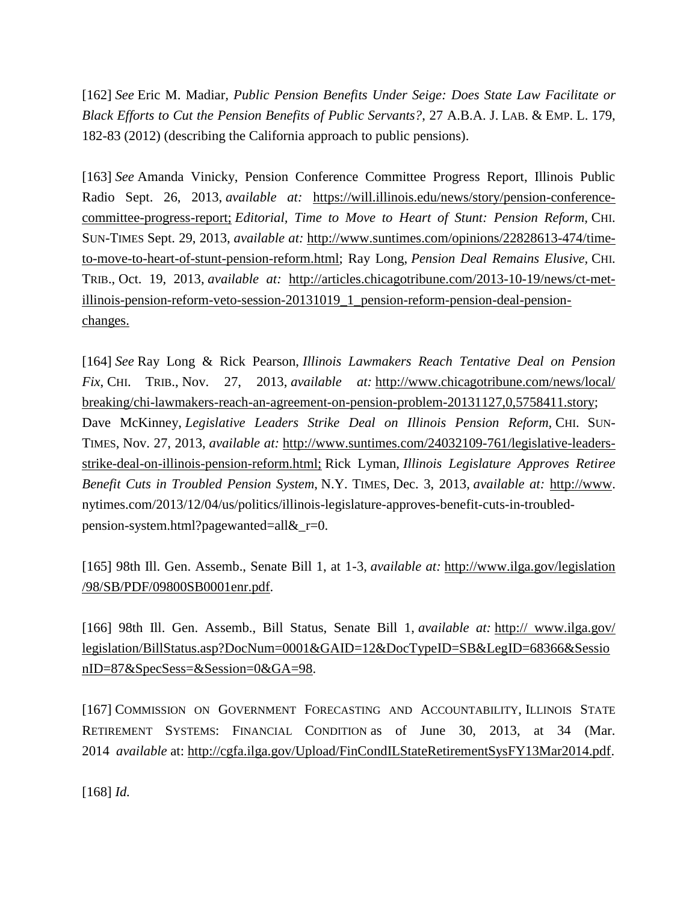[162] *See* Eric M. Madiar*, Public Pension Benefits Under Seige: Does State Law Facilitate or Black Efforts to Cut the Pension Benefits of Public Servants?*, 27 A.B.A. J. LAB. & EMP. L. 179, 182-83 (2012) (describing the California approach to public pensions).

[163] *See* Amanda Vinicky, Pension Conference Committee Progress Report, Illinois Public Radio Sept. 26, 2013, *available at:* https://will.illinois.edu/news/story/pension-conferencecommittee-progress-report; *Editorial, Time to Move to Heart of Stunt: Pension Reform,* CHI. SUN-TIMES Sept. 29, 2013, *available at:* [http://www.suntimes.com/opinions/22828613-474/time](http://www.suntimes.com/opinions/22828613-474/time-to-move-to-heart-of-stunt-pension-reform.html)[to-move-to-heart-of-stunt-pension-reform.html;](http://www.suntimes.com/opinions/22828613-474/time-to-move-to-heart-of-stunt-pension-reform.html) Ray Long, *Pension Deal Remains Elusive,* CHI. TRIB., Oct. 19, 2013, *available at:* [http://articles.chicagotribune.com/2013-10-19/news/ct-met](http://articles.chicagotribune.com/2013-10-19/news/ct-met-illinois-pension-reform-veto-session-20131019_1_pension-reform-pension-deal-pension-changes)[illinois-pension-reform-veto-session-20131019\\_1\\_pension-reform-pension-deal-pension](http://articles.chicagotribune.com/2013-10-19/news/ct-met-illinois-pension-reform-veto-session-20131019_1_pension-reform-pension-deal-pension-changes)[changes.](http://articles.chicagotribune.com/2013-10-19/news/ct-met-illinois-pension-reform-veto-session-20131019_1_pension-reform-pension-deal-pension-changes)

[164] *See* Ray Long & Rick Pearson, *Illinois Lawmakers Reach Tentative Deal on Pension Fix*, CHI. TRIB., Nov. 27, 2013, *available at:* [http://www.chicagotribune.com/news/local/](http://www.chicagotribune.com/news/local/%20breaking/chi-lawmakers-reach-an-agreement-on-pension-problem-20131127,0,5758411.story) [breaking/chi-lawmakers-reach-an-agreement-on-pension-problem-20131127,0,5758411.story;](http://www.chicagotribune.com/news/local/%20breaking/chi-lawmakers-reach-an-agreement-on-pension-problem-20131127,0,5758411.story) Dave McKinney, *Legislative Leaders Strike Deal on Illinois Pension Reform,* CHI. SUN-TIMES, Nov. 27, 2013, *available at:* [http://www.suntimes.com/24032109-761/legislative-leaders](http://www.suntimes.com/24032109-761/legislative-leaders-strike-deal-on-illinois-pension-reform.html)[strike-deal-on-illinois-pension-reform.html;](http://www.suntimes.com/24032109-761/legislative-leaders-strike-deal-on-illinois-pension-reform.html) Rick Lyman, *Illinois Legislature Approves Retiree Benefit Cuts in Troubled Pension System*, N.Y. TIMES, Dec. 3, 2013, *available at:* [http://www.](http://www/) nytimes.com/2013/12/04/us/politics/illinois-legislature-approves-benefit-cuts-in-troubledpension-system.html?pagewanted=all&\_r=0.

[165] 98th Ill. Gen. Assemb., Senate Bill 1, at 1-3, *available at:* [http://www.ilga.gov/legislation](http://www.ilga.gov/legislation%20/98/SB/PDF/09800SB0001enr.pdf) [/98/SB/PDF/09800SB0001enr.pdf.](http://www.ilga.gov/legislation%20/98/SB/PDF/09800SB0001enr.pdf)

[166] 98th Ill. Gen. Assemb., Bill Status, Senate Bill 1, *available at:* http:// www.ilga.gov/ legislation/BillStatus.asp?DocNum=0001&GAID=12&DocTypeID=SB&LegID=68366&Sessio nID=87&SpecSess=&Session=0&GA=98.

[167] COMMISSION ON GOVERNMENT FORECASTING AND ACCOUNTABILITY, ILLINOIS STATE RETIREMENT SYSTEMS: FINANCIAL CONDITION as of June 30, 2013, at 34 (Mar. 2014 *available* at: [http://cgfa.ilga.gov/Upload/FinCondILStateRetirementSysFY13Mar2014.pdf.](http://cgfa.ilga.gov/Upload/FinCondILStateRetirementSysFY13Mar2014.pdf)

[168] *Id.*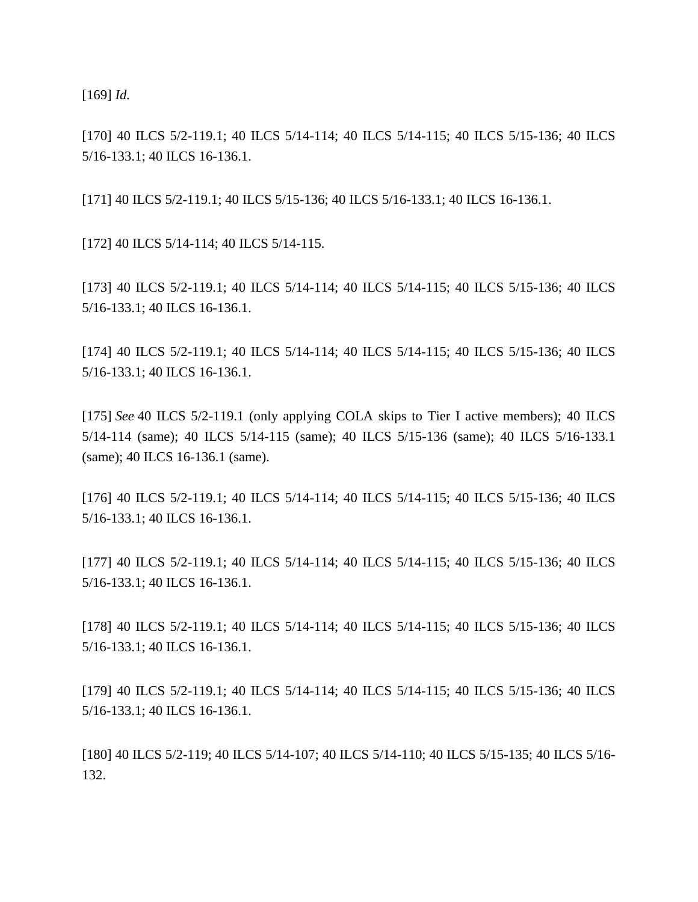[169] *Id.* 

[170] 40 ILCS 5/2-119.1; 40 ILCS 5/14-114; 40 ILCS 5/14-115; 40 ILCS 5/15-136; 40 ILCS 5/16-133.1; 40 ILCS 16-136.1.

[171] 40 ILCS 5/2-119.1; 40 ILCS 5/15-136; 40 ILCS 5/16-133.1; 40 ILCS 16-136.1.

[172] 40 ILCS 5/14-114; 40 ILCS 5/14-115.

[173] 40 ILCS 5/2-119.1; 40 ILCS 5/14-114; 40 ILCS 5/14-115; 40 ILCS 5/15-136; 40 ILCS 5/16-133.1; 40 ILCS 16-136.1.

[174] 40 ILCS 5/2-119.1; 40 ILCS 5/14-114; 40 ILCS 5/14-115; 40 ILCS 5/15-136; 40 ILCS 5/16-133.1; 40 ILCS 16-136.1.

[175] *See* 40 ILCS 5/2-119.1 (only applying COLA skips to Tier I active members); 40 ILCS 5/14-114 (same); 40 ILCS 5/14-115 (same); 40 ILCS 5/15-136 (same); 40 ILCS 5/16-133.1 (same); 40 ILCS 16-136.1 (same).

[176] 40 ILCS 5/2-119.1; 40 ILCS 5/14-114; 40 ILCS 5/14-115; 40 ILCS 5/15-136; 40 ILCS 5/16-133.1; 40 ILCS 16-136.1.

[177] 40 ILCS 5/2-119.1; 40 ILCS 5/14-114; 40 ILCS 5/14-115; 40 ILCS 5/15-136; 40 ILCS 5/16-133.1; 40 ILCS 16-136.1.

[178] 40 ILCS 5/2-119.1; 40 ILCS 5/14-114; 40 ILCS 5/14-115; 40 ILCS 5/15-136; 40 ILCS 5/16-133.1; 40 ILCS 16-136.1.

[179] 40 ILCS 5/2-119.1; 40 ILCS 5/14-114; 40 ILCS 5/14-115; 40 ILCS 5/15-136; 40 ILCS 5/16-133.1; 40 ILCS 16-136.1.

[180] 40 ILCS 5/2-119; 40 ILCS 5/14-107; 40 ILCS 5/14-110; 40 ILCS 5/15-135; 40 ILCS 5/16- 132.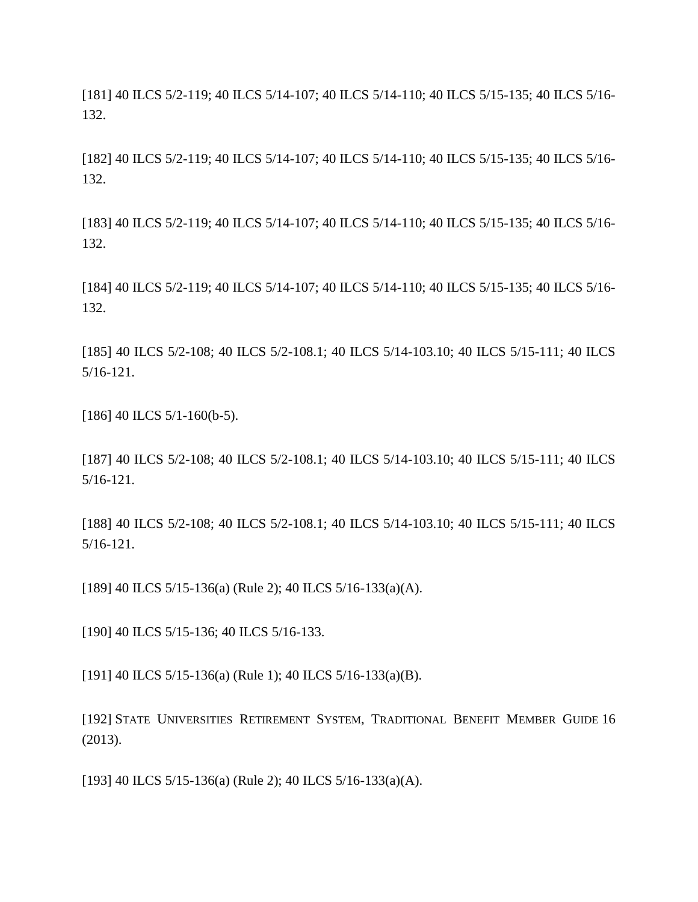[181] 40 ILCS 5/2-119; 40 ILCS 5/14-107; 40 ILCS 5/14-110; 40 ILCS 5/15-135; 40 ILCS 5/16- 132.

[182] 40 ILCS 5/2-119; 40 ILCS 5/14-107; 40 ILCS 5/14-110; 40 ILCS 5/15-135; 40 ILCS 5/16- 132.

[183] 40 ILCS 5/2-119; 40 ILCS 5/14-107; 40 ILCS 5/14-110; 40 ILCS 5/15-135; 40 ILCS 5/16- 132.

[184] 40 ILCS 5/2-119; 40 ILCS 5/14-107; 40 ILCS 5/14-110; 40 ILCS 5/15-135; 40 ILCS 5/16- 132.

[185] 40 ILCS 5/2-108; 40 ILCS 5/2-108.1; 40 ILCS 5/14-103.10; 40 ILCS 5/15-111; 40 ILCS 5/16-121.

[186] 40 ILCS 5/1-160(b-5).

[187] 40 ILCS 5/2-108; 40 ILCS 5/2-108.1; 40 ILCS 5/14-103.10; 40 ILCS 5/15-111; 40 ILCS 5/16-121.

[188] 40 ILCS 5/2-108; 40 ILCS 5/2-108.1; 40 ILCS 5/14-103.10; 40 ILCS 5/15-111; 40 ILCS 5/16-121.

[189] 40 ILCS 5/15-136(a) (Rule 2); 40 ILCS 5/16-133(a)(A).

[190] 40 ILCS 5/15-136; 40 ILCS 5/16-133.

[191] 40 ILCS 5/15-136(a) (Rule 1); 40 ILCS 5/16-133(a)(B).

[192] STATE UNIVERSITIES RETIREMENT SYSTEM, TRADITIONAL BENEFIT MEMBER GUIDE 16 (2013).

[193] 40 ILCS 5/15-136(a) (Rule 2); 40 ILCS 5/16-133(a)(A).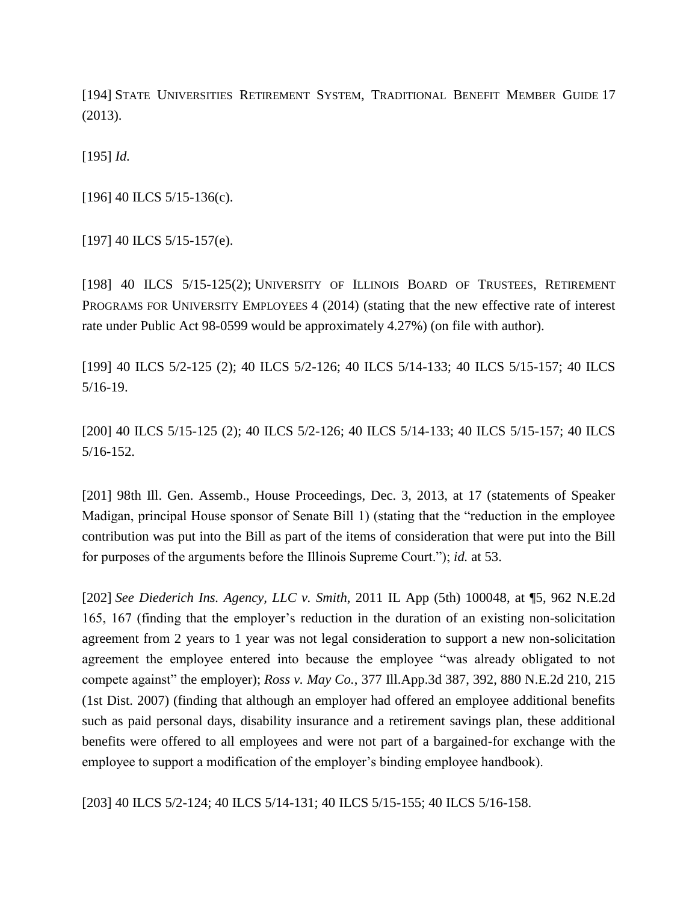[194] STATE UNIVERSITIES RETIREMENT SYSTEM, TRADITIONAL BENEFIT MEMBER GUIDE 17 (2013).

[195] *Id.*

[196] 40 ILCS 5/15-136(c).

[197] 40 ILCS 5/15-157(e).

[198] 40 ILCS 5/15-125(2); UNIVERSITY OF ILLINOIS BOARD OF TRUSTEES, RETIREMENT PROGRAMS FOR UNIVERSITY EMPLOYEES 4 (2014) (stating that the new effective rate of interest rate under Public Act 98-0599 would be approximately 4.27%) (on file with author).

[199] 40 ILCS 5/2-125 (2); 40 ILCS 5/2-126; 40 ILCS 5/14-133; 40 ILCS 5/15-157; 40 ILCS 5/16-19.

[200] 40 ILCS 5/15-125 (2); 40 ILCS 5/2-126; 40 ILCS 5/14-133; 40 ILCS 5/15-157; 40 ILCS 5/16-152.

[201] 98th Ill. Gen. Assemb., House Proceedings, Dec. 3, 2013, at 17 (statements of Speaker Madigan, principal House sponsor of Senate Bill 1) (stating that the "reduction in the employee contribution was put into the Bill as part of the items of consideration that were put into the Bill for purposes of the arguments before the Illinois Supreme Court."); *id.* at 53.

[202] *See Diederich Ins. Agency, LLC v. Smith*, 2011 IL App (5th) 100048, at ¶5, 962 N.E.2d 165, 167 (finding that the employer's reduction in the duration of an existing non-solicitation agreement from 2 years to 1 year was not legal consideration to support a new non-solicitation agreement the employee entered into because the employee "was already obligated to not compete against" the employer); *Ross v. May Co.*, 377 Ill.App.3d 387, 392, 880 N.E.2d 210, 215 (1st Dist. 2007) (finding that although an employer had offered an employee additional benefits such as paid personal days, disability insurance and a retirement savings plan, these additional benefits were offered to all employees and were not part of a bargained-for exchange with the employee to support a modification of the employer's binding employee handbook).

[203] 40 ILCS 5/2-124; 40 ILCS 5/14-131; 40 ILCS 5/15-155; 40 ILCS 5/16-158.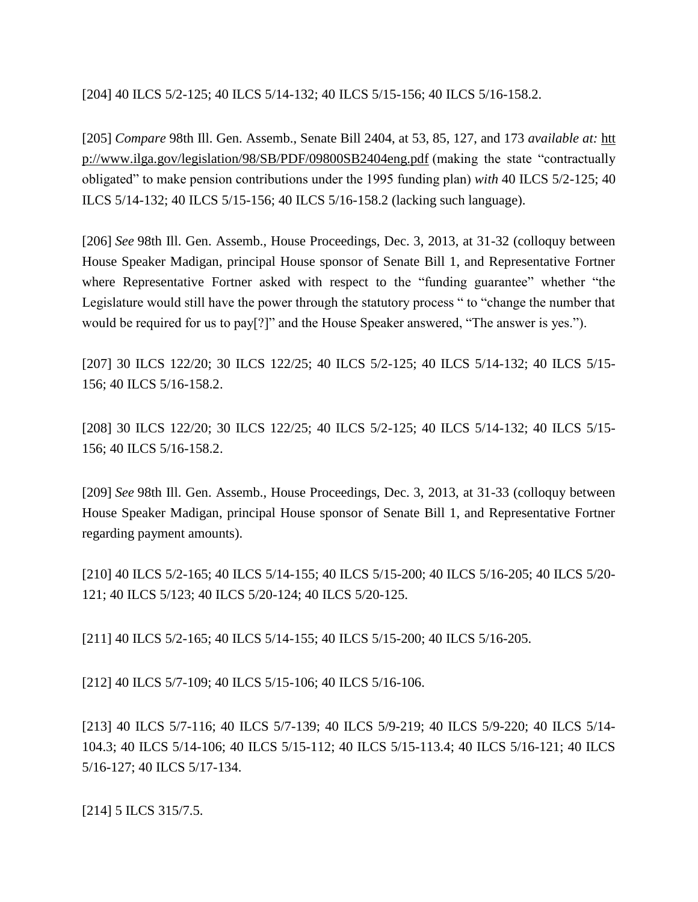[204] 40 ILCS 5/2-125; 40 ILCS 5/14-132; 40 ILCS 5/15-156; 40 ILCS 5/16-158.2.

[205] *Compare* 98th Ill. Gen. Assemb., Senate Bill 2404, at 53, 85, 127, and 173 *available at:* [htt](http://www.ilga.gov/legislation/98/SB/PDF/09800SB2404eng.pdf) [p://www.ilga.gov/legislation/98/SB/PDF/09800SB2404eng.pdf](http://www.ilga.gov/legislation/98/SB/PDF/09800SB2404eng.pdf) (making the state "contractually obligated" to make pension contributions under the 1995 funding plan) *with* 40 ILCS 5/2-125; 40 ILCS 5/14-132; 40 ILCS 5/15-156; 40 ILCS 5/16-158.2 (lacking such language).

[206] *See* 98th Ill. Gen. Assemb., House Proceedings, Dec. 3, 2013, at 31-32 (colloquy between House Speaker Madigan, principal House sponsor of Senate Bill 1, and Representative Fortner where Representative Fortner asked with respect to the "funding guarantee" whether "the Legislature would still have the power through the statutory process " to "change the number that would be required for us to pay[?]" and the House Speaker answered, "The answer is yes.").

[207] 30 ILCS 122/20; 30 ILCS 122/25; 40 ILCS 5/2-125; 40 ILCS 5/14-132; 40 ILCS 5/15- 156; 40 ILCS 5/16-158.2.

[208] 30 ILCS 122/20; 30 ILCS 122/25; 40 ILCS 5/2-125; 40 ILCS 5/14-132; 40 ILCS 5/15- 156; 40 ILCS 5/16-158.2.

[209] *See* 98th Ill. Gen. Assemb., House Proceedings, Dec. 3, 2013, at 31-33 (colloquy between House Speaker Madigan, principal House sponsor of Senate Bill 1, and Representative Fortner regarding payment amounts).

[210] 40 ILCS 5/2-165; 40 ILCS 5/14-155; 40 ILCS 5/15-200; 40 ILCS 5/16-205; 40 ILCS 5/20- 121; 40 ILCS 5/123; 40 ILCS 5/20-124; 40 ILCS 5/20-125.

[211] 40 ILCS 5/2-165; 40 ILCS 5/14-155; 40 ILCS 5/15-200; 40 ILCS 5/16-205.

[212] 40 ILCS 5/7-109; 40 ILCS 5/15-106; 40 ILCS 5/16-106.

[213] 40 ILCS 5/7-116; 40 ILCS 5/7-139; 40 ILCS 5/9-219; 40 ILCS 5/9-220; 40 ILCS 5/14- 104.3; 40 ILCS 5/14-106; 40 ILCS 5/15-112; 40 ILCS 5/15-113.4; 40 ILCS 5/16-121; 40 ILCS 5/16-127; 40 ILCS 5/17-134.

[214] 5 ILCS 315/7.5.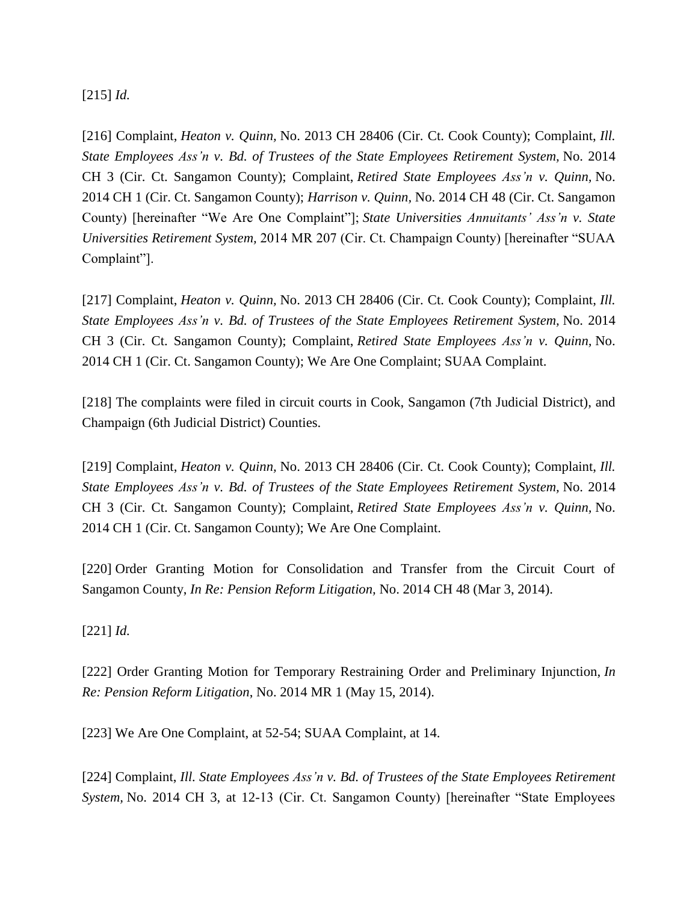[215] *Id.*

[216] Complaint, *Heaton v. Quinn,* No. 2013 CH 28406 (Cir. Ct. Cook County); Complaint, *Ill. State Employees Ass'n v. Bd. of Trustees of the State Employees Retirement System,* No. 2014 CH 3 (Cir. Ct. Sangamon County); Complaint, *Retired State Employees Ass'n v. Quinn,* No. 2014 CH 1 (Cir. Ct. Sangamon County); *Harrison v. Quinn,* No. 2014 CH 48 (Cir. Ct. Sangamon County) [hereinafter "We Are One Complaint"]; *State Universities Annuitants' Ass'n v. State Universities Retirement System,* 2014 MR 207 (Cir. Ct. Champaign County) [hereinafter "SUAA Complaint"].

[217] Complaint, *Heaton v. Quinn,* No. 2013 CH 28406 (Cir. Ct. Cook County); Complaint, *Ill. State Employees Ass'n v. Bd. of Trustees of the State Employees Retirement System,* No. 2014 CH 3 (Cir. Ct. Sangamon County); Complaint, *Retired State Employees Ass'n v. Quinn,* No. 2014 CH 1 (Cir. Ct. Sangamon County); We Are One Complaint; SUAA Complaint.

[218] The complaints were filed in circuit courts in Cook, Sangamon (7th Judicial District), and Champaign (6th Judicial District) Counties.

[219] Complaint, *Heaton v. Quinn,* No. 2013 CH 28406 (Cir. Ct. Cook County); Complaint, *Ill. State Employees Ass'n v. Bd. of Trustees of the State Employees Retirement System,* No. 2014 CH 3 (Cir. Ct. Sangamon County); Complaint, *Retired State Employees Ass'n v. Quinn,* No. 2014 CH 1 (Cir. Ct. Sangamon County); We Are One Complaint.

[220] Order Granting Motion for Consolidation and Transfer from the Circuit Court of Sangamon County, *In Re: Pension Reform Litigation,* No. 2014 CH 48 (Mar 3, 2014).

[221] *Id.*

[222] Order Granting Motion for Temporary Restraining Order and Preliminary Injunction, *In Re: Pension Reform Litigation*, No. 2014 MR 1 (May 15, 2014).

[223] We Are One Complaint, at 52-54; SUAA Complaint, at 14.

[224] Complaint, *Ill. State Employees Ass'n v. Bd. of Trustees of the State Employees Retirement System,* No. 2014 CH 3, at 12-13 (Cir. Ct. Sangamon County) [hereinafter "State Employees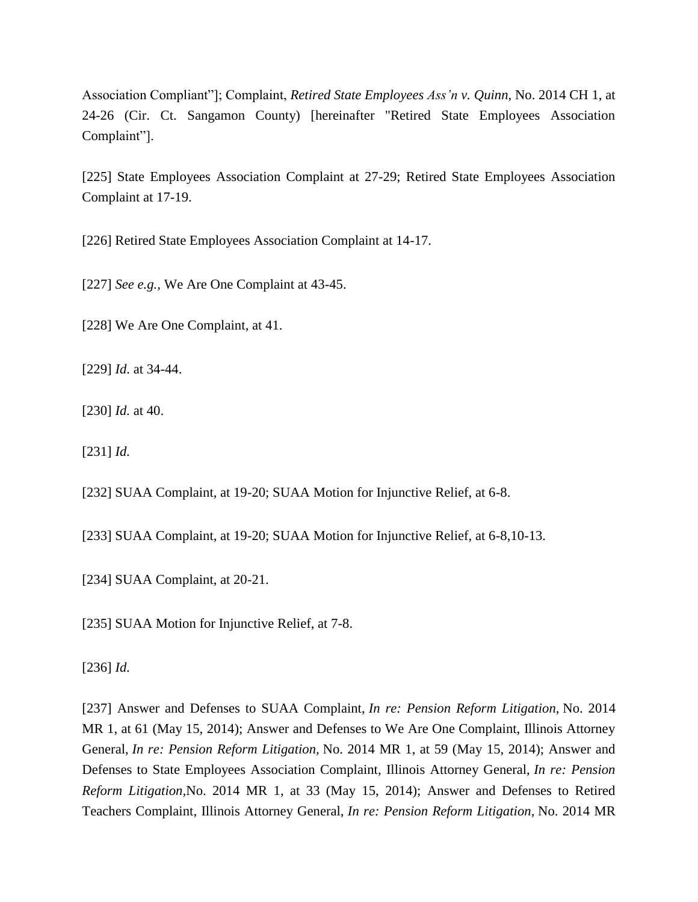Association Compliant"]; Complaint, *Retired State Employees Ass'n v. Quinn,* No. 2014 CH 1, at 24-26 (Cir. Ct. Sangamon County) [hereinafter "Retired State Employees Association Complaint"].

[225] State Employees Association Complaint at 27-29; Retired State Employees Association Complaint at 17-19.

[226] Retired State Employees Association Complaint at 14-17.

[227] *See e.g.,* We Are One Complaint at 43-45.

[228] We Are One Complaint, at 41.

[229] *Id*. at 34-44.

[230] *Id.* at 40.

[231] *Id.*

[232] SUAA Complaint, at 19-20; SUAA Motion for Injunctive Relief, at 6-8.

[233] SUAA Complaint, at 19-20; SUAA Motion for Injunctive Relief, at 6-8,10-13.

[234] SUAA Complaint, at 20-21.

[235] SUAA Motion for Injunctive Relief, at 7-8.

[236] *Id.*

[237] Answer and Defenses to SUAA Complaint, *In re: Pension Reform Litigation,* No. 2014 MR 1, at 61 (May 15, 2014); Answer and Defenses to We Are One Complaint, Illinois Attorney General, *In re: Pension Reform Litigation,* No. 2014 MR 1, at 59 (May 15, 2014); Answer and Defenses to State Employees Association Complaint, Illinois Attorney General, *In re: Pension Reform Litigation,*No. 2014 MR 1, at 33 (May 15, 2014); Answer and Defenses to Retired Teachers Complaint, Illinois Attorney General, *In re: Pension Reform Litigation,* No. 2014 MR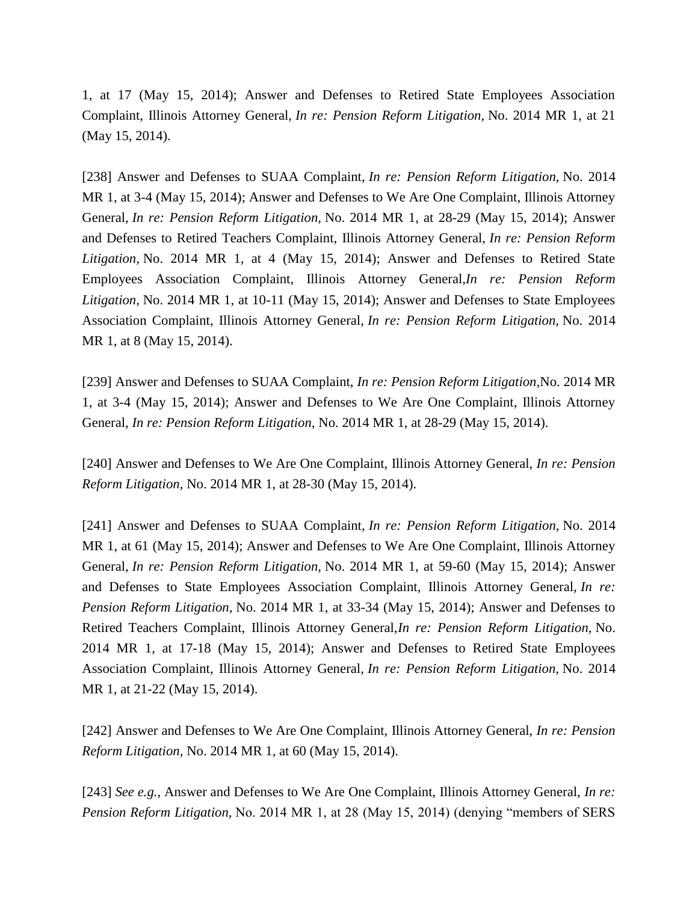1, at 17 (May 15, 2014); Answer and Defenses to Retired State Employees Association Complaint, Illinois Attorney General, *In re: Pension Reform Litigation,* No. 2014 MR 1, at 21 (May 15, 2014).

[238] Answer and Defenses to SUAA Complaint, *In re: Pension Reform Litigation,* No. 2014 MR 1, at 3-4 (May 15, 2014); Answer and Defenses to We Are One Complaint, Illinois Attorney General, *In re: Pension Reform Litigation,* No. 2014 MR 1, at 28-29 (May 15, 2014); Answer and Defenses to Retired Teachers Complaint, Illinois Attorney General, *In re: Pension Reform Litigation,* No. 2014 MR 1, at 4 (May 15, 2014); Answer and Defenses to Retired State Employees Association Complaint, Illinois Attorney General,*In re: Pension Reform Litigation,* No. 2014 MR 1, at 10-11 (May 15, 2014); Answer and Defenses to State Employees Association Complaint, Illinois Attorney General, *In re: Pension Reform Litigation,* No. 2014 MR 1, at 8 (May 15, 2014).

[239] Answer and Defenses to SUAA Complaint, *In re: Pension Reform Litigation,*No. 2014 MR 1, at 3-4 (May 15, 2014); Answer and Defenses to We Are One Complaint, Illinois Attorney General, *In re: Pension Reform Litigation,* No. 2014 MR 1, at 28-29 (May 15, 2014).

[240] Answer and Defenses to We Are One Complaint, Illinois Attorney General, *In re: Pension Reform Litigation,* No. 2014 MR 1, at 28-30 (May 15, 2014).

[241] Answer and Defenses to SUAA Complaint, *In re: Pension Reform Litigation,* No. 2014 MR 1, at 61 (May 15, 2014); Answer and Defenses to We Are One Complaint, Illinois Attorney General, *In re: Pension Reform Litigation,* No. 2014 MR 1, at 59-60 (May 15, 2014); Answer and Defenses to State Employees Association Complaint, Illinois Attorney General, *In re: Pension Reform Litigation,* No. 2014 MR 1, at 33-34 (May 15, 2014); Answer and Defenses to Retired Teachers Complaint, Illinois Attorney General,*In re: Pension Reform Litigation,* No. 2014 MR 1, at 17-18 (May 15, 2014); Answer and Defenses to Retired State Employees Association Complaint, Illinois Attorney General, *In re: Pension Reform Litigation,* No. 2014 MR 1, at 21-22 (May 15, 2014).

[242] Answer and Defenses to We Are One Complaint, Illinois Attorney General, *In re: Pension Reform Litigation,* No. 2014 MR 1, at 60 (May 15, 2014).

[243] *See e.g.*, Answer and Defenses to We Are One Complaint, Illinois Attorney General, *In re: Pension Reform Litigation,* No. 2014 MR 1, at 28 (May 15, 2014) (denying "members of SERS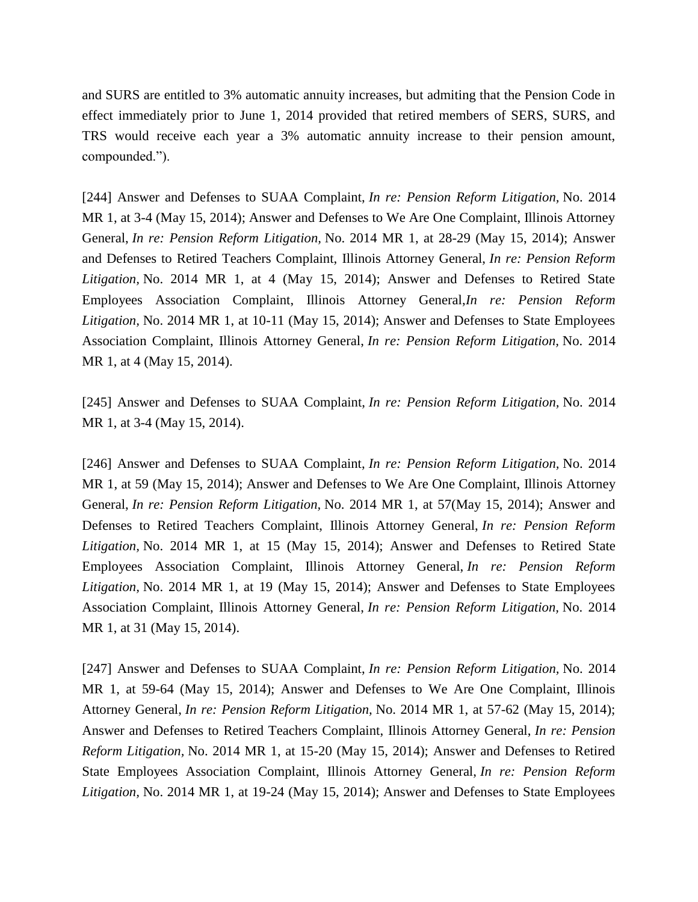and SURS are entitled to 3% automatic annuity increases, but admiting that the Pension Code in effect immediately prior to June 1, 2014 provided that retired members of SERS, SURS, and TRS would receive each year a 3% automatic annuity increase to their pension amount, compounded.").

[244] Answer and Defenses to SUAA Complaint, *In re: Pension Reform Litigation,* No. 2014 MR 1, at 3-4 (May 15, 2014); Answer and Defenses to We Are One Complaint, Illinois Attorney General, *In re: Pension Reform Litigation,* No. 2014 MR 1, at 28-29 (May 15, 2014); Answer and Defenses to Retired Teachers Complaint, Illinois Attorney General, *In re: Pension Reform Litigation,* No. 2014 MR 1, at 4 (May 15, 2014); Answer and Defenses to Retired State Employees Association Complaint, Illinois Attorney General,*In re: Pension Reform Litigation,* No. 2014 MR 1, at 10-11 (May 15, 2014); Answer and Defenses to State Employees Association Complaint, Illinois Attorney General, *In re: Pension Reform Litigation,* No. 2014 MR 1, at 4 (May 15, 2014).

[245] Answer and Defenses to SUAA Complaint, *In re: Pension Reform Litigation,* No. 2014 MR 1, at 3-4 (May 15, 2014).

[246] Answer and Defenses to SUAA Complaint, *In re: Pension Reform Litigation,* No. 2014 MR 1, at 59 (May 15, 2014); Answer and Defenses to We Are One Complaint, Illinois Attorney General, *In re: Pension Reform Litigation,* No. 2014 MR 1, at 57(May 15, 2014); Answer and Defenses to Retired Teachers Complaint, Illinois Attorney General, *In re: Pension Reform Litigation,* No. 2014 MR 1, at 15 (May 15, 2014); Answer and Defenses to Retired State Employees Association Complaint, Illinois Attorney General, *In re: Pension Reform Litigation,* No. 2014 MR 1, at 19 (May 15, 2014); Answer and Defenses to State Employees Association Complaint, Illinois Attorney General, *In re: Pension Reform Litigation,* No. 2014 MR 1, at 31 (May 15, 2014).

[247] Answer and Defenses to SUAA Complaint, *In re: Pension Reform Litigation,* No. 2014 MR 1, at 59-64 (May 15, 2014); Answer and Defenses to We Are One Complaint, Illinois Attorney General, *In re: Pension Reform Litigation,* No. 2014 MR 1, at 57-62 (May 15, 2014); Answer and Defenses to Retired Teachers Complaint, Illinois Attorney General, *In re: Pension Reform Litigation,* No. 2014 MR 1, at 15-20 (May 15, 2014); Answer and Defenses to Retired State Employees Association Complaint, Illinois Attorney General, *In re: Pension Reform Litigation,* No. 2014 MR 1, at 19-24 (May 15, 2014); Answer and Defenses to State Employees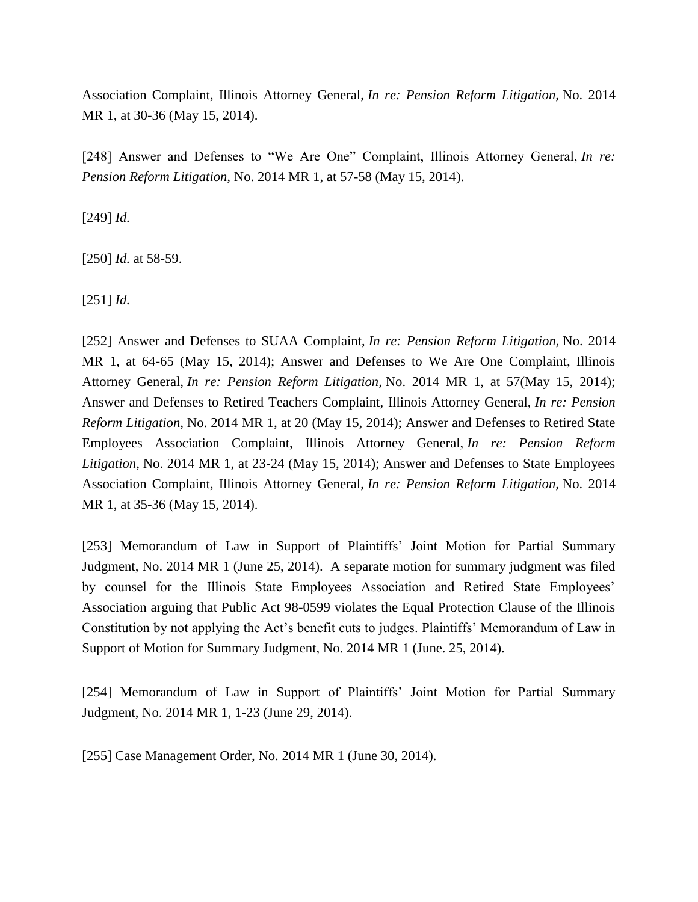Association Complaint, Illinois Attorney General, *In re: Pension Reform Litigation,* No. 2014 MR 1, at 30-36 (May 15, 2014).

[248] Answer and Defenses to "We Are One" Complaint, Illinois Attorney General, *In re: Pension Reform Litigation,* No. 2014 MR 1, at 57-58 (May 15, 2014).

[249] *Id.*

[250] *Id.* at 58-59.

[251] *Id.*

[252] Answer and Defenses to SUAA Complaint, *In re: Pension Reform Litigation,* No. 2014 MR 1, at 64-65 (May 15, 2014); Answer and Defenses to We Are One Complaint, Illinois Attorney General, *In re: Pension Reform Litigation,* No. 2014 MR 1, at 57(May 15, 2014); Answer and Defenses to Retired Teachers Complaint, Illinois Attorney General, *In re: Pension Reform Litigation,* No. 2014 MR 1, at 20 (May 15, 2014); Answer and Defenses to Retired State Employees Association Complaint, Illinois Attorney General, *In re: Pension Reform Litigation,* No. 2014 MR 1, at 23-24 (May 15, 2014); Answer and Defenses to State Employees Association Complaint, Illinois Attorney General, *In re: Pension Reform Litigation,* No. 2014 MR 1, at 35-36 (May 15, 2014).

[253] Memorandum of Law in Support of Plaintiffs' Joint Motion for Partial Summary Judgment, No. 2014 MR 1 (June 25, 2014). A separate motion for summary judgment was filed by counsel for the Illinois State Employees Association and Retired State Employees' Association arguing that Public Act 98-0599 violates the Equal Protection Clause of the Illinois Constitution by not applying the Act's benefit cuts to judges. Plaintiffs' Memorandum of Law in Support of Motion for Summary Judgment, No. 2014 MR 1 (June. 25, 2014).

[254] Memorandum of Law in Support of Plaintiffs' Joint Motion for Partial Summary Judgment, No. 2014 MR 1, 1-23 (June 29, 2014).

[255] Case Management Order, No. 2014 MR 1 (June 30, 2014).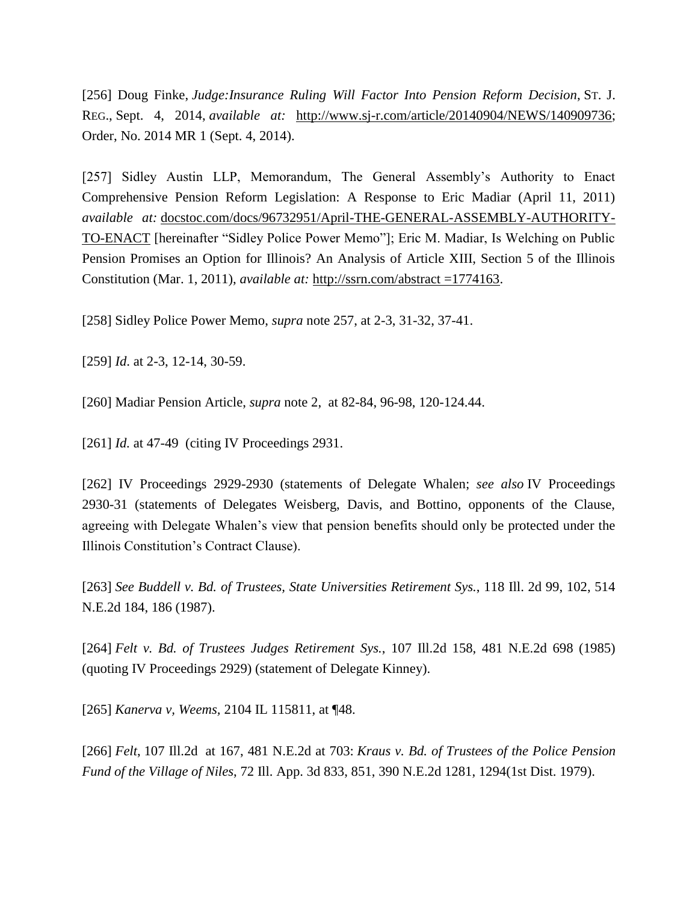[256] Doug Finke, *Judge:Insurance Ruling Will Factor Into Pension Reform Decision*, ST. J. REG., Sept. 4, 2014, *available at:* [http://www.sj-r.com/article/20140904/NEWS/140909736;](http://www.sj-r.com/article/20140904/NEWS/140909736) Order, No. 2014 MR 1 (Sept. 4, 2014).

[257] Sidley Austin LLP, Memorandum, The General Assembly's Authority to Enact Comprehensive Pension Reform Legislation: A Response to Eric Madiar (April 11, 2011) *available at:* docstoc.com/docs/96732951/April-THE-GENERAL-ASSEMBLY-AUTHORITY-TO-ENACT [hereinafter "Sidley Police Power Memo"]; Eric M. Madiar, Is Welching on Public Pension Promises an Option for Illinois? An Analysis of Article XIII, Section 5 of the Illinois Constitution (Mar. 1, 2011), *available at:* [http://ssrn.com/abstract](http://ssrn.com/abstract%20=1774163) =1774163.

[258] Sidley Police Power Memo, *supra* note 257, at 2-3, 31-32, 37-41.

[259] *Id*. at 2-3, 12-14, 30-59.

[260] Madiar Pension Article, *supra* note 2, at 82-84, 96-98, 120-124.44.

[261] *Id.* at 47-49 (citing IV Proceedings 2931.

[262] IV Proceedings 2929-2930 (statements of Delegate Whalen; *see also* IV Proceedings 2930-31 (statements of Delegates Weisberg, Davis, and Bottino, opponents of the Clause, agreeing with Delegate Whalen's view that pension benefits should only be protected under the Illinois Constitution's Contract Clause).

[263] *See Buddell v. Bd. of Trustees, State Universities Retirement Sys.*, 118 Ill. 2d 99, 102, 514 N.E.2d 184, 186 (1987).

[264] *Felt v. Bd. of Trustees Judges Retirement Sys.*, 107 Ill.2d 158, 481 N.E.2d 698 (1985) (quoting IV Proceedings 2929) (statement of Delegate Kinney).

[265] *Kanerva v, Weems,* 2104 IL 115811, at ¶48.

[266] *Felt*, 107 Ill.2d at 167, 481 N.E.2d at 703: *Kraus v. Bd. of Trustees of the Police Pension Fund of the Village of Niles*, 72 Ill. App. 3d 833, 851, 390 N.E.2d 1281, 1294(1st Dist. 1979).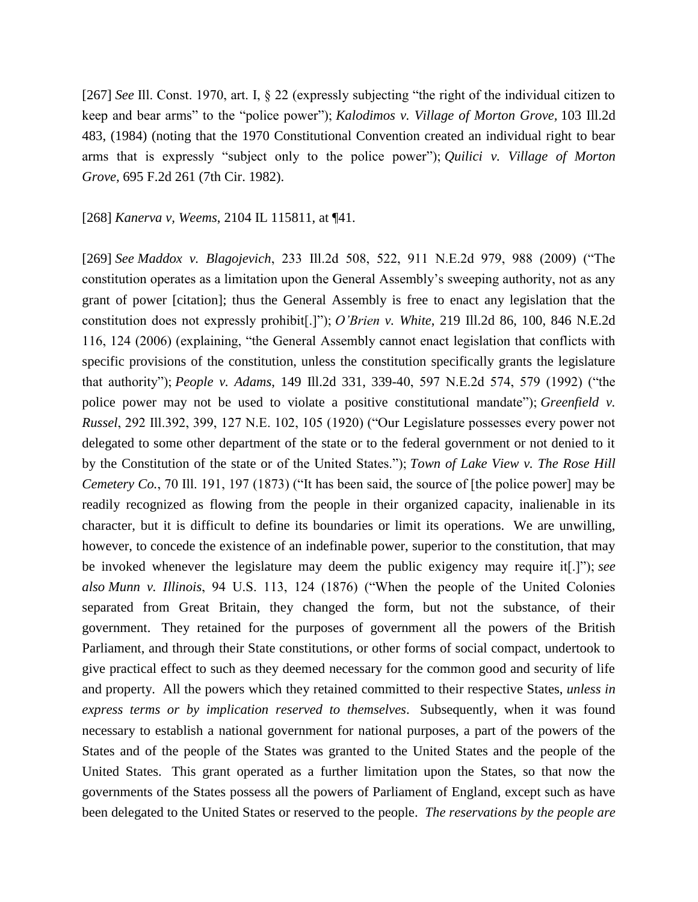[267] *See* Ill. Const. 1970, art. I, § 22 (expressly subjecting "the right of the individual citizen to keep and bear arms" to the "police power"); *Kalodimos v. Village of Morton Grove,* 103 Ill.2d 483, (1984) (noting that the 1970 Constitutional Convention created an individual right to bear arms that is expressly "subject only to the police power"); *Quilici v. Village of Morton Grove,* 695 F.2d 261 (7th Cir. 1982).

[268] *Kanerva v, Weems*, 2104 IL 115811, at ¶41.

[269] *See Maddox v. Blagojevich*, 233 Ill.2d 508, 522, 911 N.E.2d 979, 988 (2009) ("The constitution operates as a limitation upon the General Assembly's sweeping authority, not as any grant of power [citation]; thus the General Assembly is free to enact any legislation that the constitution does not expressly prohibit[.]"); *O'Brien v. White*, 219 Ill.2d 86, 100, 846 N.E.2d 116, 124 (2006) (explaining, "the General Assembly cannot enact legislation that conflicts with specific provisions of the constitution, unless the constitution specifically grants the legislature that authority"); *People v. Adams*, 149 Ill.2d 331, 339-40, 597 N.E.2d 574, 579 (1992) ("the police power may not be used to violate a positive constitutional mandate"); *Greenfield v. Russel*, 292 Ill.392, 399, 127 N.E. 102, 105 (1920) ("Our Legislature possesses every power not delegated to some other department of the state or to the federal government or not denied to it by the Constitution of the state or of the United States."); *Town of Lake View v. The Rose Hill Cemetery Co.*, 70 Ill. 191, 197 (1873) ("It has been said, the source of [the police power] may be readily recognized as flowing from the people in their organized capacity, inalienable in its character, but it is difficult to define its boundaries or limit its operations. We are unwilling, however, to concede the existence of an indefinable power, superior to the constitution, that may be invoked whenever the legislature may deem the public exigency may require it[.]"); *see also Munn v. Illinois*, 94 U.S. 113, 124 (1876) ("When the people of the United Colonies separated from Great Britain, they changed the form, but not the substance, of their government. They retained for the purposes of government all the powers of the British Parliament, and through their State constitutions, or other forms of social compact, undertook to give practical effect to such as they deemed necessary for the common good and security of life and property. All the powers which they retained committed to their respective States, *unless in express terms or by implication reserved to themselves*. Subsequently, when it was found necessary to establish a national government for national purposes, a part of the powers of the States and of the people of the States was granted to the United States and the people of the United States. This grant operated as a further limitation upon the States, so that now the governments of the States possess all the powers of Parliament of England, except such as have been delegated to the United States or reserved to the people. *The reservations by the people are*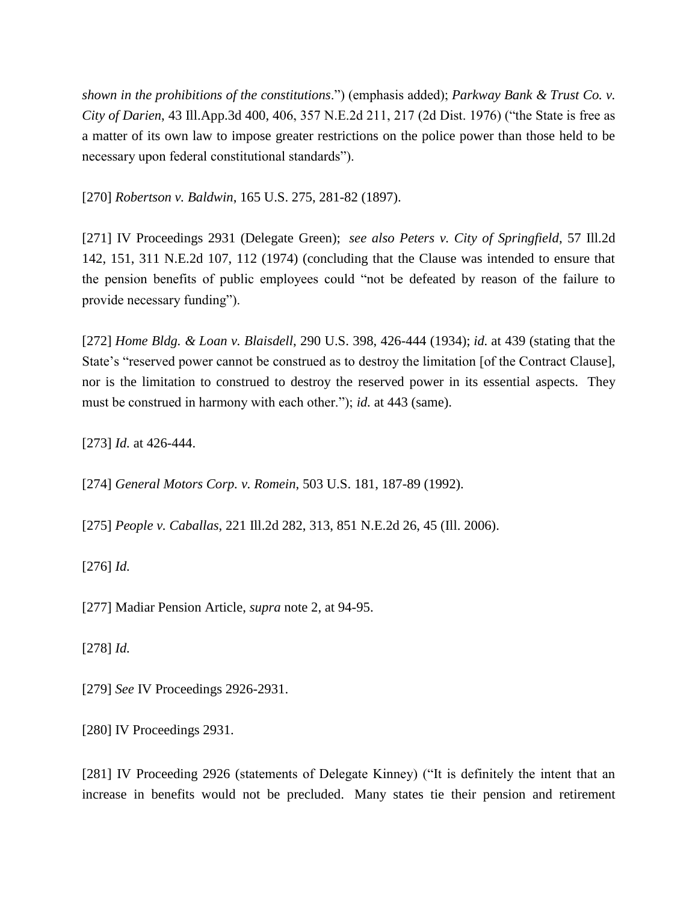*shown in the prohibitions of the constitutions*.") (emphasis added); *Parkway Bank & Trust Co. v. City of Darien*, 43 Ill.App.3d 400, 406, 357 N.E.2d 211, 217 (2d Dist. 1976) ("the State is free as a matter of its own law to impose greater restrictions on the police power than those held to be necessary upon federal constitutional standards").

[270] *Robertson v. Baldwin*, 165 U.S. 275, 281-82 (1897).

[271] IV Proceedings 2931 (Delegate Green); *see also Peters v. City of Springfield*, 57 Ill.2d 142, 151, 311 N.E.2d 107, 112 (1974) (concluding that the Clause was intended to ensure that the pension benefits of public employees could "not be defeated by reason of the failure to provide necessary funding").

[272] *Home Bldg. & Loan v. Blaisdell*, 290 U.S. 398, 426-444 (1934); *id.* at 439 (stating that the State's "reserved power cannot be construed as to destroy the limitation [of the Contract Clause], nor is the limitation to construed to destroy the reserved power in its essential aspects. They must be construed in harmony with each other."); *id.* at 443 (same).

[273] *Id.* at 426-444.

[274] *General Motors Corp. v. Romein*, 503 U.S. 181, 187-89 (1992).

[275] *People v. Caballas*, 221 Ill.2d 282, 313, 851 N.E.2d 26, 45 (Ill. 2006).

[276] *Id.*

[277] Madiar Pension Article, *supra* note 2, at 94-95.

[278] *Id.*

[279] *See* IV Proceedings 2926-2931.

[280] IV Proceedings 2931.

[281] IV Proceeding 2926 (statements of Delegate Kinney) ("It is definitely the intent that an increase in benefits would not be precluded. Many states tie their pension and retirement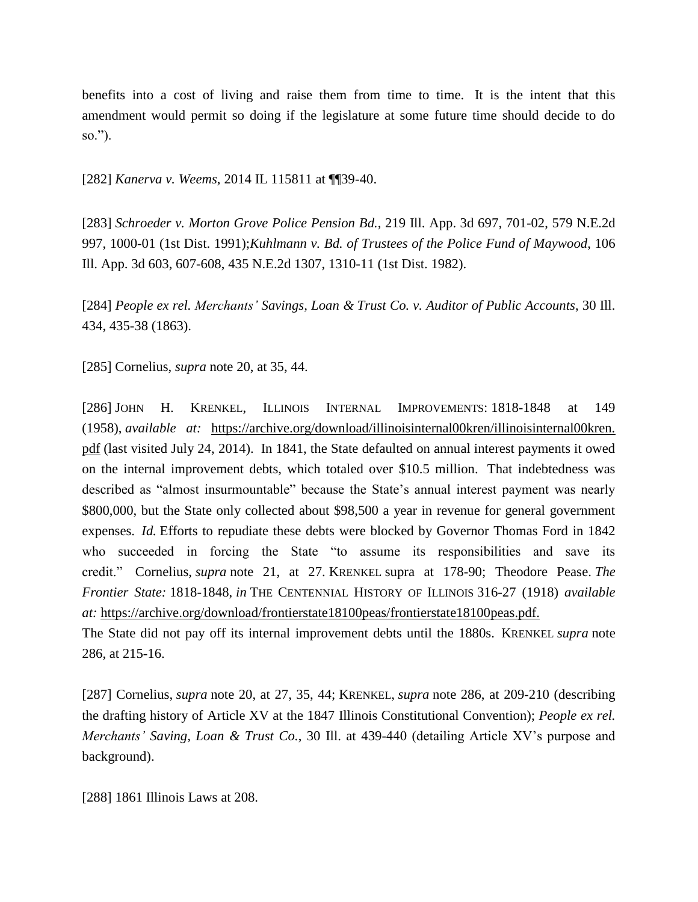benefits into a cost of living and raise them from time to time. It is the intent that this amendment would permit so doing if the legislature at some future time should decide to do so.").

[282] *Kanerva v. Weems*, 2014 IL 115811 at ¶¶39-40.

[283] *Schroeder v. Morton Grove Police Pension Bd.*, 219 Ill. App. 3d 697, 701-02, 579 N.E.2d 997, 1000-01 (1st Dist. 1991);*Kuhlmann v. Bd. of Trustees of the Police Fund of Maywood*, 106 Ill. App. 3d 603, 607-608, 435 N.E.2d 1307, 1310-11 (1st Dist. 1982).

[284] *People ex rel. Merchants' Savings, Loan & Trust Co. v. Auditor of Public Accounts*, 30 Ill. 434, 435-38 (1863).

[285] Cornelius, *supra* note 20, at 35, 44.

[286] JOHN H. KRENKEL, ILLINOIS INTERNAL IMPROVEMENTS: 1818-1848 at 149 (1958), *available at:* [https://archive.org/download/illinoisinternal00kren/illinoisinternal00kren.](https://archive.org/download/illinoisinternal00kren/illinoisinternal00kren.%20pdf) [pdf](https://archive.org/download/illinoisinternal00kren/illinoisinternal00kren.%20pdf) (last visited July 24, 2014). In 1841, the State defaulted on annual interest payments it owed on the internal improvement debts, which totaled over \$10.5 million. That indebtedness was described as "almost insurmountable" because the State's annual interest payment was nearly \$800,000, but the State only collected about \$98,500 a year in revenue for general government expenses. *Id.* Efforts to repudiate these debts were blocked by Governor Thomas Ford in 1842 who succeeded in forcing the State "to assume its responsibilities and save its credit." Cornelius, *supra* note 21, at 27. KRENKEL supra at 178-90; Theodore Pease. *The Frontier State:* 1818-1848, *in* THE CENTENNIAL HISTORY OF ILLINOIS 316-27 (1918) *available at:* <https://archive.org/download/frontierstate18100peas/frontierstate18100peas.pdf.>

The State did not pay off its internal improvement debts until the 1880s. KRENKEL *supra* note 286, at 215-16.

[287] Cornelius, *supra* note 20, at 27, 35, 44; KRENKEL, *supra* note 286, at 209-210 (describing the drafting history of Article XV at the 1847 Illinois Constitutional Convention); *People ex rel. Merchants' Saving, Loan & Trust Co.*, 30 Ill. at 439-440 (detailing Article XV's purpose and background).

[288] 1861 Illinois Laws at 208.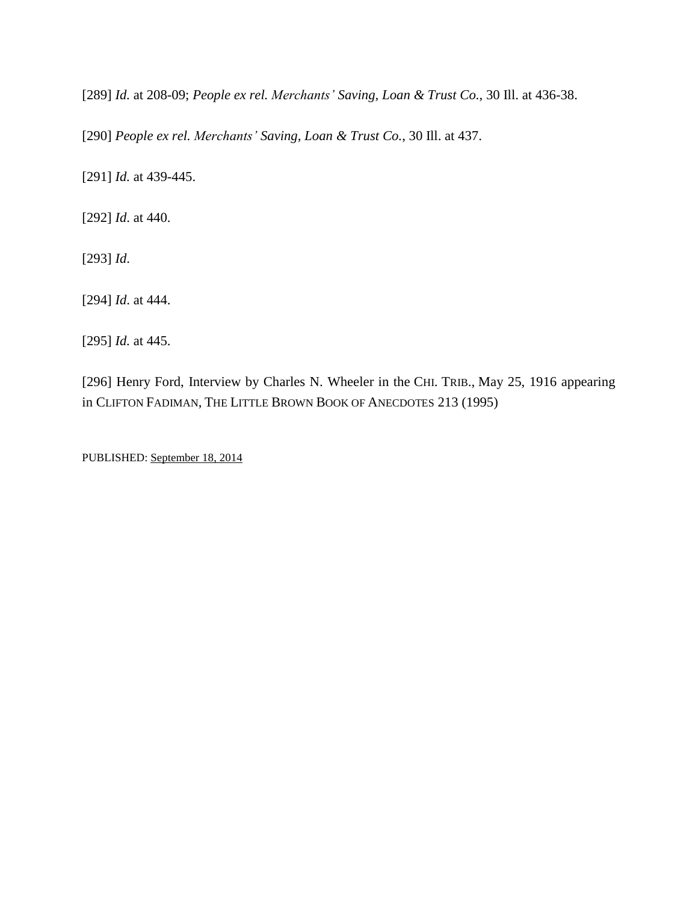[289] *Id.* at 208-09; *People ex rel. Merchants' Saving, Loan & Trust Co.*, 30 Ill. at 436-38.

[290] *People ex rel. Merchants' Saving, Loan & Trust Co.*, 30 Ill. at 437.

[291] *Id.* at 439-445.

[292] *Id*. at 440.

[293] *Id*.

[294] *Id*. at 444.

[295] *Id.* at 445.

[296] Henry Ford, Interview by Charles N. Wheeler in the CHI. TRIB., May 25, 1916 appearing in CLIFTON FADIMAN, THE LITTLE BROWN BOOK OF ANECDOTES 213 (1995)

PUBLISHED: [September](https://www.kentlaw.edu/ilwreport/index.php/2014/09/18/) 18, 2014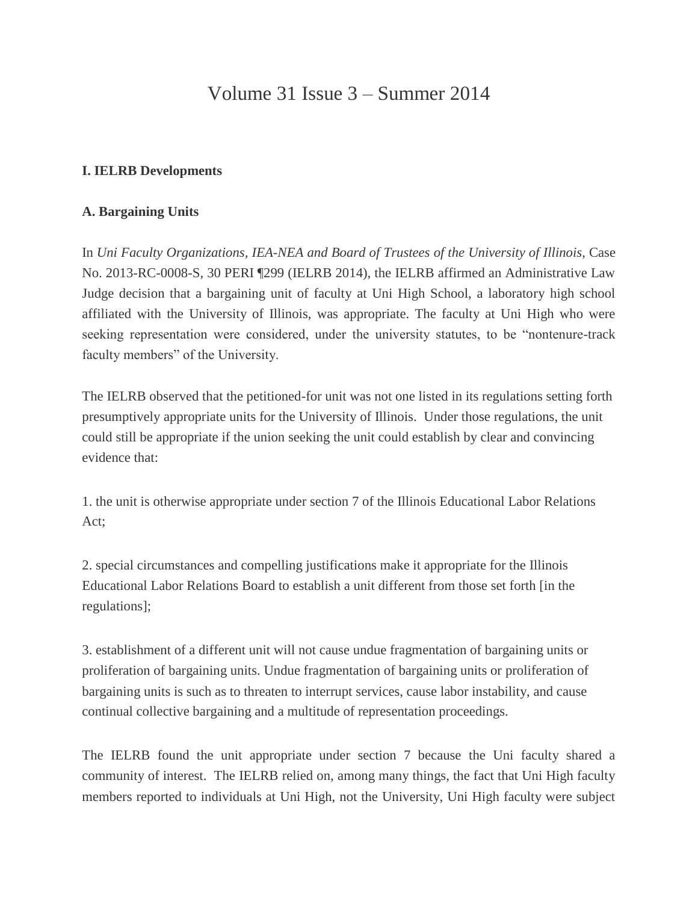# Volume 31 Issue 3 – Summer 2014

# **I. IELRB Developments**

# **A. Bargaining Units**

In *Uni Faculty Organizations, IEA-NEA and Board of Trustees of the University of Illinois*, Case No. 2013-RC-0008-S, 30 PERI ¶299 (IELRB 2014), the IELRB affirmed an Administrative Law Judge decision that a bargaining unit of faculty at Uni High School, a laboratory high school affiliated with the University of Illinois, was appropriate. The faculty at Uni High who were seeking representation were considered, under the university statutes, to be "nontenure-track faculty members" of the University.

The IELRB observed that the petitioned-for unit was not one listed in its regulations setting forth presumptively appropriate units for the University of Illinois. Under those regulations, the unit could still be appropriate if the union seeking the unit could establish by clear and convincing evidence that:

1. the unit is otherwise appropriate under section 7 of the Illinois Educational Labor Relations Act;

2. special circumstances and compelling justifications make it appropriate for the Illinois Educational Labor Relations Board to establish a unit different from those set forth [in the regulations];

3. establishment of a different unit will not cause undue fragmentation of bargaining units or proliferation of bargaining units. Undue fragmentation of bargaining units or proliferation of bargaining units is such as to threaten to interrupt services, cause labor instability, and cause continual collective bargaining and a multitude of representation proceedings.

The IELRB found the unit appropriate under section 7 because the Uni faculty shared a community of interest. The IELRB relied on, among many things, the fact that Uni High faculty members reported to individuals at Uni High, not the University, Uni High faculty were subject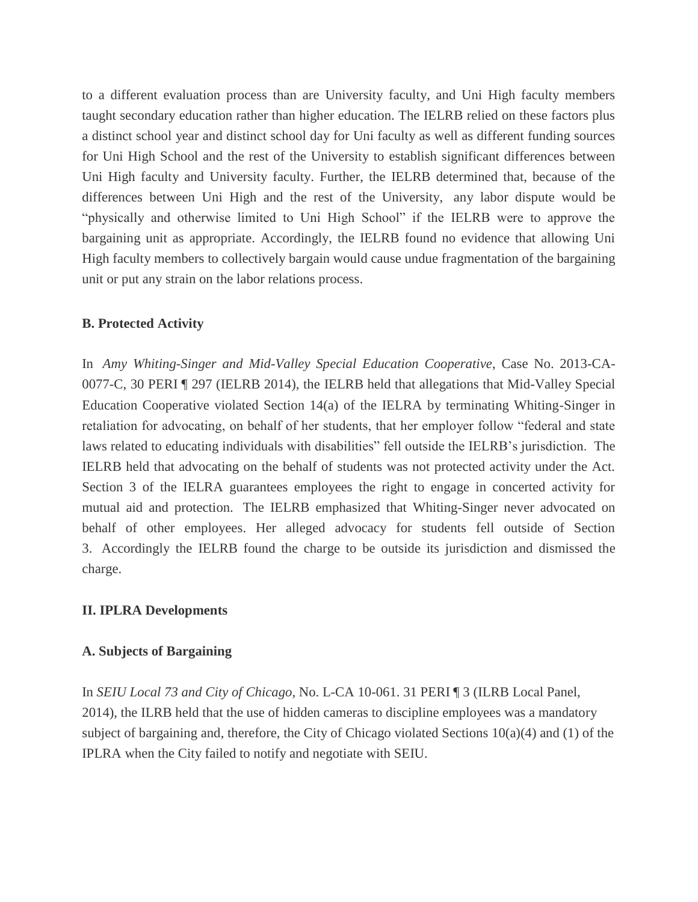to a different evaluation process than are University faculty, and Uni High faculty members taught secondary education rather than higher education. The IELRB relied on these factors plus a distinct school year and distinct school day for Uni faculty as well as different funding sources for Uni High School and the rest of the University to establish significant differences between Uni High faculty and University faculty. Further, the IELRB determined that, because of the differences between Uni High and the rest of the University, any labor dispute would be "physically and otherwise limited to Uni High School" if the IELRB were to approve the bargaining unit as appropriate. Accordingly, the IELRB found no evidence that allowing Uni High faculty members to collectively bargain would cause undue fragmentation of the bargaining unit or put any strain on the labor relations process.

## **B. Protected Activity**

In *Amy Whiting-Singer and Mid-Valley Special Education Cooperative*, Case No. 2013-CA-0077-C, 30 PERI ¶ 297 (IELRB 2014), the IELRB held that allegations that Mid-Valley Special Education Cooperative violated Section 14(a) of the IELRA by terminating Whiting-Singer in retaliation for advocating, on behalf of her students, that her employer follow "federal and state laws related to educating individuals with disabilities" fell outside the IELRB's jurisdiction. The IELRB held that advocating on the behalf of students was not protected activity under the Act. Section 3 of the IELRA guarantees employees the right to engage in concerted activity for mutual aid and protection. The IELRB emphasized that Whiting-Singer never advocated on behalf of other employees. Her alleged advocacy for students fell outside of Section 3. Accordingly the IELRB found the charge to be outside its jurisdiction and dismissed the charge.

## **II. IPLRA Developments**

## **A. Subjects of Bargaining**

In *SEIU Local 73 and City of Chicago*, No. L-CA 10-061. 31 PERI ¶ 3 (ILRB Local Panel, 2014), the ILRB held that the use of hidden cameras to discipline employees was a mandatory subject of bargaining and, therefore, the City of Chicago violated Sections 10(a)(4) and (1) of the IPLRA when the City failed to notify and negotiate with SEIU.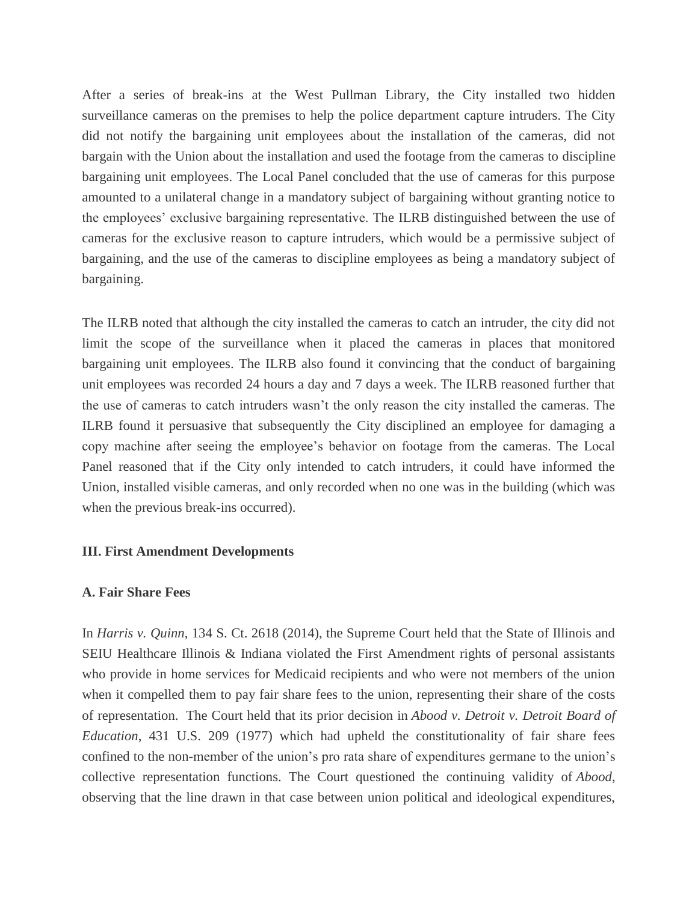After a series of break-ins at the West Pullman Library, the City installed two hidden surveillance cameras on the premises to help the police department capture intruders. The City did not notify the bargaining unit employees about the installation of the cameras, did not bargain with the Union about the installation and used the footage from the cameras to discipline bargaining unit employees. The Local Panel concluded that the use of cameras for this purpose amounted to a unilateral change in a mandatory subject of bargaining without granting notice to the employees' exclusive bargaining representative. The ILRB distinguished between the use of cameras for the exclusive reason to capture intruders, which would be a permissive subject of bargaining, and the use of the cameras to discipline employees as being a mandatory subject of bargaining.

The ILRB noted that although the city installed the cameras to catch an intruder, the city did not limit the scope of the surveillance when it placed the cameras in places that monitored bargaining unit employees. The ILRB also found it convincing that the conduct of bargaining unit employees was recorded 24 hours a day and 7 days a week. The ILRB reasoned further that the use of cameras to catch intruders wasn't the only reason the city installed the cameras. The ILRB found it persuasive that subsequently the City disciplined an employee for damaging a copy machine after seeing the employee's behavior on footage from the cameras. The Local Panel reasoned that if the City only intended to catch intruders, it could have informed the Union, installed visible cameras, and only recorded when no one was in the building (which was when the previous break-ins occurred).

#### **III. First Amendment Developments**

## **A. Fair Share Fees**

In *Harris v. Quinn*, 134 S. Ct. 2618 (2014), the Supreme Court held that the State of Illinois and SEIU Healthcare Illinois & Indiana violated the First Amendment rights of personal assistants who provide in home services for Medicaid recipients and who were not members of the union when it compelled them to pay fair share fees to the union, representing their share of the costs of representation. The Court held that its prior decision in *Abood v. Detroit v. Detroit Board of Education*, 431 U.S. 209 (1977) which had upheld the constitutionality of fair share fees confined to the non-member of the union's pro rata share of expenditures germane to the union's collective representation functions. The Court questioned the continuing validity of *Abood*, observing that the line drawn in that case between union political and ideological expenditures,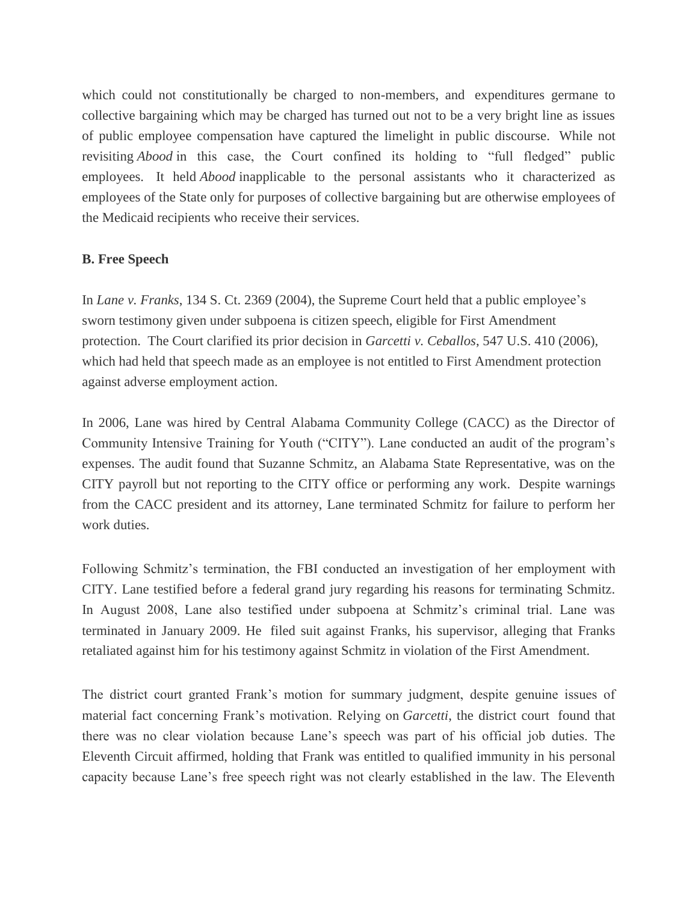which could not constitutionally be charged to non-members, and expenditures germane to collective bargaining which may be charged has turned out not to be a very bright line as issues of public employee compensation have captured the limelight in public discourse. While not revisiting *Abood* in this case, the Court confined its holding to "full fledged" public employees. It held *Abood* inapplicable to the personal assistants who it characterized as employees of the State only for purposes of collective bargaining but are otherwise employees of the Medicaid recipients who receive their services.

## **B. Free Speech**

In *Lane v. Franks*, 134 S. Ct. 2369 (2004), the Supreme Court held that a public employee's sworn testimony given under subpoena is citizen speech, eligible for First Amendment protection. The Court clarified its prior decision in *Garcetti v. Ceballos*, 547 U.S. 410 (2006), which had held that speech made as an employee is not entitled to First Amendment protection against adverse employment action.

In 2006, Lane was hired by Central Alabama Community College (CACC) as the Director of Community Intensive Training for Youth ("CITY"). Lane conducted an audit of the program's expenses. The audit found that Suzanne Schmitz, an Alabama State Representative, was on the CITY payroll but not reporting to the CITY office or performing any work. Despite warnings from the CACC president and its attorney, Lane terminated Schmitz for failure to perform her work duties.

Following Schmitz's termination, the FBI conducted an investigation of her employment with CITY. Lane testified before a federal grand jury regarding his reasons for terminating Schmitz. In August 2008, Lane also testified under subpoena at Schmitz's criminal trial. Lane was terminated in January 2009. He filed suit against Franks, his supervisor, alleging that Franks retaliated against him for his testimony against Schmitz in violation of the First Amendment.

The district court granted Frank's motion for summary judgment, despite genuine issues of material fact concerning Frank's motivation. Relying on *Garcetti*, the district court found that there was no clear violation because Lane's speech was part of his official job duties. The Eleventh Circuit affirmed, holding that Frank was entitled to qualified immunity in his personal capacity because Lane's free speech right was not clearly established in the law. The Eleventh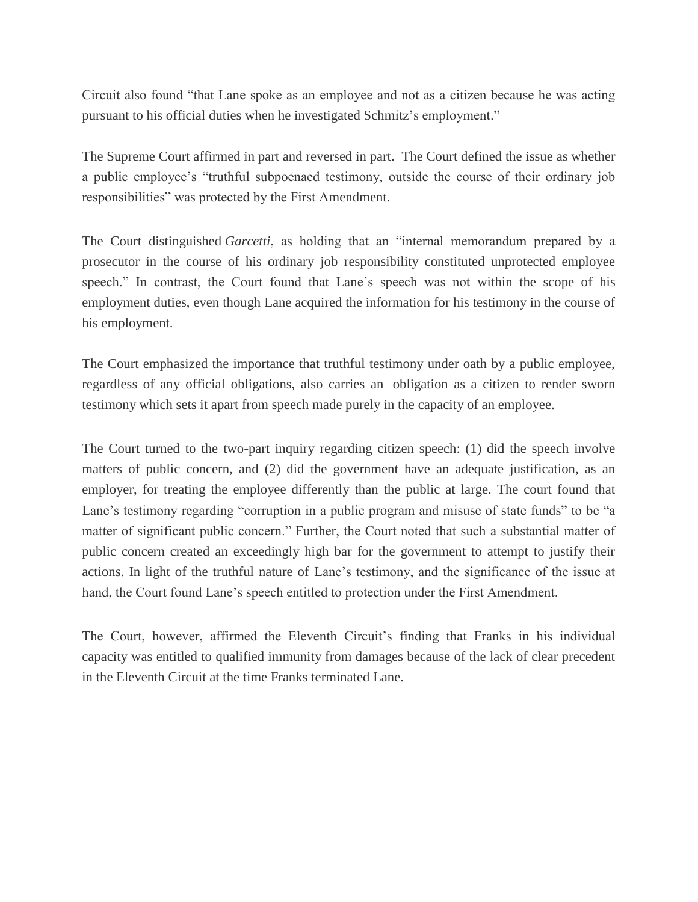Circuit also found "that Lane spoke as an employee and not as a citizen because he was acting pursuant to his official duties when he investigated Schmitz's employment."

The Supreme Court affirmed in part and reversed in part. The Court defined the issue as whether a public employee's "truthful subpoenaed testimony, outside the course of their ordinary job responsibilities" was protected by the First Amendment.

The Court distinguished *Garcetti*, as holding that an "internal memorandum prepared by a prosecutor in the course of his ordinary job responsibility constituted unprotected employee speech." In contrast, the Court found that Lane's speech was not within the scope of his employment duties, even though Lane acquired the information for his testimony in the course of his employment.

The Court emphasized the importance that truthful testimony under oath by a public employee, regardless of any official obligations, also carries an obligation as a citizen to render sworn testimony which sets it apart from speech made purely in the capacity of an employee.

The Court turned to the two-part inquiry regarding citizen speech: (1) did the speech involve matters of public concern, and (2) did the government have an adequate justification, as an employer, for treating the employee differently than the public at large. The court found that Lane's testimony regarding "corruption in a public program and misuse of state funds" to be "a matter of significant public concern." Further, the Court noted that such a substantial matter of public concern created an exceedingly high bar for the government to attempt to justify their actions. In light of the truthful nature of Lane's testimony, and the significance of the issue at hand, the Court found Lane's speech entitled to protection under the First Amendment.

The Court, however, affirmed the Eleventh Circuit's finding that Franks in his individual capacity was entitled to qualified immunity from damages because of the lack of clear precedent in the Eleventh Circuit at the time Franks terminated Lane.